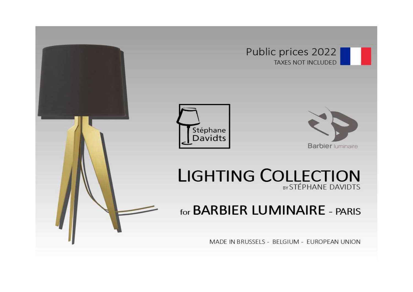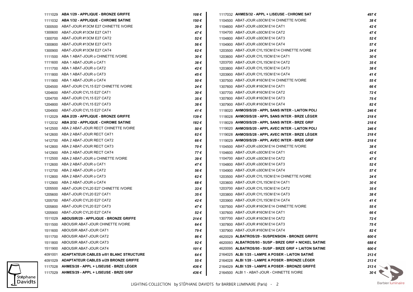|         | 1111029 ABA 1/29 - APPLIQUE - BRONZE GRIFFE   | 108 € | 1117032 AHMES/32 - APPL + LISEUSE - CHROME SAT         | 497 €               |
|---------|-----------------------------------------------|-------|--------------------------------------------------------|---------------------|
|         | 1111032 ABA 1/32 - APPLIQUE - CHROME SATINE   | 150 € | 1104500 ABAT-JOUR o30CM E14 CHINETTE IVOIRE            | 38€                 |
|         | 1300500 ABAT-JOUR #13CM E27 CHINETTE IVOIRE   | 39€   | 1104600 ABAT-JOUR o30CM E14 CAT1                       | 42€                 |
| 1300600 | ABAT-JOUR #13CM E27 CAT1                      | 47 €  | 1104700 ABAT-JOUR o30CM E14 CAT2                       | 47€                 |
| 1300700 | ABAT-JOUR #13CM E27 CAT2                      | 52€   | 1104800 ABAT-JOUR o30CM E14 CAT3                       | 52€                 |
| 1300800 | ABAT-JOUR #13CM E27 CAT3                      | 56 €  | 1104900 ABAT-JOUR o30CM E14 CAT4                       | 57€                 |
|         | 1300900 ABAT-JOUR #13CM E27 CAT4              | 62 €  | 1203500 ABAT-JOUR CYL15CM E14 CHINETTE IVOIRE          | 24€                 |
|         | 1111500 ABA 1 ABAT-JOUR o CHINETTE IVOIRE     | 30 €  | 1203600 ABAT-JOUR CYL15CM E14 CAT1                     | 30€                 |
|         | 1111600 ABA 1 ABAT-JOUR o CAT1                | 38€   | 1203700 ABAT-JOUR CYL15CM E14 CAT2                     | 35€                 |
|         | 1111700 ABA 1 ABAT-JOUR o CAT2                | 42€   | 1203800 ABAT-JOUR CYL15CM E14 CAT3                     | 38€                 |
|         | 1111800 ABA 1 ABAT-JOUR o CAT3                | 45 €  | 1203900 ABAT-JOUR CYL15CM E14 CAT4                     | 41€                 |
|         | 1111900 ABA 1 ABAT-JOUR o CAT4                | 50 €  | 1307500 ABAT-JOUR #16CM E14 CHINETTE IVOIRE            | 55€                 |
|         | 1204500 ABAT-JOUR CYL15 E27 CHINETTE IVOIRE   | 24 €  | 1307600 ABAT-JOUR #16CM E14 CAT1                       | 66 €                |
|         | 1204600 ABAT-JOUR CYL15 E27 CAT1              | 30 €  | 1307700 ABAT-JOUR #16CM E14 CAT2                       | 72€                 |
|         | 1204700 ABAT-JOUR CYL15 E27 CAT2              | 35€   | 1307800 ABAT-JOUR #16CM E14 CAT3                       | 75€                 |
| 1204800 | ABAT-JOUR CYL15 E27 CAT3                      | 38€   | 1307900 ABAT-JOUR #16CM E14 CAT4                       | 82€                 |
| 1204900 | ABAT-JOUR CYL15 E27 CAT4                      | 41 €  | 1118020 AHMOSIS/20 - APPL SANS INTER - LAITON POLI     | 246€                |
| 1112029 | ABA 2/29 - APPLIQUE - BRONZE GRIFFE           | 139€  | 1118028 AHMOSIS/28 - APPL SANS INTER - BRZE LEGER      | 218€                |
|         | 1112032 ABA 2/32 - APPLIQUE - CHROME SATINE   | 182 € | 1118029 AHMOSIS/29 - APPL SANS INTER - BRZE GRIF       | 218€                |
|         | 1412500 ABA 2 ABAT-JOUR RECT CHINETTE IVOIRE  | 50€   | 1119020 AHMOSIS/20 - APPL AVEC INTER - LAITON POLI     | 246€                |
|         | 1412600 ABA 2 ABAT-JOUR RECT CAT1             | 62€   | 1119028 AHMOSIS/28 - APPL AVEC INTER - BRZE LEGER      | 218€                |
|         | 1412700 ABA 2 ABAT-JOUR RECT CAT2             | 66 €  | 1119029 AHMOSIS/29 - APPL AVEC INTER - BRZE GRIF       | 218€                |
|         | 1412800 ABA 2 ABAT-JOUR RECT CAT3             | 70€   | 1104500 ABAT-JOUR 030CM E14 CHINETTE IVOIRE            | 38€                 |
|         | 1412900 ABA 2 ABAT-JOUR RECT CAT4             | 77€   | 1104600 ABAT-JOUR o30CM E14 CAT1                       | 42€                 |
|         | 1112500 ABA 2 ABAT-JOUR o CHINETTE IVOIRE     | 39€   | 1104700 ABAT-JOUR o30CM E14 CAT2                       | 47€                 |
|         | 1112600 ABA 2 ABAT-JOUR o CAT1                | 47 €  | 1104800 ABAT-JOUR o30CM E14 CAT3                       | 52€                 |
|         | 1112700 ABA 2 ABAT-JOUR o CAT2                | 56 €  | 1104900 ABAT-JOUR o30CM E14 CAT4                       | 57€                 |
|         | 1112800 ABA 2 ABAT-JOUR o CAT3                | 62€   | 1203500 ABAT-JOUR CYL15CM E14 CHINETTE IVOIRE          | 24€                 |
|         | 1112900 ABA 2 ABAT-JOUR o CAT4                | 68 €  | 1203600 ABAT-JOUR CYL15CM E14 CAT1                     | 30€                 |
| 1205500 | ABAT-JOUR CYL20 E27 CHINETTE IVOIRE           | 33 €  | 1203700 ABAT-JOUR CYL15CM E14 CAT2                     | 35€                 |
| 1205600 | ABAT-JOUR CYL20 E27 CAT1                      | 35 €  | 1203800 ABAT-JOUR CYL15CM E14 CAT3                     | 38€                 |
|         | 1205700 ABAT-JOUR CYL20 E27 CAT2              | 42 €  | 1203900 ABAT-JOUR CYL15CM E14 CAT4                     | 41€                 |
|         | 1205800 ABAT-JOUR CYL20 E27 CAT3              | 47 €  | 1307500 ABAT-JOUR #16CM E14 CHINETTE IVOIRE            | 55€                 |
|         | 1205900 ABAT-JOUR CYL20 E27 CAT4              | 52€   | 1307600 ABAT-JOUR #16CM E14 CAT1                       | 66€                 |
|         | 1511029 ABOUSIR/29 - APPLIQUE - BRONZE GRIFFE | 214 € | 1307700 ABAT-JOUR #16CM E14 CAT2                       | 72€                 |
|         | 1511500 ABOUSIR ABAT-JOUR CHINETTE IVOIRE     | 64 €  | 1307800 ABAT-JOUR #16CM E14 CAT3                       | 75€                 |
|         | 1511600 ABOUSIR ABAT-JOUR CAT1                | 79€   | 1307900 ABAT-JOUR #16CM E14 CAT4                       | 82€                 |
|         | 1511700 ABOUSIR ABAT-JOUR CAT2                | 86 €  | 4620029 ALBATROS/29 - SUSPENSION - BRONZE GRIFFE       | 600 €               |
| 1511800 | ABOUSIR ABAT-JOUR CAT3                        | 92€   | 4620093 ALBATROS/93 - SUSP - BRZE GRIF + NICKEL SATINE | 688€                |
|         | 1511900 ABOUSIR ABAT-JOUR CAT4                | 101 € | 4620095 ALBATROS/95 - SUSP - BRZE GRIF + LAITON SATINE | 600€                |
| 4091001 | <b>ADAPTATEUR CABLES 0/01 BLANC STRUCTURE</b> | 64 €  | 2164025 ALBI 1/25 - LAMPE A POSER - LAITON SATINE      | 213€                |
| 4091029 | <b>ADAPTATEUR CABLES 0/29 BRONZE GRIFFE</b>   | 55 €  | 2164028 ALBI 1/28 - LAMPE A POSER - BRONZE LEGER       | 213€                |
| 1117028 | AHMES/28 - APPL + LISEUSE - BRZE LEGER        | 436 € | 2164029 ALBI 1/29 - LAMPE A POSER - BRONZE GRIFFE      | 213 $\epsilon$      |
| 1117029 | AHMES/29 - APPL + LISEUSE - BRZE GRIF         | 436 € | 2164500 ALBI 1 - ABAT-JOUR - CHINETTE IVOIRE           | $30 \in \mathbb{R}$ |
|         |                                               |       |                                                        |                     |

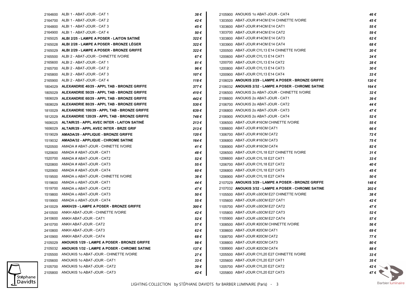|         | 2164600 ALBI 1 - ABAT-JOUR - CAT 1                  | 38 €  | 2105900 ANOUKIS 1o ABAT-JOUR - CAT4                  | 46 €          |
|---------|-----------------------------------------------------|-------|------------------------------------------------------|---------------|
|         | 2164700 ALBI 1 - ABAT-JOUR - CAT 2                  | 42 €  | 1303500 ABAT-JOUR #14CM E14 CHINETTE IVOIRE          | 45 €          |
|         | 2164800 ALBI 1 - ABAT-JOUR - CAT 3                  | 45 €  | 1303600 ABAT-JOUR #14CM E14 CAT1                     | 55 €          |
|         | 2164900 ALBI 1 - ABAT-JOUR - CAT 4                  | 50 €  | 1303700 ABAT-JOUR #14CM E14 CAT2                     | 59€           |
|         | 2165025 ALBI 2/25 - LAMPE A POSER - LAITON SATINÉ   | 322€  | 1303800 ABAT-JOUR #14CM E14 CAT3                     | 62€           |
|         | 2165028 ALBI 2/28 - LAMPE A POSER - BRONZE LEGER    | 322€  | 1303900 ABAT-JOUR #14CM E14 CAT4                     | 68€           |
|         | 2165029 ALBI 2/29 - LAMPE A POSER - BRONZE GRIFFE   | 322€  | 1200500 ABAT-JOUR CYL13 E14 CHINETTE IVOIRE          | 20€           |
|         | 2165500 ALBI 2 - ABAT-JOUR - CHINETTE IVOIRE        | 67€   | 1200600 ABAT-JOUR CYL13 E14 CAT1                     | 24 €          |
|         | 2165600 ALBI 2 - ABAT-JOUR - CAT 1                  | 81 €  | 1200700 ABAT-JOUR CYL13 E14 CAT2                     | 28€           |
|         | 2165700 ALBI 2 - ABAT-JOUR - CAT 2                  | 96 €  | 1200800 ABAT-JOUR CYL13 E14 CAT3                     | 30 €          |
|         | 2165800 ALBI 2 - ABAT-JOUR - CAT 3                  | 107 € | 1200900 ABAT-JOUR CYL13 E14 CAT4                     | $33 \epsilon$ |
|         | 2165900 ALBI 2 - ABAT-JOUR - CAT 4                  | 118€  | 2106029 ANOUKIS 2/29 - LAMPE A POSER - BRONZE GRIFFE | 120 €         |
| 1804029 | ALEXANDRIE 40/29 - APPL TAB - BRONZE GRIFFE         | 377€  | 2106032 ANOUKIS 2/32 - LAMPE A POSER - CHROME SATINE | 164 €         |
| 1805029 | ALEXANDRIE 50/29 - APPL TAB - BRONZE GRIFFE         | 410€  | 2106500 ANOUKIS 2o ABAT-JOUR - CHINETTE IVOIRE       | 32€           |
| 1806029 | ALEXANDRIE 60/29 - APPL TAB - BRONZE GRIFFE         | 442 € | 2106600 ANOUKIS 2o ABAT-JOUR - CAT1                  | 39€           |
| 1808029 | ALEXANDRIE 80/29 - APPL TAB - BRONZE GRIFFE         | 530€  | 2106700 ANOUKIS 2o ABAT-JOUR - CAT2                  | 44 €          |
| 1810029 | ALEXANDRIE 100/29 - APPL TAB - BRONZE GRIFFE        | 639€  | 2106800 ANOUKIS 2o ABAT-JOUR - CAT3                  | 47 €          |
| 1812029 | ALEXANDRIE 120/29 - APPL TAB - BRONZE GRIFFE        | 748 € | 2106900 ANOUKIS 2o ABAT-JOUR - CAT4                  | 52€           |
|         | 1606025 ALTAIR/25 - APPL AVEC INTER - LAITON SATINÉ | 213€  | 1306500 ABAT-JOUR #16CM CHINETTE IVOIRE              | 55€           |
| 1606029 | ALTAIR/29 - APPL AVEC INTER - BRZE GRIF             | 213€  | 1306600 ABAT-JOUR #16CM CAT1                         | 66 €          |
| 1519029 | AMADA/29 - APPLIQUE - BRONZE GRIFFE                 | 120 € | 1306700 ABAT-JOUR #16CM CAT2                         | 72€           |
|         | 1519032 AMADA/32 - APPLIQUE - CHROME SATINE         | 164 € | 1306800 ABAT-JOUR #16CM CAT3                         | 75€           |
|         | 1520500 AMADA # ABAT-JOUR - CHINETTE IVOIRE         | 41 €  | 1306900 ABAT-JOUR #16CM CAT4                         | 82€           |
|         | 1520600 AMADA # ABAT-JOUR - CAT1                    | 48 €  | 1206500 ABAT-JOUR CYL18 E27 CHINETTE IVOIRE          | 31 €          |
|         | 1520700 AMADA # ABAT-JOUR - CAT2                    | 52€   | 1206600 ABAT-JOUR CYL18 E27 CAT1                     | 33 €          |
|         | 1520800 AMADA # ABAT-JOUR - CAT3                    | 55 €  | 1206700 ABAT-JOUR CYL18 E27 CAT2                     | 40 €          |
| 1520900 | AMADA # ABAT-JOUR - CAT4                            | 60 €  | 1206800 ABAT-JOUR CYL18 E27 CAT3                     | 45 €          |
| 1519500 | AMADA o ABAT-JOUR - CHINETTE IVOIRE                 | 38€   | 1206900 ABAT-JOUR CYL18 E27 CAT4                     | 50€           |
|         | 1519600 AMADA o ABAT-JOUR - CAT1                    | 44 €  | 2107029 ANOUKIS 3/29 - LAMPE A POSER - BRONZE GRIFFE | 148 €         |
|         | 1519700 AMADA o ABAT-JOUR - CAT2                    | 47 €  | 2107032 ANOUKIS 3/32 - LAMPE A POSER - CHROME SATINE | 202€          |
|         | 1519800 AMADA o ABAT-JOUR - CAT3                    | 50 €  | 1105500 ABAT-JOUR o30CM E27 CHINETTE IVOIRE          | 38€           |
|         | 1519900 AMADA o ABAT-JOUR - CAT4                    | 55 €  | 1105600 ABAT-JOUR o30CM E27 CAT1                     | 42€           |
|         | 2410029 ANKH/29 - LAMPE A POSER - BRONZE GRIFFE     | 300 € | 1105700 ABAT-JOUR o30CM E27 CAT2                     | 47 €          |
|         | 2410500 ANKH ABAT-JOUR - CHINETTE IVOIRE            | 42 €  | 1105800 ABAT-JOUR o30CM E27 CAT3                     | 52€           |
|         | 2410600 ANKH ABAT-JOUR - CAT1                       | 52€   | 1105900 ABAT-JOUR o30CM E27 CAT4                     | 57€           |
|         | 2410700 ANKH ABAT-JOUR - CAT2                       | 57€   | 1308500 ABAT-JOUR #20CM CHINETTE IVOIRE              | 56 €          |
|         | 2410800 ANKH ABAT-JOUR - CAT3                       | 62€   | 1308600 ABAT-JOUR #20CM CAT1                         | 69€           |
|         | 2410900 ANKH ABAT-JOUR - CAT4                       | 68 €  | 1308700 ABAT-JOUR #20CM CAT2                         | 77€           |
| 2105029 | ANOUKIS 1/29 - LAMPE A POSER - BRONZE GRIFFE        | 98€   | 1308800 ABAT-JOUR #20CM CAT3                         | 80€           |
| 2105032 | ANOUKIS 1/32 - LAMPE A POSER - CHROME SATINE        | 137 € | 1308900 ABAT-JOUR #20CM CAT4                         | 88 €          |
| 2105500 | ANOUKIS 10 ABAT-JOUR - CHINETTE IVOIRE              | 27€   | 1205500 ABAT-JOUR CYL20 E27 CHINETTE IVOIRE          | 33 €          |
| 2105600 | ANOUKIS 1o ABAT-JOUR - CAT1                         | 33 €  | 1205600 ABAT-JOUR CYL20 E27 CAT1                     | 35 €          |
| 2105700 | ANOUKIS 1o ABAT-JOUR - CAT2                         | 39€   | 1205700 ABAT-JOUR CYL20 E27 CAT2                     | 42 $\epsilon$ |
|         | 2105800 ANOUKIS 1o ABAT-JOUR - CAT3                 | 42 €  | 1205800 ABAT-JOUR CYL20 E27 CAT3                     | 47€ \         |
|         |                                                     |       |                                                      |               |

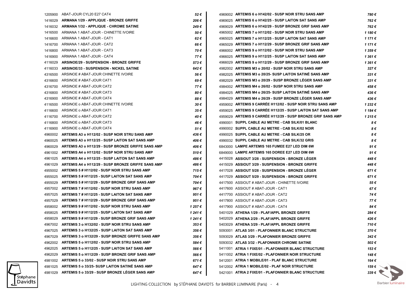|         | 1205900 ABAT-JOUR CYL20 E27 CAT4                        | 52€     | 4969002 ARTEMIS 6 o H142/02 - SUSP NOIR STRU SANS AMP        | 780 €          |
|---------|---------------------------------------------------------|---------|--------------------------------------------------------------|----------------|
|         | 1416029 ARMANA 1/29 - APPLIQUE - BRONZE GRIFFE          | 206 €   | 4969025 ARTEMIS 6 o H142/25 - SUSP LAITON SAT SANS AMP       | 762€           |
|         | 1416032 ARMANA 1/32 - APPLIQUE - CHROME SATINE          | 249€    | 4969029 ARTEMIS 6 o H142/29 - SUSP BRONZE GRIF SANS AMP      | 762€           |
| 1416500 | ARMANA 1 ABAT-JOUR - CHINETTE IVOIRE                    | 50 €    | 4965002 ARTEMIS 7 o H112/02 - SUSP NOIR STRU SANS AMP        | 1 180 €        |
| 1416600 | ARMANA 1 ABAT-JOUR - CAT1                               | 62€     | 4965025 ARTEMIS 7 o H112/25 - SUSP LAITON SAT SANS AMP       | 1 171 €        |
| 1416700 | ARMANA 1 ABAT-JOUR - CAT2                               | 66 €    | 4965029 ARTEMIS 7 o H112/29 - SUSP BRONZE GRIF SANS AMP      | 1 171 €        |
| 1416800 | ARMANA 1 ABAT-JOUR - CAT3                               | 70€     | 4966002 ARTEMIS 9 o H112/02 - SUSP NOIR STRU SANS AMP        | 1 359€         |
| 1416900 | ARMANA 1 ABAT-JOUR - CAT4                               | 77 €    | 4966025 ARTEMIS 9 o H112/25 - SUSP LAITON SAT SANS AMP       | 1361€          |
| 4116029 | <b>ARSINOE/29 - SUSPENSION - BRONZE GRIFFE</b>          | 573€    | 4966029 ARTEMIS 9 o H112/29 - SUSP BRONZE GRIF SANS AMP      | 1 361 €        |
| 4116033 | ARSINOE/33 - SUSPENSION - NICKEL SATINE                 | 642€    | 4982002 ARTEMIS M3 o 20/02 - SUSP NOIR STRU SANS AMP         | 327€           |
| 4316500 | ARSINOE # ABAT-JOUR CHINETTE IVOIRE                     | 56 €    | 4982025 ARTEMIS M3 o 20/25- SUSP LAITON SATINE SANS AMP      | $331 \in$      |
| 4316600 | ARSINOE # ABAT-JOUR CAT1                                | 69€     | 4982029 ARTEMIS M3 o 20/29 - SUSP BRONZE LEGER SANS AMP      | 331€           |
| 4316700 | ARSINOE # ABAT-JOUR CAT2                                | 77€     | 4984002 ARTEMIS M4 o 26/02 - SUSP NOIR STRU SANS AMP         | 458 €          |
| 4316800 | ARSINOE # ABAT-JOUR CAT3                                | 80 €    | 4984025 ARTEMIS M4 o 26/25- SUSP LAITON SATINE SANS AMP      | 436€           |
| 4316900 | ARSINOE # ABAT-JOUR CAT4                                | 88€     | 4984029 ARTEMIS M4 o 26/29 - SUSP BRONZE LEGER SANS AMP      | 436€           |
| 4116500 | ARSINOE o ABAT-JOUR CHINETTE IVOIRE                     | 30 €    | 4959002 ARTEMIS 9 CARREE H112/02 - SUSP NOIR STRU SANS AMP   | 1 232 €        |
| 4116600 | ARSINOE o ABAT-JOUR CAT1                                | 35€     | 4959025 ARTEMIS 9 CARREE H112/25 - SUSP LAITON SAT SANS AMP  | 1 184 €        |
| 4116700 | ARSINOE o ABAT-JOUR CAT2                                | 40 €    | 4959029 ARTEMIS 9 CARREE H112/29 - SUSP BRONZE GRIF SANS AMP | 1 215 €        |
| 4116800 | ARSINOE o ABAT-JOUR CAT3                                | 46 €    | 4990001 SUPPL CABLE AU METRE - CAB SILK/01 BLANC             | 8€             |
| 4116900 | ARSINOE o ABAT-JOUR CAT4                                | 51€     | 4990002 SUPPL CABLE AU METRE - CAB SILK/02 NOIR              | 8€             |
|         | 4960002 ARTEMIS A3 o H112/02 - SUSP NOIR STRU SANS AMP  | 436€    | 4990025 SUPPL CABLE AU METRE - CAB SILK/25 OR                | 8€             |
| 4960025 | ARTEMIS A3 o H112/25 - SUSP LAITON SAT SANS AMP         | 406 €   | 4990032 SUPPL CABLE AU METRE - CAB SILK/32 GRIS              | 8€             |
| 4960029 | ARTEMIS A3 o H112/29 - SUSP BRONZE GRIFFE SANS AMP      | 406 €   | 6843000 LAMPE ARTEMIS 165 FUMEE E27 LED DIM 6W               | 91€            |
|         | 4961002 ARTEMIS A4 o H112/02 - SUSP NOIR STRU SANS AMP  | 510€    | 6849000 LAMPE ARTEMIS 165 DOREE E27 LED DIM 6W               | 91€            |
|         | 4961025 ARTEMIS A4 o H112/25 - SUSP LAITON SAT SANS AMP | 486 €   | 4415028 ASSIOUT 3/28 - SUSPENSION - BRONZE LEGER             | 448 €          |
| 4961029 | ARTEMIS A4 o H112/29 - SUSP BRONZE GRIFFE SANS AMP      | 486 €   | 4415029 ASSIOUT 3/29 - SUSPENSION - BRONZE GRIFFE            | 448 €          |
|         | 4955002 ARTEMIS 5 # H112/02 - SUSP NOIR STRU SANS AMP   | 715€    | 4417028 ASSIOUT 5/28 - SUSPENSION - BRONZE LEGER             | 671€           |
| 4955025 | ARTEMIS 5 # H112/25 - SUSP LAITON SAT SANS AMP          | 704 €   | 4417029 ASSIOUT 5/29 - SUSPENSION - BRONZE GRIFFE            | 671€           |
| 4955029 | ARTEMIS 5 # H112/29 - SUSP BRONZE GRIF SANS AMP         | 704 €   | 4417500 ASSIOUT # ABAT-JOUR - CHINETTE IVOIRE                | 55€            |
|         | 4957002 ARTEMIS 7 # H112/02 - SUSP NOIR STRU SANS AMP   | 967€    | 4417600 ASSIOUT # ABAT-JOUR - CAT1                           | 67€            |
|         | 4957025 ARTEMIS 7 # H112/25 - SUSP LAITON SAT SANS AMP  | 951€    | 4417700 ASSIOUT # ABAT-JOUR - CAT2                           | 74€            |
|         | 4957029 ARTEMIS 7 # H112/29 - SUSP BRONZE GRIF SANS AMP | 951€    | 4417800 ASSIOUT # ABAT-JOUR - CAT3                           | 77€            |
|         | 4958002 ARTEMIS 9 # H112/02 - SUSP NOIR STRU SANS AMP   | 1 257 € | 4417900 ASSIOUT # ABAT-JOUR - CAT4                           | 84€            |
| 4958025 | ARTEMIS 9 # H112/25 - SUSP LAITON SAT SANS AMP          | 1 241 € | 5401029 ATHENA 1/29 - PLAF/APPL BRONZE GRIFFE                | 284 €          |
|         | 4958029 ARTEMIS 9 # H112/29 - SUSP BRONZE GRIF SANS AMP | 1 241 € | 5402029 ATHENA 2/29 - PLAF/APPL BRONZE GRIFFE                | 426 €          |
|         | 4967002 ARTEMIS 3 o H132/02 - SUSP NOIR STRU SANS AMP   | 353 €   | 5403029 ATHENA 3/29 - PLAF/APPL BRONZE GRIFFE                | 710€           |
|         | 4967025 ARTEMIS 3 o H132/25 - SUSP LAITON SAT SANS AMP  | 356€    | 5093001 ATLAS 3/01 - PLAFONNIER BLANC STRUCTURE              | 370€           |
| 4967029 | ARTEMIS 3 o H132/29 - SUSP BRONZE GRIFFE SANS AMP       | 356€    | 5093029 ATLAS 3/29 - PLAFONNIER BRONZE GRIFFE                | 342€           |
| 4962002 | ARTEMIS 5 o H112/02 - SUSP NOIR STRU SANS AMP           | 584€    | 5093032 ATLAS 3/32 - PLAFONNIER CHROME SATINE                | 502€           |
| 4962025 | ARTEMIS 5 o H112/25 - SUSP LAITON SAT SANS AMP          | 566€    | 5411001 ATRIA 1 FIXE/01 - PLAFONNIER BLANC STRUCTURE         | 153€           |
| 4962029 | ARTEMIS 5 o H112/29 - SUSP BRONZE GRIF SANS AMP         | 566€    | 5411002 ATRIA 1 FIXE/02 - PLAFONNIER NOIR STRUCTURE          | 148€           |
| 4981002 | ARTEMIS 5 o 33/02 - SUSP NOIR STRU SANS AMP             | 671 €   | 5412001 ATRIA 1 MOBILE/01 - PLAF BLANC STRUCTURE             | 164 €          |
| 4981025 | ARTEMIS 5 o 33/25- SUSP LAITON SATINE SANS AMP          | 647€    | 5412002 ATRIA 1 MOBILE/02 - PLAF NOIR STRUCTURE              | 159 € $\Gamma$ |
| 4981029 | ARTEMIS 5 o 33/29 - SUSP BRONZE LÉGER SANS AMP          | 647 €   | 5421001 ATRIA 2 FIXE/01 - PLAFONNIER BLANC STRUCTURE         | 339 $\epsilon$ |

Stéphane<br>Davidts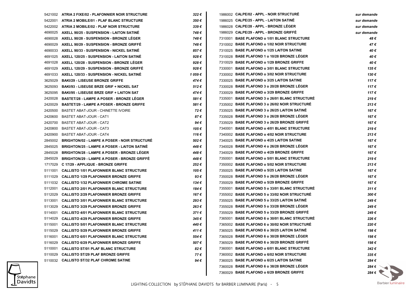|         | 5421002 ATRIA 2 FIXE/02 - PLAFONNIER NOIR STRUCTURE | 322€      | 1986002 CALPE/02 - APPL - NOIR STRUCTURE       | sur demande    |
|---------|-----------------------------------------------------|-----------|------------------------------------------------|----------------|
|         | 5422001 ATRIA 2 MOBILE/01 - PLAF BLANC STRUCTURE    | 350€      | 1986025 CALPE/25 - APPL - LAITON SATINE        | sur demande    |
|         | 5422002 ATRIA 2 MOBILE/02 - PLAF NOIR STRUCTURE     | $339 \in$ | 1986028 CALPE/28 - APPL - BRONZE LEGER         | sur demande    |
| 4690025 | AXELL 90/25 - SUSPENSION - LAITON SATINE            | 748€      | 1986029 CALPE/29 - APPL - BRONZE GRIFFE        | sur demande    |
| 4690028 | AXELL 90/28 - SUSPENSION - BRONZE LEGER             | 748€      | 7310001 BASE PLAFOND o 1/01 BLANC STRUCTURE    | 48 €           |
| 4690029 | AXELL 90/29 - SUSPENSION - BRONZE GRIFFE            | 748 €     | 7310002 BASE PLAFOND o 1/02 NOIR STRUCTURE     | 47 €           |
| 4690033 | AXELL 90/33 - SUSPENSION - NICKEL SATINE            | 857€      | 7310025 BASE PLAFOND o 1/25 LAITON SATINE      | 40 €           |
| 4691025 | <b>AXELL 120/25 - SUSPENSION - LAITON SATINE</b>    | 928€      | 7310028 BASE PLAFOND 1 o 10/28 BRONZE LEGER    | 40 €           |
| 4691028 | AXELL 120/28 - SUSPENSION - BRONZE LEGER            | 928€      | 7310029 BASE PLAFOND o 1/29 BRONZE GRIFFE      | 40€            |
| 4691029 | AXELL 120/29 - SUSPENSION - BRONZE GRIFFE           | 928€      | 7330001 BASE PLAFOND o 3/01 BLANC STRUCTURE    | 135€           |
| 4691033 | AXELL 120/33 - SUSPENSION - NICKEL SATINE           | 1 059€    | 7330002 BASE PLAFOND o 3/02 NOIR STRUCTURE     | 130€           |
| 3625029 | <b>BAKI/29 - LISEUSE BRONZE GRIFFE</b>              | 474€      | 7330025 BASE PLAFOND o 3/25 LAITON SATINE      | 117€           |
| 3625093 | <b>BAKI/93 - LISEUSE BRZE GRIF + NICKEL SAT</b>     | 512€      | 7330028 BASE PLAFOND 3 o 20/28 BRONZE LEGER    | 117€           |
| 3625095 | <b>BAKI/95 - LISEUSE BRZE GRIF + LAITON SAT</b>     | 474 €     | 7330029 BASE PLAFOND o 3/29 BRONZE GRIFFE      | 117€           |
| 2420028 | <b>BASTET/28 - LAMPE A POSER - BRONZE LEGER</b>     | 581€      | 7335001 BASE PLAFOND 3 o 26/01 BLANC STRUCTURE | 219€           |
| 2420029 | <b>BASTET/29 - LAMPE A POSER - BRONZE GRIFFE</b>    | 581€      | 7335002 BASE PLAFOND 3 o 26/02 NOIR STRUCTURE  | 213€           |
| 2420500 | BASTET ABAT-JOUR - CHINETTE IVOIRE                  | 72€       | 7335025 BASE PLAFOND 3 o 26/25 LAITON SATINE   | 167€           |
| 2420600 | <b>BASTET ABAT-JOUR - CAT1</b>                      | 87€       | 7335028 BASE PLAFOND 3 o 26/28 BRONZE LEGER    | 167€           |
| 2420700 | BASTET ABAT-JOUR - CAT2                             | 94 €      | 7335029 BASE PLAFOND 3 o 26/29 BRONZE GRIFFE   | 167€           |
| 2420800 | BASTET ABAT-JOUR - CAT3                             | 105€      | 7340001 BASE PLAFOND o 4/01 BLANC STRUCTURE    | 219€           |
| 2420900 | BASTET ABAT-JOUR - CAT4                             | 116€      | 7340002 BASE PLAFOND o 4/02 NOIR STRUCTURE     | 213€           |
| 2845002 | <b>BRIGHTON/02 - LAMPE A POSER - NOIR STRUCTURE</b> | 502€      | 7340025 BASE PLAFOND o 4/25 LAITON SATINE      | 167€           |
| 2845025 | <b>BRIGHTON/25 - LAMPE A POSER - LAITON SATINE</b>  | 448€      | 7340028 BASE PLAFOND 4 o 26/28 BRONZE LEGER    | 167€           |
| 2845028 | <b>BRIGHTON/28 - LAMPE A POSER - BRONZE LEGER</b>   | 448€      | 7340029 BASE PLAFOND o 4/29 BRONZE GRIFFE      | 167€           |
| 2845029 | <b>BRIGHTON/29 - LAMPE A POSER - BRONZE GRIFFE</b>  | 448€      | 7350001 BASE PLAFOND o 5/01 BLANC STRUCTURE    | 219€           |
| 1717029 | C 17/29 - APPLIQUE - BRONZE GRIFFE                  | 252€      | 7350002 BASE PLAFOND o 5/02 NOIR STRUCTURE     | 213€           |
| 5111001 | <b>CALLISTO 1/01 PLAFONNIER BLANC STRUCTURE</b>     | 105€      | 7350025 BASE PLAFOND o 5/25 LAITON SATINE      | 167 €          |
| 5111029 | <b>CALLISTO 1/29 PLAFONNIER BRONZE GRIFFE</b>       | 93€       | 7350028 BASE PLAFOND 5 o 26/28 BRONZE LEGER    | 167 €          |
| 5111032 | <b>CALLISTO 1/32 PLAFONNIER CHROME SATINE</b>       | 134 €     | 7350029 BASE PLAFOND o 5/29 BRONZE GRIFFE      | 167€           |
| 5112001 | <b>CALLISTO 2/01 PLAFONNIER BLANC STRUCTURE</b>     | 184 €     | 7355001 BASE PLAFOND 5 o 33/01 BLANC STRUCTURE | 311€           |
| 5112029 | <b>CALLISTO 2/29 PLAFONNIER BRONZE GRIFFE</b>       | 167 €     | 7355002 BASE PLAFOND 5 o 33/02 NOIR STRUCTURE  | 300 €          |
| 5113001 | <b>CALLISTO 3/01 PLAFONNIER BLANC STRUCTURE</b>     | 293€      | 7355025 BASE PLAFOND 5 o 33/25 LAITON SATINE   | 249€           |
| 5113029 | <b>CALLISTO 3/29 PLAFONNIER BRONZE GRIFFE</b>       | 263€      | 7355028 BASE PLAFOND 5 o 33/28 BRONZE LEGER    | 249€           |
| 5114001 | <b>CALLISTO 4/01 PLAFONNIER BLANC STRUCTURE</b>     | 371€      | 7355029 BASE PLAFOND 5 o 33/29 BRONZE GRIFFÉ   | 249€           |
| 5114029 | <b>CALLISTO 4/29 PLAFONNIER BRONZE GRIFFE</b>       | 345€      | 7365001 BASE PLAFOND 6 o 30/01 BLANC STRUCTURE | 226€           |
| 5115001 | <b>CALLISTO 5/01 PLAFONNIER BLANC STRUCTURE</b>     | 440 €     | 7365002 BASE PLAFOND 6 o 30/02 NOIR STRUCTURE  | 220€           |
|         | 5115029 CALLISTO 5/29 PLAFONNIER BRONZE GRIFFE      | 411€      | 7365025 BASE PLAFOND 6 o 30/25 LAITON SATINE   | 198€           |
|         | 5116001 CALLISTO 6/01 PLAFONNIER BLANC STRUCTURE    | 554€      | 7365028 BASE PLAFOND 6 o 30/28 BRONZE LEGER    | 198€           |
| 5116029 | <b>CALLISTO 6/29 PLAFONNIER BRONZE GRIFFE</b>       | 507€      | 7365029 BASE PLAFOND 6 o 30/29 BRONZE GRIFFE   | 198€           |
| 5110001 | <b>CALLISTO ST/01 PLAF BLANC STRUCTURE</b>          | 82€       | 7360001 BASE PLAFOND o 6/01 BLANC STRUCTURE    | 342€           |
| 5110029 | <b>CALLISTO ST/29 PLAF BRONZE GRIFFE</b>            | 77€       | 7360002 BASE PLAFOND o 6/02 NOIR STRUCTURE     | 335€           |
|         | 5110032 CALLISTO ST/32 PLAF CHROME SATINE           | 94€       | 7360025 BASE PLAFOND o 6/25 LAITON SATINE      | 284 €          |
|         |                                                     |           | 7360028 BASE PLAFOND 6 o 38/28 BRONZE LEGER    | 284 €          |
|         |                                                     |           | 7360029 BASE PLAFOND o 6/29 BRONZE GRIFFE      | 284 $\epsilon$ |

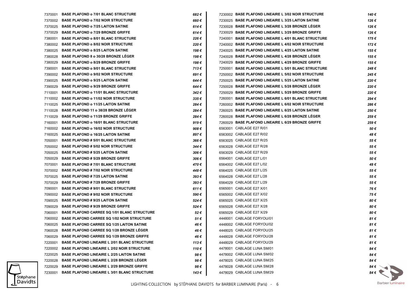| 7370001 | <b>BASE PLAFOND o 7/01 BLANC STRUCTURE</b>          | 682€      | 7230002 BASE PLAFOND LINEAIRE L 3/02 NOIR STRUCTURE  | 140 € |
|---------|-----------------------------------------------------|-----------|------------------------------------------------------|-------|
| 7370002 | <b>BASE PLAFOND o 7/02 NOIR STRUCTURE</b>           | 660€      | 7230025 BASE PLAFOND LINEAIRE L 3/25 LAITON SATINE   | 126€  |
| 7370025 | <b>BASE PLAFOND o 7/25 LAITON SATINE</b>            | 614€      | 7230028 BASE PLAFOND LINEAIRE L 3/28 BRONZE LEGER    | 126 € |
| 7370029 | <b>BASE PLAFOND o 7/29 BRONZE GRIFFE</b>            | 614€      | 7230029 BASE PLAFOND LINEAIRE L 3/29 BRONZE GRIFFE   | 126 € |
| 7380001 | <b>BASE PLAFOND o 8/01 BLANC STRUCTURE</b>          | 226€      | 7240001 BASE PLAFOND LINEAIRE L 4/01 BLANC STRUCTURE | 175€  |
| 7380002 | <b>BASE PLAFOND o 8/02 NOIR STRUCTURE</b>           | 220€      | 7240002 BASE PLAFOND LINEAIRE L 4/02 NOIR STRUCTURE  | 172€  |
| 7380025 | <b>BASE PLAFOND o 8/25 LAITON SATINE</b>            | 198€      | 7240025 BASE PLAFOND LINEAIRE L 4/25 LAITON SATINE   | 155 € |
| 7380028 | <b>BASE PLAFOND 8 o 30/28 BRONZE LEGER</b>          | 198 €     | 7240028 BASE PLAFOND LINEAIRE L 4/28 BRONZE LEGER    | 155 € |
| 7380029 | <b>BASE PLAFOND o 8/29 BRONZE GRIFFE</b>            | 198 €     | 7240029 BASE PLAFOND LINEAIRE L 4/29 BRONZE GRIFFE   | 155 € |
| 7390001 | <b>BASE PLAFOND o 9/01 BLANC STRUCTURE</b>          | 713€      | 7250001 BASE PLAFOND LINEAIRE L 5/01 BLANC STRUCTURE | 248€  |
| 7390002 | <b>BASE PLAFOND o 9/02 NOIR STRUCTURE</b>           | 691€      | 7250002 BASE PLAFOND LINEAIRE L 5/02 NOIR STRUCTURE  | 245€  |
| 7390025 | <b>BASE PLAFOND o 9/25 LAITON SATINE</b>            | 644 €     | 7250025 BASE PLAFOND LINEAIRE L 5/25 LAITON SATINE   | 220€  |
| 7390029 | <b>BASE PLAFOND o 9/29 BRONZE GRIFFE</b>            | 644 €     | 7250028 BASE PLAFOND LINEAIRE L 5/28 BRONZE LEGER    | 220€  |
| 7110001 | <b>BASE PLAFOND o 11/01 BLANC STRUCTURE</b>         | 342€      | 7250029 BASE PLAFOND LINEAIRE L 5/29 BRONZE GRIFFE   | 220€  |
| 7110002 | <b>BASE PLAFOND o 11/02 NOIR STRUCTURE</b>          | $335 \in$ | 7260001 BASE PLAFOND LINEAIRE L 6/01 BLANC STRUCTURE | 294€  |
| 7110025 | <b>BASE PLAFOND o 11/25 LAITON SATINE</b>           | 284 €     | 7260002 BASE PLAFOND LINEAIRE L 6/02 NOIR STRUCTURE  | 286€  |
| 7110028 | <b>BASE PLAFOND 11 o 38/28 BRONZE LEGER</b>         | 284 €     | 7260025 BASE PLAFOND LINEAIRE L 6/25 LAITON SATINE   | 250€  |
| 7110029 | <b>BASE PLAFOND o 11/29 BRONZE GRIFFE</b>           | 284 €     | 7260028 BASE PLAFOND LINEAIRE L 6/28 BRONZE LEGER    | 259€  |
| 7160001 | <b>BASE PLAFOND o 16/01 BLANC STRUCTURE</b>         | 919€      | 7260029 BASE PLAFOND LINEAIRE L 6/29 BRONZE GRIFFE   | 259€  |
| 7160002 | <b>BASE PLAFOND o 16/02 NOIR STRUCTURE</b>          | 908€      | 6563001 CABLAGE E27 R/01                             | 50€   |
| 7160025 | <b>BASE PLAFOND o 16/25 LAITON SATINE</b>           | 897€      | 6563002 CABLAGE E27 R/02                             | 48€   |
| 7050001 | <b>BASE PLAFOND # 5/01 BLANC STRUCTURE</b>          | 366€      | 6563025 CABLAGE E27 R/25                             | 55 €  |
| 7050002 | <b>BASE PLAFOND # 5/02 NOIR STRUCTURE</b>           | 344 €     | 6563028 CABLAGE E27 R/28                             | 55€   |
| 7050025 | <b>BASE PLAFOND # 5/25 LAITON SATINE</b>            | 306€      | 6563029 CABLAGE E27 R/29                             | 55€   |
| 7050029 | <b>BASE PLAFOND # 5/29 BRONZE GRIFFE</b>            | 306€      | 6564001 CABLAGE E27 L/01                             | 50€   |
| 7070001 | <b>BASE PLAFOND #7/01 BLANC STRUCTURE</b>           | 470€      | 6564002 CABLAGE E27 L/02                             | 48€   |
| 7070002 | <b>BASE PLAFOND # 7/02 NOIR STRUCTURE</b>           | 448 €     | 6564025 CABLAGE E27 L/25                             | 55€   |
| 7070025 | <b>BASE PLAFOND # 7/25 LAITON SATINE</b>            | $393 \in$ | 6564028 CABLAGE E27 L/28                             | 55€   |
| 7070029 | <b>BASE PLAFOND # 7/29 BRONZE GRIFFE</b>            | $393 \in$ | 6564029 CABLAGE E27 L/29                             | 55€   |
| 7090001 | <b>BASE PLAFOND # 9/01 BLANC STRUCTURE</b>          | 611€      | 6565001 CABLAGE E27 X/01                             | 76€   |
| 7090002 | <b>BASE PLAFOND # 9/02 NOIR STRUCTURE</b>           | 590€      | 6565002 CABLAGE E27 X/02                             | 75€   |
| 7090025 | <b>BASE PLAFOND # 9/25 LAITON SATINE</b>            | 524€      | 6565025 CABLAGE E27 X/25                             | 80€   |
| 7090029 | <b>BASE PLAFOND # 9/29 BRONZE GRIFFE</b>            | 524€      | 6565028 CABLAGE E27 X/28                             | 80€   |
| 7060001 | <b>BASE PLAFOND CARREE SQ 1/01 BLANC STRUCTURE</b>  | 52€       | 6565029 CABLAGE E27 X/29                             | 80 €  |
| 7060002 | <b>BASE PLAFOND CARREE SQ 1/02 NOIR STRUCTURE</b>   | 51 €      | 4448001 CABLAGE FORYOU/01                            | 81€   |
|         | 7060025 BASE PLAFOND CARREE SQ 1/25 LAITON SATINE   | 46 €      | 4448002 CABLAGE FORYOU/02                            | 81€   |
| 7060028 | <b>BASE PLAFOND CARREE SQ 1/28 BRONZE LEGER</b>     | 46€       | 4448025 CABLAGE FORYOU/25                            | 81 €  |
| 7060029 | <b>BASE PLAFOND CARREE SQ 1/29 BRONZE GRIFFE</b>    | 46 €      | 4448028 CABLAGE FORYOU/28                            | 81€   |
| 7220001 | <b>BASE PLAFOND LINEAIRE L 2/01 BLANC STRUCTURE</b> | 113€      | 4448029 CABLAGE FORYOU/29                            | 81€   |
| 7220002 | <b>BASE PLAFOND LINEAIRE L 2/02 NOIR STRUCTURE</b>  | 110€      | 4478001 CABLAGE LUNA SM/01                           | 84€   |
| 7220025 | <b>BASE PLAFOND LINEAIRE L 2/25 LAITON SATINE</b>   | 98€       | 4478002 CABLAGE LUNA SM/02                           | 84€   |
| 7220028 | <b>BASE PLAFOND LINEAIRE L 2/28 BRONZE LEGER</b>    | 98€       | 4478025 CABLAGE LUNA SM/25                           | 84€   |
| 7220029 | <b>BASE PLAFOND LINEAIRE L 2/29 BRONZE GRIFFE</b>   | 98€       | 4478028 CABLAGE LUNA SM/28                           | 84 €  |
| 7230001 | <b>BASE PLAFOND LINEAIRE L 3/01 BLANC STRUCTURE</b> | 143 €     | 4478029 CABLAGE LUNA SM/29                           | 84 €  |
|         |                                                     |           |                                                      |       |

Stéphane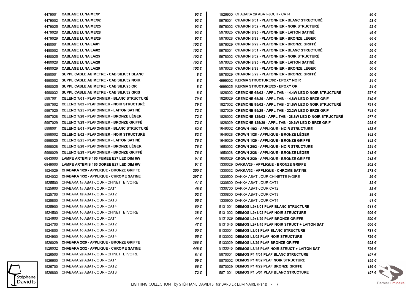| 4479001 | <b>CABLAGE LUNA ME/01</b>                         | 93 € | 1526900 CHABAKA 2# ABAT-JOUR - CAT4                            | 80 €           |
|---------|---------------------------------------------------|------|----------------------------------------------------------------|----------------|
|         | 4479002 CABLAGE LUNA ME/02                        | 93€  | 5976001 CHARON 6/01 - PLAFONNIER - BLANC STRUCTURE             | 53€            |
| 4479025 | <b>CABLAGE LUNA ME/25</b>                         | 93€  | 5976002 CHARON 6/02 - PLAFONNIER - NOIR STRUCTURE              | 52€            |
| 4479028 | <b>CABLAGE LUNA ME/28</b>                         | 93€  | 5976025 CHARON 6/25 - PLAFONNIER - LAITON SATINE               | 46€            |
| 4479029 | <b>CABLAGE LUNA ME/29</b>                         | 93€  | 5976028 CHARON 6/28 - PLAFONNIER - BRONZE LEGER                | 46€            |
| 4480001 | <b>CABLAGE LUNA LA/01</b>                         | 102€ | 5976029 CHARON 6/29 - PLAFONNIER - BRONZE GRIFFE               | 46 €           |
| 4480002 | <b>CABLAGE LUNA LA/02</b>                         | 102€ | 5978001 CHARON 8/01 - PLAFONNIER - BLANC STRUCTURE             | 56 €           |
| 4480025 | <b>CABLAGE LUNA LA/25</b>                         | 102€ | 5978002 CHARON 8/02 - PLAFONNIER - NOIR STRUCTURE              | 55€            |
| 4480028 | <b>CABLAGE LUNA LA/28</b>                         | 102€ | 5978025 CHARON 8/25 - PLAFONNIER - LAITON SATINE               | 50€            |
| 4480029 | <b>CABLAGE LUNA LA/29</b>                         | 102€ | 5978028 CHARON 8/28 - PLAFONNIER - BRONZE LEGER                | 50€            |
| 4990001 | SUPPL CABLE AU METRE - CAB SILK/01 BLANC          | 8€   | 5978029 CHARON 8/29 - PLAFONNIER - BRONZE GRIFFE               | 50€            |
| 4990002 | SUPPL CABLE AU METRE - CAB SILK/02 NOIR           | 8€   | 4999002 KERMA STRUCTURE/02 - EPOXY NOIR                        | 24€            |
| 4990025 | SUPPL CABLE AU METRE - CAB SILK/25 OR             | 8€   | 4999025 KERMA STRUCTURE/25 - EPOXY OR                          | 24€            |
|         | 4990032 SUPPL CABLE AU METRE - CAB SILK/32 GRIS   | 8€   | 1826002 CREMONE 65/02 - APPL TAB - 14,4W LED D NOIR STRUCTURE  | 557€           |
| 5997001 | <b>CELENO 7/01 - PLAFONNIER - BLANC STRUCTURE</b> | 79€  | 1826029 CREMONE 65/29 - APPL TAB - 14,8W LED D BRZE GRIF       | 519€           |
|         | 5997002 CELENO 7/02 - PLAFONNIER - NOIR STRUCTURE | 79€  | 1827002 CREMONE 95/02 - APPL TAB - 21,6W LED D NOIR STRUCTURE  | 791€           |
| 5997025 | <b>CELENO 7/25 - PLAFONNIER - LAITON SATINE</b>   | 72€  | 1827029 CREMONE 95/29 - APPL TAB - 22.2W LED D BRZE GRIF       | 748€           |
| 5997028 | <b>CELENO 7/28 - PLAFONNIER - BRONZE LEGER</b>    | 72€  | 1828002 CREMONE 125/02 - APPL TAB - 28,8W LED D NOIR STRUCTURE | 977€           |
| 5997029 | <b>CELENO 7/29 - PLAFONNIER - BRONZE GRIFFE</b>   | 72€  | 1828029 CREMONE 125/29 - APPL TAB - 29,6W LED D BRZE GRIF      | 928€           |
| 5998001 | <b>CELENO 8/01 - PLAFONNIER - BLANC STRUCTURE</b> | 82€  | 1649002 CROWN 1/02 - APPLIQUE - NOIR STRUCTURE                 | 153€           |
| 5998002 | <b>CELENO 8/02 - PLAFONNIER - NOIR STRUCTURE</b>  | 82€  | 1649028 CROWN 1/28 - APPLIQUE - BRONZE LÉGER                   | 142€           |
| 5998025 | <b>CELENO 8/25 - PLAFONNIER - LAITON SATINE</b>   | 76 € | 1649029 CROWN 1/29 - APPLIQUE - BRONZE GRIFFE                  | 142€           |
| 5998028 | <b>CELENO 8/28 - PLAFONNIER - BRONZE LEGER</b>    | 76 € | 1650002 CROWN 2/02 - APPLIQUE - NOIR STRUCTURE                 | 224€           |
| 5998029 | <b>CELENO 8/29 - PLAFONNIER - BRONZE GRIFFE</b>   | 76 € | 1650028 CROWN 2/28 - APPLIQUE - BRONZE LEGER                   | 213€           |
| 6843000 | <b>LAMPE ARTEMIS 165 FUMEE E27 LED DIM 6W</b>     | 91 € | 1650029 CROWN 2/29 - APPLIQUE - BRONZE GRIFFE                  | 213€           |
| 6849000 | LAMPE ARTEMIS 165 DOREE E27 LED DIM 6W            | 91 € | 1330029 DAKKA/29 - APPLIQUE - BRONZE GRIFFE                    | 202€           |
| 1524029 | <b>CHABAKA 1/29 - APPLIQUE - BRONZE GRIFFE</b>    | 250€ | 1330032 DAKKA/32 - APPLIQUE - CHROME SATINE                    | 273€           |
| 1524032 | <b>CHABAKA 1/32 - APPLIQUE - CHROME SATINE</b>    | 297€ | 1330500 DAKKA ABAT-JOUR CHINETTE IVOIRE                        | 26€            |
| 1525500 | CHABAKA 1# ABAT-JOUR - CHINETTE IVOIRE            | 41 € | 1330600 DAKKA ABAT-JOUR CAT1                                   | 32€            |
| 1525600 | CHABAKA 1# ABAT-JOUR - CAT1                       | 48 € | 1330700 DAKKA ABAT-JOUR CAT2                                   | 35€            |
| 1525700 | CHABAKA 1# ABAT-JOUR - CAT2                       | 52€  | 1330800 DAKKA ABAT-JOUR CAT3                                   | 38€            |
| 1525800 | CHABAKA 1# ABAT-JOUR - CAT3                       | 55 € | 1330900 DAKKA ABAT-JOUR CAT4                                   | 41€            |
| 1525900 | CHABAKA 1# ABAT-JOUR - CAT4                       | 60 € | 5131001 DEIMOS L2+1/01 PLAF BLANC STRUCTURE                    | 611€           |
| 1524500 | CHABAKA 10 ABAT-JOUR - CHINETTE IVOIRE            | 38€  | 5131002 DEIMOS L2+1/02 PLAF NOIR STRUCTURE                     | 606€           |
| 1524600 | CHABAKA 1o ABAT-JOUR - CAT1                       | 44 € | 5131029 DEIMOS L2+1/29 PLAF BRONZE GRIFFE                      | 590€           |
| 1524700 | CHABAKA 1o ABAT-JOUR - CAT2                       | 47 € | 5131045 DEIMOS L2+1/45 PLAF NOIR STRUCT + LAITON SAT           | 606 €          |
|         | 1524800 CHABAKA 1o ABAT-JOUR - CAT3               | 50 € | 5133001 DEIMOS L3/01 PLAF BLANC STRUCTURE                      | 731€           |
|         | 1524900 CHABAKA 1o ABAT-JOUR - CAT4               | 55 € | 5133002 DEIMOS L3/02 PLAF NOIR STRUCTURE                       | 726€           |
| 1526029 | <b>CHABAKA 2/29 - APPLIQUE - BRONZE GRIFFE</b>    | 366€ | 5133029 DEIMOS L3/29 PLAF BRONZE GRIFFE                        | 693€           |
|         | 1526032 CHABAKA 2/32 - APPLIQUE - CHROME SATINE   | 448€ | 5133045 DEIMOS L3/45 PLAF NOIR STRUCT + LAITON SAT             | 726€           |
| 1526500 | CHABAKA 2# ABAT-JOUR - CHINETTE IVOIRE            | 51€  | 5870001 DEIMOS P1 #/01 PLAF BLANC STRUCTURE                    | 197€           |
| 1526600 | CHABAKA 2# ABAT-JOUR - CAT1                       | 59€  | 5870002 DEIMOS P1 #/02 PLAF NOIR STRUCTURE                     | 195€           |
| 1526700 | CHABAKA 2# ABAT-JOUR - CAT2                       | 66 € | 5870029 DEIMOS P1 #/29 PLAF BRONZE GRIFFE                      | 186€ े         |
| 1526800 | CHABAKA 2# ABAT-JOUR - CAT3                       | 72€  | 5871001 DEIMOS P1 o/01 PLAF BLANC STRUCTURE                    | 197 $\epsilon$ |

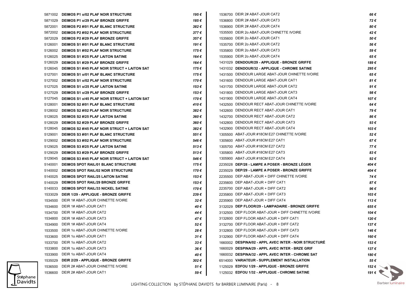|         | 5871002 DEIMOS P1 o/02 PLAF NOIR STRUCTURE           | 195€          | 1536700 DEIR 2# ABAT-JOUR CAT2                        | 66€                   |
|---------|------------------------------------------------------|---------------|-------------------------------------------------------|-----------------------|
|         | 5871029 DEIMOS P1 o/29 PLAF BRONZE GRIFFE            | 185 €         | 1536800 DEIR 2# ABAT-JOUR CAT3                        | 72€                   |
|         | 5872001 DEIMOS P2 #/01 PLAF BLANC STRUCTURE          | 382€          | 1536900 DEIR 2# ABAT-JOUR CAT4                        | 80€                   |
|         | 5872002 DEIMOS P2 #/02 PLAF NOIR STRUCTURE           | 377€          | 1535500 DEIR 2o ABAT-JOUR CHINETTE IVOIRE             | 42€                   |
| 5872029 | <b>DEIMOS P2 #/29 PLAF BRONZE GRIFFE</b>             | 357€          | 1535600 DEIR 2o ABAT-JOUR CAT1                        | 50€                   |
| 5126001 | DEIMOS S1 #/01 PLAF BLANC STRUCTURE                  | 191 €         | 1535700 DEIR 2o ABAT-JOUR CAT2                        | 56€                   |
|         | 5126002 DEIMOS S1 #/02 PLAF NOIR STRUCTURE           | 175€          | 1535800 DEIR 2o ABAT-JOUR CAT3                        | 59€                   |
|         | 5126025 DEIMOS S1 #/25 PLAF LAITON SATINE            | 164 €         | 1535900 DEIR 2o ABAT-JOUR CAT4                        | 65€                   |
| 5126029 | <b>DEIMOS S1 #/29 PLAF BRONZE GRIFFE</b>             | 164 €         | 1431029 DENDOUR/29 - APPLIQUE - BRONZE GRIFFE         | 189€                  |
|         | 5126045 DEIMOS S1 #/45 PLAF NOIR STRUCT + LAITON SAT | 175 €         | 1431032 DENDOUR/32 - APPLIQUE - CHROME SATINE         | 295€                  |
|         | 5127001 DEIMOS S1 o/01 PLAF BLANC STRUCTURE          | 175€          | 1431500 DENDOUR LARGE ABAT-JOUR CHINETTE IVOIRE       | 65€                   |
|         | 5127002 DEIMOS S1 o/02 PLAF NOIR STRUCTURE           | 170€          | 1431600 DENDOUR LARGE ABAT-JOUR CAT1                  | 81€                   |
|         | 5127025 DEIMOS S1 o/25 PLAF LAITON SATINE            | 153 €         | 1431700 DENDOUR LARGE ABAT-JOUR CAT2                  | 91€                   |
|         | 5127029 DEIMOS S1 o/29 PLAF BRONZE GRIFFE            | 153 €         | 1431800 DENDOUR LARGE ABAT-JOUR CAT3                  | 98€                   |
|         | 5127045 DEIMOS S1 o/45 PLAF NOIR STRUCT + LAITON SAT | 170 €         | 1431900 DENDOUR LARGE ABAT-JOUR CAT4                  | 107€                  |
|         | 5128001 DEIMOS S2 #/01 PLAF BLANC STRUCTURE          | 410€          | 1432500 DENDOUR RECT ABAT-JOUR CHINETTE IVOIRE        | 64 €                  |
|         | 5128002 DEIMOS S2 #/02 PLAF NOIR STRUCTURE           | 382€          | 1432600 DENDOUR RECT ABAT-JOUR CAT1                   | 79€                   |
| 5128025 | <b>DEIMOS S2 #/25 PLAF LAITON SATINE</b>             | 360€          | 1432700 DENDOUR RECT ABAT-JOUR CAT2                   | 86€                   |
|         | 5128029 DEIMOS S2 #/29 PLAF BRONZE GRIFFE            | 360€          | 1432800 DENDOUR RECT ABAT-JOUR CAT3                   | 93€                   |
|         | 5128045 DEIMOS S2 #/45 PLAF NOIR STRUCT + LAITON SAT | 382€          | 1432900 DENDOUR RECT ABAT-JOUR CAT4                   | 103€                  |
| 5129001 | <b>DEIMOS S3 #/01 PLAF BLANC STRUCTURE</b>           | 551€          | 1305500 ABAT-JOUR #18CM E27 CHINETTE IVOIRE           | 52€                   |
| 5129002 | <b>DEIMOS S3 #/02 PLAF NOIR STRUCTURE</b>            | 546€          | 1305600 ABAT-JOUR #18CM E27 CAT1                      | 67€                   |
| 5129025 | <b>DEIMOS S3 #/25 PLAF LAITON SATINE</b>             | 513€          | 1305700 ABAT-JOUR #18CM E27 CAT2                      | 77€                   |
| 5129029 | <b>DEIMOS S3 #/29 PLAF BRONZE GRIFFE</b>             | 513€          | 1305800 ABAT-JOUR #18CM E27 CAT3                      | 83€                   |
| 5129045 | <b>DEIMOS S3 #/45 PLAF NOIR STRUCT + LAITON SAT</b>  | 546€          | 1305900 ABAT-JOUR #18CM E27 CAT4                      | 92€                   |
|         | 5140001 DEIMOS SPOT RAIL/01 BLANC STRUCTURE          | 175 €         | 2235028 DEP/28 - LAMPE A POSER - BRONZE LEGER         | 404 €                 |
|         | 5140002 DEIMOS SPOT RAIL/02 NOIR STRUCTURE           | 170 €         | 2235029 DEP/29 - LAMPE A POSER - BRONZE GRIFFE        | 404 €                 |
| 5140025 | <b>DEIMOS SPOT RAIL/25 LAITON SATINE</b>             | 153 €         | 2235500 DEP ABAT-JOUR + DIFF CHINETTE IVOIRE          | 74 €                  |
| 5140029 | <b>DEIMOS SPOT RAIL/29 BRONZE GRIFFE</b>             | 153 €         | 2235600 DEP ABAT-JOUR + DIFF CAT1                     | 87€                   |
|         | 5140033 DEIMOS SPOT RAIL/33 NICKEL SATINE            | 170 €         | 2235700 DEP ABAT-JOUR + DIFF CAT2                     | 96€                   |
|         | 1533029 DEIR 1/29 - APPLIQUE - BRONZE GRIFFE         | 239€          | 2235800 DEP ABAT-JOUR + DIFF CAT3                     | 103€                  |
| 1534500 | DEIR 1# ABAT-JOUR CHINETTE IVOIRE                    | 32€           | 2235900 DEP ABAT-JOUR + DIFF CAT4                     | 113€                  |
| 1534600 | DEIR 1# ABAT-JOUR CAT1                               | 40 €          | 3132029 DEP FLOOR/29 - LAMPADAIRE - BRONZE GRIFFE     | 655€                  |
| 1534700 | DEIR 1# ABAT-JOUR CAT2                               | 44 €          | 3132500 DEP FLOOR ABAT-JOUR + DIFF CHINETTE IVOIRE    | 104 €                 |
| 1534800 | DEIR 1# ABAT-JOUR CAT3                               | 47 €          | 3132600 DEP FLOOR ABAT-JOUR + DIFF CAT1               | 120€                  |
|         | 1534900 DEIR 1# ABAT-JOUR CAT4                       | 52€           | 3132700 DEP FLOOR ABAT-JOUR + DIFF CAT2               | 137€                  |
|         | 1533500 DEIR 1o ABAT-JOUR CHINETTE IVOIRE            | 28€           | 3132800 DEP FLOOR ABAT-JOUR + DIFF CAT3               | 146€                  |
|         | 1533600 DEIR 1o ABAT-JOUR CAT1                       | $31 \in$      | 3132900 DEP FLOOR ABAT-JOUR + DIFF CAT4               | 160€                  |
|         | 1533700 DEIR 1o ABAT-JOUR CAT2                       | $33 \epsilon$ | 1660002 DESPINA/02 - APPL AVEC INTER - NOIR STRUCTURE | 153€                  |
|         | 1533800 DEIR 1o ABAT-JOUR CAT3                       | 36€           | 1660029 DESPINA/29 - APPL AVEC INTER - BRZE GRIF      | 137€                  |
|         | 1533900 DEIR 1o ABAT-JOUR CAT4                       | 40 €          | 1660032 DESPINA/32 - APPL AVEC INTER - CHROME SAT     | 180€                  |
|         | 1535029 DEIR 2/29 - APPLIQUE - BRONZE GRIFFE         | 302€          | 6514000 VARIATEUR - SUPPLEMENT INSTALLATION           | 55 €                  |
|         | 1536500 DEIR 2# ABAT-JOUR CHINETTE IVOIRE            | 51€           | 1125029 EDFOU 1/29 - APPLIQUE - BRONZE GRIFFE         | 152 $\epsilon$ $\sim$ |
|         | 1536600 DEIR 2# ABAT-JOUR CAT1                       | 59€           | 1125032 EDFOU 1/32 - APPLIQUE - CHROME SATINE         | 191 $\epsilon$        |
|         |                                                      |               |                                                       |                       |

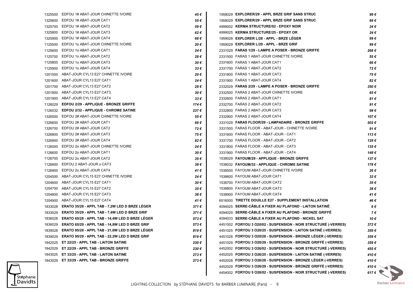| 1325500 | EDFOU 1# ABAT-JOUR CHINETTE IVOIRE                     | 45€           | 1958029 EXPLORER/29 - APPL BRZE GRIF SANS STRUC                 | 99€                  |
|---------|--------------------------------------------------------|---------------|-----------------------------------------------------------------|----------------------|
| 1325600 | EDFOU 1# ABAT-JOUR CAT1                                | 55€           | 1958029 EXPLORER/29 - APPL BRZE GRIF SANS STRUC                 | 99€                  |
| 1325700 | EDFOU 1# ABAT-JOUR CAT2                                | 59€           | 4999002 KERMA STRUCTURE/02 - EPOXY NOIR                         | 24€                  |
| 1325800 | EDFOU 1# ABAT-JOUR CAT3                                | 62€           | 4999025 KERMA STRUCTURE/25 - EPOXY OR                           | 24€                  |
| 1325900 | EDFOU 1# ABAT-JOUR CAT4                                | 68€           | 1959028 EXPLORER L/28 - APPL - BRZE LEGER                       | 99€                  |
| 1125500 | EDFOU 10 ABAT-JOUR CHINETTE IVOIRE                     | 20€           | 1959029 EXPLORER L/29 - APPL - BRZE GRIF                        | 99€                  |
| 1125600 | EDFOU 10 ABAT-JOUR CAT1                                | 24€           | 2331029 FARAS 1/29 - LAMPE A POSER - BRONZE GRIFFE              | 268€                 |
| 1125700 | EDFOU 10 ABAT-JOUR CAT2                                | 28€           | 2331500 FARAS 1 ABAT-JOUR CHINETTE IVOIRE                       | 55€                  |
| 1125800 | EDFOU 1o ABAT-JOUR CAT3                                | 30€           | 2331600 FARAS 1 ABAT-JOUR CAT1                                  | 66€                  |
| 1125900 | EDFOU 1o ABAT-JOUR CAT4                                | $33 \epsilon$ | 2331700 FARAS 1 ABAT-JOUR CAT2                                  | 72€                  |
| 1201500 | ABAT-JOUR CYL13 E27 CHINETTE IVOIRE                    | 20€           | 2331800 FARAS 1 ABAT-JOUR CAT3                                  | 75€                  |
| 1201600 | ABAT-JOUR CYL13 E27 CAT1                               | 24€           | 2331900 FARAS 1 ABAT-JOUR CAT4                                  | 82€                  |
| 1201700 | ABAT-JOUR CYL13 E27 CAT2                               | 28€           | 2332029 FARAS 2/29 - LAMPE A POSER - BRONZE GRIFFE              | 350€                 |
| 1201800 | ABAT-JOUR CYL13 E27 CAT3                               | 30€           | 2332500 FARAS 2 ABAT-JOUR CHINETTE IVOIRE                       | 65€                  |
| 1201900 | ABAT-JOUR CYL13 E27 CAT4                               | $33 \epsilon$ | 2332600 FARAS 2 ABAT-JOUR CAT1                                  | 81€                  |
| 1126029 | EDFOU 2/29 - APPLIQUE - BRONZE GRIFFE                  | 174 €         | 2332700 FARAS 2 ABAT-JOUR CAT2                                  | 91€                  |
| 1126032 | <b>EDFOU 2/32 - APPLIQUE - CHROME SATINE</b>           | 237 €         | 2332800 FARAS 2 ABAT-JOUR CAT3                                  | 98€                  |
| 1326500 | EDFOU 2# ABAT-JOUR CHINETTE IVOIRE                     | 55€           | 2332900 FARAS 2 ABAT-JOUR CAT4                                  | 107€                 |
| 1326600 | EDFOU 2# ABAT-JOUR CAT1                                | 66 €          | 3331029 FARAS FLOOR/29 - LAMPADAIRE - BRONZE GRIFFE             | 502€                 |
| 1326700 | EDFOU 2# ABAT-JOUR CAT2                                | 72€           | 3331500 FARAS FLOOR - ABAT-JOUR - CHINETTE IVOIRE               | 91€                  |
| 1326800 | EDFOU 2# ABAT-JOUR CAT3                                | 75€           | 3331600 FARAS FLOOR - ABAT-JOUR - CAT1                          | 113€                 |
| 1326900 | EDFOU 2# ABAT-JOUR CAT4                                | 82€           | 3331700 FARAS FLOOR - ABAT-JOUR - CAT2                          | 129€                 |
| 1126500 | EDFOU 20 ABAT-JOUR CHINETTE IVOIRE                     | 24€           | 3331800 FARAS FLOOR - ABAT-JOUR - CAT3                          | 135€                 |
| 1126600 | EDFOU 20 ABAT-JOUR CAT1                                | 30€           | 3331900 FARAS FLOOR - ABAT-JOUR - CAT4                          | 148€                 |
| 1126700 | EDFOU 20 ABAT-JOUR CAT2                                | 35€           | 1538029 FAYOUM/29 - APPLIQUE - BRONZE GRIFFE                    | 137€                 |
| 1126800 | EDFOU 2 ABAT-JOUR o CAT3                               | 38€           | 1538032 FAYOUM/32 - APPLIQUE - CHROME SATINE                    | 178€                 |
| 1126900 | EDFOU 20 ABAT-JOUR CAT4                                | 41 €          | 1538500 FAYOUM ABAT-JOUR CHINETTE IVOIRE                        | 26€                  |
| 1204500 | ABAT-JOUR CYL15 E27 CHINETTE IVOIRE                    | 24€           | 1538600 FAYOUM ABAT-JOUR CAT1                                   | 32€                  |
| 1204600 | ABAT-JOUR CYL15 E27 CAT1                               | 30€           | 1538700 FAYOUM ABAT-JOUR CAT2                                   | 35€                  |
| 1204700 | ABAT-JOUR CYL15 E27 CAT2                               | 35€           | 1538800 FAYOUM ABAT-JOUR CAT3                                   | 38€                  |
| 1204800 | ABAT-JOUR CYL15 E27 CAT3                               | 38€           | 1538900 FAYOUM ABAT-JOUR CAT4                                   | 41€                  |
| 1204900 | ABAT-JOUR CYL15 E27 CAT4                               | 41 €          | 6516000 TIRETTE DOUILLE E27 - SUPPLEMENT INSTALLATION           | 46 €                 |
| 1833028 | ERATO 35/28 - APPL TAB - 7,2W LED D BRZE LEGER         | 371€          | 4094025 SERRE-CABLE A FIXER AU PLAFOND - LAITON SATINE          | 6€                   |
| 1833029 | ERATO 35/29 - APPL TAB - 7,4W LED D BRZE GRIF          | 371€          | 4094029 SERRE-CABLE A FIXER AU PLAFOND - BRONZE GRIFFE          | 7€                   |
| 1836028 | ERATO 65/28 - APPL TAB - 14,4W LED D BRZE LEGER        | 573€          | 4094033 SERRE-CÂBLE A FIXER AU PLAFOND - NICKEL SAT             | 10€                  |
|         | 1836029 ERATO 65/29 - APPL TAB - 14,8W LED D BRZE GRIF | 573€          | 4451002 FORYOU 3 O20/02 - SUSPENSION - NOIR STRUCTURE (-VERRES) | 372€                 |
| 1839028 | ERATO 95/28 - APPL TAB - 21,6W LED D BRZE LÉGER        | 819€          | 4451025 FORYOU 3 O20/25 - SUSPENSION - LAITON SATINÉ (-VERRES)  | 359€                 |
| 1839029 | ERATO 95/29 - APPL TAB - 22,2W LED D BRZE GRIF         | 819€          | 4451028 FORYOU 3 020/28 - SUSPENSION - BRONZE LEGER (-VERRES)   | 359€                 |
| 1842025 | ET 22/25 - APPL TAB - LAITON SATINE                    | 230€          | 4451029 FORYOU 3 020/29 - SUSPENSION - BRONZE GRIFFÉ (-VERRES)  | 359€                 |
| 1842029 | ET 22/29 - APPL TAB - BRONZE GRIFFE                    | 230€          | 4452002 FORYOU 3 O26/02 - SUSPENSION - NOIR STRUCTURE (-VERRES) | 455€                 |
| 1843025 | ET 33/25 - APPL TAB - LAITON SATINE                    | 273€          | 4452025 FORYOU 3 026/25 - SUSPENSION - LAITON SATINE (-VERRES)  | 410€                 |
| 1843029 | ET 33/29 - APPL TAB - BRONZE GRIFFE                    | 273€          | 4452028 FORYOU 3 O26/28 - SUSPENSION - BRONZE LEGER (-VERRES)   | 410€                 |
|         |                                                        |               | 4452029 FORYOU 3 O26/29 - SUSPENSION - BRONZE GRIFFE (-VERRES)  | 410 $\epsilon$       |
|         |                                                        |               | 4454002 FORYOU 5 O26/02 - SUSPENSION - NOIR STRUCTURÉ (-VERRES) | $617 \in \mathbb{R}$ |

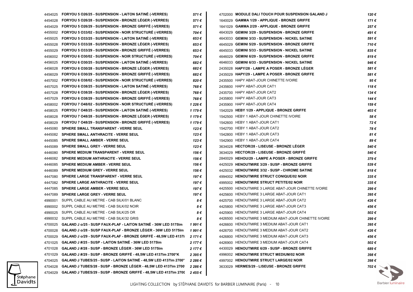|         | 4454025 FORYOU 5 O26/25 - SUSPENSION - LAITON SATINE (-VERRES)          | 571 €   | 4702000 MODULE DALI TOUCH POUR SUSPENSION GALAND J    | 120€  |
|---------|-------------------------------------------------------------------------|---------|-------------------------------------------------------|-------|
| 4454028 | FORYOU 5 026/28 - SUSPENSION - BRONZE LEGER (-VERRES)                   | 571€    | 1640029 GAMMA 1/29 - APPLIQUE - BRONZE GRIFFE         | 171€  |
| 4454029 | FORYOU 5 026/29 - SUSPENSION - BRONZE GRIFFÉ (-VERRES)                  | 571€    | 1641029 GAMMA 2/29 - APPLIQUE - BRONZE GRIFFE         | 257 € |
| 4455002 | FORYOU 5 033/02 - SUSPENSION - NOIR STRUCTURE (-VERRES)                 | 704 €   | 4643029 GEMINI 3/29 - SUSPENSION - BRONZE GRIFFE      | 491 € |
| 4455025 | FORYOU 5 033/25 - SUSPENSION - LAITON SATINE (-VERRES)                  | 653€    | 4643033 GEMINI 3/33 - SUSPENSION - NICKEL SATINE      | 591€  |
| 4455028 | FORYOU 5 033/28 - SUSPENSION - BRONZE LEGER (-VERRES)                   | 653€    | 4645029 GEMINI 5/29 - SUSPENSION - BRONZE GRIFFE      | 710€  |
| 4455029 | FORYOU 5 033/29 - SUSPENSION - BRONZE GRIFFE (-VERRES)                  | 653€    | 4645033 GEMINI 5/33 - SUSPENSION - NICKEL SATINE      | 835€  |
| 4456002 | FORYOU 6 030/02 - SUSPENSION - NOIR STRUCTURE (-VERRES)                 | 704€    | 4646029 GEMINI 6/29 - SUSPENSION - BRONZE GRIFFE      | 819€  |
| 4456025 | FORYOU 6 030/25 - SUSPENSION - LAITON SATINE (-VERRES)                  | 682€    | 4646033 GEMINI 6/33 - SUSPENSION - NICKEL SATINE      | 946€  |
| 4456028 | FORYOU 6 030/28 - SUSPENSION - BRONZE LEGER (-VERRES)                   | 682€    | 2435028 HAPY/28 - LAMPE A POSER - BRONZE LEGER        | 581 € |
| 4456029 | FORYOU 6 030/29 - SUSPENSION - BRONZE GRIFFE (-VERRES)                  | 682€    | 2435029 HAPY/29 - LAMPE A POSER - BRONZE GRIFFE       | 581€  |
| 4457002 | FORYOU 6 O38/02 - SUSPENSION - NOIR STRUCTURE (-VERRES)                 | 820€    | 2435500 HAPY ABAT-JOUR CHINETTE IVOIRE                | 95€   |
| 4457025 | FORYOU 6 038/25 - SUSPENSION - LAITON SATINE (-VERRES)                  | 768€    | 2435600 HAPY ABAT-JOUR CAT1                           | 118€  |
| 4457028 | FORYOU 6 038/28 - SUSPENSION - BRONZE LEGER (-VERRES)                   | 768€    | 2435700 HAPY ABAT-JOUR CAT2                           | 134€  |
| 4457029 | FORYOU 6 038/29 - SUSPENSION - BRONZE GRIFFE (-VERRES)                  | 768€    | 2435800 HAPY ABAT-JOUR CAT3                           | 144€  |
| 4458002 | FORYOU 7 048/02 - SUSPENSION - NOIR STRUCTURE (-VERRES)                 | 1 226 € | 2435900 HAPY ABAT-JOUR CAT4                           | 159€  |
| 4458025 | FORYOU 7 048/25 - SUSPENSION - LAITON SATINE (-VERRES)                  | 1 179 € | 1542029 HEBY 1/29 - APPLIQUE - BRONZE GRIFFE          | 403€  |
| 4458028 | FORYOU 7 048/28 - SUSPENSION - BRONZE LEGER (-VERRES)                   | 1 179 € | 1542500 HEBY 1 ABAT-JOUR CHINETTE IVOIRE              | 58€   |
| 4458029 | FORYOU 7 048/29 - SUSPENSION - BRONZE GRIFFE (-VERRES)                  | 1 179 € | 1542600 HEBY 1 ABAT-JOUR CAT1                         | 72€   |
| 4445080 | SPHERE SMALL TRANSPARENT - VERRE SEUL                                   | 123€    | 1542700 HEBY 1 ABAT-JOUR CAT2                         | 78€   |
| 4445082 | <b>SPHERE SMALL ANTHRACITE - VERRE SEUL</b>                             | 123€    | 1542800 HEBY 1 ABAT-JOUR CAT3                         | 81€   |
| 4445085 | <b>SPHERE SMALL AMBER - VERRE SEUL</b>                                  | 123€    | 1542900 HEBY 1 ABAT-JOUR CAT4                         | 89€   |
| 4445089 | <b>SPHERE SMALL GREY - VERRE SEUL</b>                                   | 123€    | 3634028 HECTOR/28 - LISEUSE - BRONZE LÉGER            | 540€  |
| 4446080 | SPHERE MEDIUM TRANSPARENT - VERRE SEUL                                  | 156 €   | 3634029 HECTOR/29 - LISEUSE - BRONZE GRIFFE           | 540€  |
| 4446082 | <b>SPHERE MEDIUM ANTHRACITE - VERRE SEUL</b>                            | 156€    | 2840029 HEHOU/29 - LAMPE A POSER - BRONZE GRIFFE      | 379€  |
| 4446085 | <b>SPHERE MEDIUM AMBER - VERRE SEUL</b>                                 | 156€    | 4425029 HENOUTMIRE 3/29 - SUSP - BRONZE GRIFFE        | 539€  |
| 4446089 | <b>SPHERE MEDIUM GREY - VERRE SEUL</b>                                  | 156€    | 4425032 HENOUTMIRE 3/32 - SUSP - CHROME SATINE        | 818€  |
| 4447080 | SPHERE LARGE TRANSPARENT - VERRE SEUL                                   | 197 €   | 4994002 HENOUTMIRE STRUCT CONIQUE/02 NOIR             | 335€  |
| 4447082 | <b>SPHERE LARGE ANTHRACITE - VERRE SEUL</b>                             | 197€    | 4995002 HENOUTMIRE STRUCT PETITE/02 NOIR              | 335€  |
| 4447085 | <b>SPHERE LARGE AMBER - VERRE SEUL</b>                                  | 197€    | 4425500 HENOUTMIRE 3 LARGE ABAT-JOUR CHINETTE IVOIRE  | 299€  |
| 4447089 | <b>SPHERE LARGE GREY - VERRE SEUL</b>                                   | 197€    | 4425600 HENOUTMIRE 3 LARGE ABAT-JOUR CAT1             | 395€  |
| 4990001 | SUPPL CABLE AU METRE - CAB SILK/01 BLANC                                | 8€      | 4425700 HENOUTMIRE 3 LARGE ABAT-JOUR CAT2             | 426€  |
| 4990002 | SUPPL CABLE AU METRE - CAB SILK/02 NOIR                                 | 8€      | 4425800 HENOUTMIRE 3 LARGE ABAT-JOUR CAT3             | 456 € |
| 4990025 | SUPPL CABLE AU METRE - CAB SILK/25 OR                                   | 8€      | 4425900 HENOUTMIRE 3 LARGE ABAT-JOUR CAT4             | 502€  |
|         | 4990032 SUPPL CABLE AU METRE - CAB SILK/32 GRIS                         | 8€      | 4426500 HENOUTMIRE 3 MEDIUM ABAT-JOUR CHINETTE IVOIRE | 299€  |
|         | 4700025 GALAND J o/25 - SUSP FAUX-PLAF - LAITON SATINE - 36W LED 5175Im | 1991€   | 4426600 HENOUTMIRE 3 MEDIUM ABAT-JOUR CAT1            | 395€  |
| 4700028 | GALAND J o/28 - SUSP FAUX-PLAF - BRONZE LÉGER - 36W LED 5175Im          | 1991€   | 4426700 HENOUTMIRE 3 MEDIUM ABAT-JOUR CAT2            | 426€  |
| 4700029 | <b>GALAND J o/29 - SUSP FAUX-PLAF - BRONZE GRIFFE - 48.5W LED 4137I</b> | 2 171 € | 4426800 HENOUTMIRE 3 MEDIUM ABAT-JOUR CAT3            | 456€  |
| 4701025 | GALAND J #/25 - SUSP - LAITON SATINÉ - 36W LED 5175Im                   | 2 177 € | 4426900 HENOUTMIRE 3 MEDIUM ABAT-JOUR CAT4            | 502€  |
| 4701028 | GALAND J #/28 - SUSP - BRONZE LEGER - 36W LED 5175Im                    | 2 177 € | 4430029 HENOUTMIRE 6/29 - SUSP - BRONZE GRIFFE        | 689€  |
| 4701029 | GALAND J #/29 - SUSP - BRONZE GRIFFE - 48,5W LED 4137Im 2700°K          | 2 395 € | 4996002 HENOUTMIRE STRUCT MEDIUM/02 NOIR              | 398€  |
| 4704025 | GALAND J TUBES/25 - SUSP - LAITON SATINE - 48,5W LED 4137Im 2700°       | 2 286 € | 4997002 HENOUTMIRE STRUCT LARGE/02 NOIR               | 398€  |
| 4704028 | GALAND J TUBES/28 - SUSP - BRONZE LEGER - 48,5W LED 4137Im 2700         | 2 286 € | 3633029 HERMES/29 - LISEUSE - BRONZE GRIFFE           | 702 € |
| 4704029 | GALAND J TUBES/29 - SUSP - BRONZE GRIFFE - 48,5W LED 4137Im 2700        | 2455€   |                                                       |       |
|         |                                                                         |         |                                                       |       |

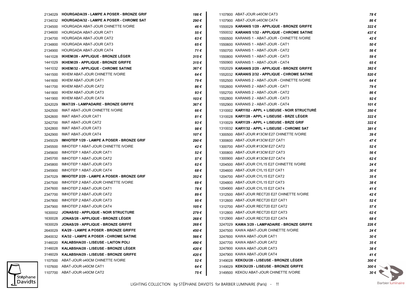| 2134029 | <b>HOURGADA/29 - LAMPE A POSER - BRONZE GRIF</b>  | 186 € | 1107800 ABAT-JOUR o40CM CAT3                      | 78€                 |
|---------|---------------------------------------------------|-------|---------------------------------------------------|---------------------|
| 2134032 | <b>HOURGADA/32 - LAMPE A POSER - CHROME SAT</b>   | 290€  | 1107900 ABAT-JOUR 040CM CAT4                      | 86 €                |
| 2134500 | HOURGADA ABAT-JOUR CHINETTE IVOIRE                | 46 €  | 1550029 KARANIS 1/29 - APPLIQUE - BRONZE GRIFFE   | 322€                |
| 2134600 | HOURGADA ABAT-JOUR CAT1                           | 55 €  | 1550032 KARANIS 1/32 - APPLIQUE - CHROME SATINE   | 437€                |
| 2134700 | <b>HOURGADA ABAT-JOUR CAT2</b>                    | 63€   | 1550500 KARANIS 1 - ABAT-JOUR - CHINETTE IVOIRE   | 42€                 |
| 2134800 | HOURGADA ABAT-JOUR CAT3                           | 65 €  | 1550600 KARANIS 1 - ABAT-JOUR - CAT1              | 50€                 |
| 2134900 | HOURGADA ABAT-JOUR CAT4                           | 71 €  | 1550700 KARANIS 1 - ABAT-JOUR - CAT2              | 56 €                |
| 1441028 | <b>IKHEM/28 - APPLIQUE - BRONZE LEGER</b>         | 315€  | 1550800 KARANIS 1 - ABAT-JOUR - CAT3              | 59€                 |
| 1441029 | <b>IKHEM/29 - APPLIQUE - BRONZE GRIFFE</b>        | 315€  | 1550900 KARANIS 1 - ABAT-JOUR - CAT4              | 65€                 |
| 1441032 | <b>IKHEM/32 - APPLIQUE - CHROME SATINE</b>        | 367€  | 1552029 KARANIS 2/29 - APPLIQUE - BRONZE GRIFFE   | 382€                |
| 1441500 | IKHEM ABAT-JOUR CHINETTE IVOIRE                   | 64 €  | 1552032 KARANIS 2/32 - APPLIQUE - CHROME SATINE   | 520€                |
| 1441600 | IKHEM ABAT-JOUR CAT1                              | 79€   | 1552500 KARANIS 2 - ABAT-JOUR - CHINETTE IVOIRE   | 64 €                |
| 1441700 | IKHEM ABAT-JOUR CAT2                              | 86 €  | 1552600 KARANIS 2 - ABAT-JOUR - CAT1              | 79€                 |
| 1441800 | IKHEM ABAT-JOUR CAT3                              | 93€   | 1552700 KARANIS 2 - ABAT-JOUR - CAT2              | 86€                 |
| 1441900 | IKHEM ABAT-JOUR CAT4                              | 103€  | 1552800 KARANIS 2 - ABAT-JOUR - CAT3              | 92€                 |
| 3242029 | <b>IMAT/29 - LAMPADAIRE - BRONZE GRIFFE</b>       | 367€  | 1552900 KARANIS 2 - ABAT-JOUR - CAT4              | 101 €               |
| 3242500 | IMAT ABAT-JOUR CHINETTE IVOIRE                    | 66 €  | 1310002 KARY/02 - APPL + LISEUSE - NOIR STRUCTURE | 350€                |
| 3242600 | IMAT ABAT-JOUR CAT1                               | 81 €  | 1310028 KARY/28 - APPL + LISEUSE - BRZE LEGER     | 322€                |
| 3242700 | IMAT ABAT-JOUR CAT2                               | 93€   | 1310029 KARY/29 - APPL + LISEUSE - BRZE GRIF      | 322€                |
| 3242800 | IMAT ABAT-JOUR CAT3                               | 98€   | 1310032 KARY/32 - APPL + LISEUSE - CHROME SAT     | 381€                |
| 3242900 | IMAT ABAT-JOUR CAT4                               | 107 € | 1300500 ABAT-JOUR #13CM E27 CHINETTE IVOIRE       | 39€                 |
| 2345029 | <b>IMHOTEP 1/29 - LAMPE A POSER - BRONZE GRIF</b> | 290€  | 1300600 ABAT-JOUR #13CM E27 CAT1                  | 47€                 |
| 2345500 | IMHOTEP 1 ABAT-JOUR CHINETTE IVOIRE               | 42€   | 1300700 ABAT-JOUR #13CM E27 CAT2                  | 52€                 |
| 2345600 | IMHOTEP 1 ABAT-JOUR CAT1                          | 52€   | 1300800 ABAT-JOUR #13CM E27 CAT3                  | 56€                 |
| 2345700 | IMHOTEP 1 ABAT-JOUR CAT2                          | 57€   | 1300900 ABAT-JOUR #13CM E27 CAT4                  | 62€                 |
| 2345800 | IMHOTEP 1 ABAT-JOUR CAT3                          | 62€   | 1204500 ABAT-JOUR CYL15 E27 CHINETTE IVOIRE       | 24€                 |
| 2345900 | IMHOTEP 1 ABAT-JOUR CAT4                          | 68€   | 1204600 ABAT-JOUR CYL15 E27 CAT1                  | 30€                 |
| 2347029 | <b>IMHOTEP 2/29 - LAMPE A POSER - BRONZE GRIF</b> | 352€  | 1204700 ABAT-JOUR CYL15 E27 CAT2                  | 35€                 |
| 2347500 | IMHOTEP 2 ABAT-JOUR CHINETTE IVOIRE               | 69€   | 1204800 ABAT-JOUR CYL15 E27 CAT3                  | 38€                 |
| 2347600 | IMHOTEP 2 ABAT-JOUR CAT1                          | 78€   | 1204900 ABAT-JOUR CYL15 E27 CAT4                  | 41€                 |
| 2347700 | IMHOTEP 2 ABAT-JOUR CAT2                          | 89€   | 1312500 ABAT-JOUR RECT20 E27 CHINETTE IVOIRE      | 42€                 |
| 2347800 | IMHOTEP 2 ABAT-JOUR CAT3                          | 95€   | 1312600 ABAT-JOUR RECT20 E27 CAT1                 | 52€                 |
| 2347900 | IMHOTEP 2 ABAT-JOUR CAT4                          | 105 € | 1312700 ABAT-JOUR RECT20 E27 CAT2                 | 57€                 |
|         | 1630002 JONAS/02 - APPLIQUE - NOIR STRUCTURE      | 279€  | 1312800 ABAT-JOUR RECT20 E27 CAT3                 | 62€                 |
| 1630028 | JONAS/28 - APPLIQUE - BRONZE LEGER                | 268 € | 1312900 ABAT-JOUR RECT20 E27 CAT4                 | 68€                 |
| 1630029 | JONAS/29 - APPLIQUE - BRONZE GRIFFE               | 268 € | 3247029 KAWA 3/29 - LAMPADAIRE - BRONZE GRIFFE    | 226€                |
|         | 2640029 KA/29 - LAMPE A POSER - BRONZE GRIFFE     | 450€  | 3247500 KAWA ABAT-JOUR CHINETTE IVOIRE            | 24 €                |
|         | 2640032 KA/32 - LAMPE A POSER - CHROME SATINE     | 566€  | 3247600 KAWA ABAT-JOUR CAT1                       | 30€                 |
|         | 3146020 KALABSHA/20 - LISEUSE - LAITON POLI       | 490 € | 3247700 KAWA ABAT-JOUR CAT2                       | 35€                 |
|         | 3146028 KALABSHA/28 - LISEUSE - BRONZE LEGER      | 420€  | 3247800 KAWA ABAT-JOUR CAT3                       | 38€                 |
|         | 3146029 KALABSHA/29 - LISEUSE - BRONZE GRIFFE     | 420€  | 3247900 KAWA ABAT-JOUR CAT4                       | 41€                 |
|         | 1107500 ABAT-JOUR o40CM CHINETTE IVOIRE           | 52€   | 3149028 KEKOU/28 - LISEUSE - BRONZE LEGER         | $300 \in$           |
|         | 1107600 ABAT-JOUR 040CM CAT1                      | 64 €  | 3149029 KEKOU/29 - LISEUSE - BRONZE GRIFFE        | 300 $\epsilon$      |
|         | 1107700 ABAT-JOUR o40CM CAT2                      | 75 €  | 3149500 KEKOU ABAT-JOUR CHINETTE IVOIRE           | $30 \in \mathbb{R}$ |
|         |                                                   |       |                                                   |                     |

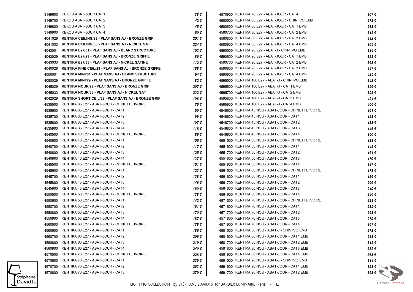|         | 3149600 KEKOU ABAT-JOUR CAT1                         | 38 €  | 4570900 KENTIKA 70 E27 - ABAT-JOUR - CAT4            | 307€                 |
|---------|------------------------------------------------------|-------|------------------------------------------------------|----------------------|
| 3149700 | KEKOU ABAT-JOUR CAT2                                 | 42 €  | 4580500 KENTIKA 80 E27 - ABAT-JOUR - CHIN IVO EMB    | 272€                 |
| 3149800 | <b>KEKOU ABAT-JOUR CAT3</b>                          | 45 €  | 4580600 KENTIKA 80 E27 - ABAT-JOUR - CAT1 EMB        | 283€                 |
| 3149900 | KEKOU ABAT-JOUR CAT4                                 | 50 €  | 4580700 KENTIKA 80 E27 - ABAT-JOUR - CAT2 EMB        | 312€                 |
| 4041029 | KENTIKA CEILING/29 - PLAF SANS AJ - BRONZE GRIF      | 201 € | 4580800 KENTIKA 80 E27 - ABAT-JOUR - CAT3 EMB        | 332€                 |
| 4041033 | KENTIKA CEILING/33 - PLAF SANS AJ - NICKEL SAT       | 224€  | 4580900 KENTIKA 80 E27 - ABAT-JOUR - CAT4 EMB        | 365€                 |
| 4043001 | KENTIKA E27/01 - PLAF SANS AJ - BLANC STRUCTURE      | 103 € | 4590500 KENTIKA 90 E27 - ABAT-J - CHIN IVO EMB       | 314€                 |
| 4043029 | KENTIKA E27/29 - PLAF SANS AJ - BRONZE GRIFFE        | 86€   | 4590600 KENTIKA 90 E27 - ABAT-JOUR - CAT1 EMB        | 328€                 |
| 4043033 | KENTIKA E27/33 - PLAF SANS AJ - NICKEL SATINE        | 112 € | 4590700 KENTIKA 90 E27 - ABAT-JOUR - CAT2 EMB        | 363€                 |
| 4040029 | KENTIKA FINE CEIL/29 - PLAF SANS AJ - BRONZE GRIFFE  | 188€  | 4590800 KENTIKA 90 E27 - ABAT-JOUR - CAT3 EMB        | 387€                 |
| 4050001 | KENTIKA MINI/01 - PLAF SANS AJ - BLANC STRUCTURE     | 94 €  | 4590900 KENTIKA 90 E27 - ABAT-JOUR - CAT4 EMB        | 425 €                |
| 4050029 | KENTIKA MINI/29 - PLAF SANS AJ - BRONZE GRIFFE       | 82€   | 4595500 KENTIKA 100 E27 - ABAT-J - CHIN IVO EMB      | 342€                 |
| 4045029 | KENTIKA NOUR/29 - PLAF SANS AJ - BRONZE GRIF         | 207€  | 4595600 KENTIKA 100 E27 - ABAT-J - CAT1 EMB          | 356€                 |
| 4045033 | KENTIKA NOUR/33 - PLAF SANS AJ - NICKEL SAT          | 232€  | 4595700 KENTIKA 100 E27 - ABAT-J - CAT2 EMB          | 395€                 |
| 4042029 | KENTIKA SHORT CEIL/29 - PLAF SANS AJ - BRONZE GRIF   | 196 € | 4595800 KENTIKA 100 E27 - ABAT-J - CAT3 EMB          | 424 €                |
| 4535500 | KENTIKA 35 E27 - ABAT-JOUR - CHINETTE IVOIRE         | 76€   | 4595900 KENTIKA 100 E27 - ABAT-J - CAT4 EMB          | 466 €                |
| 4535600 | KENTIKA 35 E27 - ABAT-JOUR - CAT1                    | 90€   | 4546500 KENTIKA 45 NOU - ABAT-JOUR - CHINETTE IVOIRE | 101€                 |
| 4535700 | KENTIKA 35 E27 - ABAT-JOUR - CAT2                    | 99€   | 4546600 KENTIKA 45 NOU - ABAT-JOUR - CAT1            | 123€                 |
| 4535800 | KENTIKA 35 E27 - ABAT-JOUR - CAT3                    | 107 € | 4546700 KENTIKA 45 NOU - ABAT-JOUR - CAT2            | 138€                 |
| 4535900 | KENTIKA 35 E27 - ABAT-JOUR - CAT4                    | 118€  | 4546800 KENTIKA 45 NOU - ABAT-JOUR - CAT3            | 146 €                |
| 4540500 | KENTIKA 40 E27 - ABAT-JOUR - CHINETTE IVOIRE         | 86 €  | 4546900 KENTIKA 45 NOU - ABAT-JOUR - CAT4            | 160€                 |
| 4540600 | KENTIKA 40 E27 - ABAT-JOUR - CAT1                    | 105 € | 4551500 KENTIKA 50 NOU - ABAT-JOUR - CHINETTE IVOIRE | 138€                 |
| 4540700 | KENTIKA 40 E27 - ABAT-JOUR - CAT2                    | 117€  | 4551600 KENTIKA 50 NOU - ABAT-JOUR - CAT1            | 142€                 |
| 4540800 | KENTIKA 40 E27 - ABAT-JOUR - CAT3                    | 125 € | 4551700 KENTIKA 50 NOU - ABAT-JOUR - CAT2            | 161€                 |
| 4540900 | KENTIKA 40 E27 - ABAT-JOUR - CAT4                    | 137€  | 4551800 KENTIKA 50 NOU - ABAT-JOUR - CAT3            | 170€                 |
| 4545500 | KENTIKA 45 E27 - ABAT-JOUR - CHINETTE IVOIRE         | 101 € | 4551900 KENTIKA 50 NOU - ABAT-JOUR - CAT4            | 187€                 |
| 4545600 | KENTIKA 45 E27 - ABAT-JOUR - CAT1                    | 123 € | 4561500 KENTIKA 60 NOU - ABAT-JOUR - CHINETTE IVOIRE | 178€                 |
| 4545700 | KENTIKA 45 E27 - ABAT-JOUR - CAT2                    | 138 € | 4561600 KENTIKA 60 NOU - ABAT-JOUR - CAT1            | 186€                 |
| 4545800 | KENTIKA 45 E27 - ABAT-JOUR - CAT3                    | 146 € | 4561700 KENTIKA 60 NOU - ABAT-JOUR - CAT2            | 206€                 |
| 4545900 | KENTIKA 45 E27 - ABAT-JOUR - CAT4                    | 160 € | 4561800 KENTIKA 60 NOU - ABAT-JOUR - CAT3            | 219€                 |
| 4550500 | KENTIKA 50 E27 - ABAT-JOUR - CHINETTE IVOIRE         | 138€  | 4561900 KENTIKA 60 NOU - ABAT-JOUR - CAT4            | 240€                 |
| 4550600 | KENTIKA 50 E27 - ABAT-JOUR - CAT1                    | 142 € | 4571500 KENTIKA 70 NOU - ABAT-JOUR - CHINETTE IVOIRE | 228€                 |
| 4550700 | KENTIKA 50 E27 - ABAT-JOUR - CAT2                    | 161 € | 4571600 KENTIKA 70 NOU - ABAT-JOUR - CAT1            | 239€                 |
| 4550800 | KENTIKA 50 E27 - ABAT-JOUR - CAT3                    | 170 € | 4571700 KENTIKA 70 NOU - ABAT-JOUR - CAT2            | 263€                 |
| 4550900 | KENTIKA 50 E27 - ABAT-JOUR - CAT4                    | 187 € | 4571800 KENTIKA 70 NOU - ABAT-JOUR - CAT3            | 279€                 |
|         | 4560500 KENTIKA 60 E27 - ABAT-JOUR - CHINETTE IVOIRE | 178€  | 4571900 KENTIKA 70 NOU - ABAT-JOUR - CAT4            | 307€                 |
| 4560600 | KENTIKA 60 E27 - ABAT-JOUR - CAT1                    | 186€  | 4581500 KENTIKA 80 NOU - ABAT-J - CHIN IVO EMB       | 272€                 |
| 4560700 | KENTIKA 60 E27 - ABAT-JOUR - CAT2                    | 206€  | 4581600 KENTIKA 80 NOU - ABAT-JOUR - CAT1 EMB        | 283€                 |
| 4560800 | KENTIKA 60 E27 - ABAT-JOUR - CAT3                    | 219€  | 4581700 KENTIKA 80 NOU - ABAT-JOUR - CAT2 EMB        | $312 \epsilon$       |
| 4560900 | KENTIKA 60 E27 - ABAT-JOUR - CAT4                    | 240€  | 4581800 KENTIKA 80 NOU - ABAT-JOUR - CAT3 EMB        | $332 \epsilon$       |
| 4570500 | KENTIKA 70 E27 - ABAT-JOUR - CHINETTE IVOIRE         | 228€  | 4581900 KENTIKA 80 NOU - ABAT-JOUR - CAT4 EMB        | 365€                 |
| 4570600 | KENTIKA 70 E27 - ABAT-JOUR - CAT1                    | 239€  | 4591500 KENTIKA 90 NOU - ABAT-J - CHIN IVO EMB       | $314 \epsilon$       |
| 4570700 | KENTIKA 70 E27 - ABAT-JOUR - CAT2                    | 263€  | 4591600 KENTIKA 90 NOU - ABAT-JOUR - CAT1 EMB        | 328€                 |
| 4570800 | KENTIKA 70 E27 - ABAT-JOUR - CAT3                    | 279€  | 4591700 KENTIKA 90 NOU - ABAT-JOUR - CAT2 EMB        | $363 \in \mathbb{R}$ |
|         |                                                      |       |                                                      |                      |

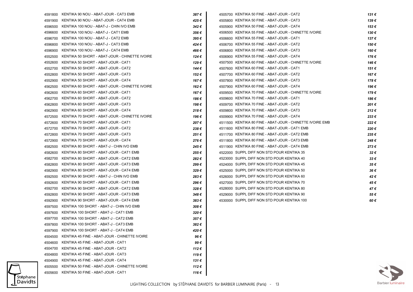|         | 4591800 KENTIKA 90 NOU - ABAT-JOUR - CAT3 EMB  | 387€  | 4505700 KENTIKA 50 FINE - ABAT-JOUR - CAT2                | 131 € |
|---------|------------------------------------------------|-------|-----------------------------------------------------------|-------|
| 4591900 | KENTIKA 90 NOU - ABAT-JOUR - CAT4 EMB          | 425€  | 4505800 KENTIKA 50 FINE - ABAT-JOUR - CAT3                | 139€  |
| 4596500 | KENTIKA 100 NOU - ABAT-J - CHIN IVO EMB        | 342€  | 4505900 KENTIKA 50 FINE - ABAT-JOUR - CAT4                | 153€  |
| 4596600 | KENTIKA 100 NOU - ABAT-J - CAT1 EMB            | 356€  | 4506500 KENTIKA 55 FINE - ABAT-JOUR - CHINETTE IVOIRE     | 130€  |
| 4596700 | KENTIKA 100 NOU - ABAT-J - CAT2 EMB            | 395€  | 4506600 KENTIKA 55 FINE - ABAT-JOUR - CAT1                | 137€  |
| 4596800 | KENTIKA 100 NOU - ABAT-J - CAT3 EMB            | 424 € | 4506700 KENTIKA 55 FINE - ABAT-JOUR - CAT2                | 150 € |
| 4596900 | KENTIKA 100 NOU - ABAT-J - CAT4 EMB            | 466 € | 4506800 KENTIKA 55 FINE - ABAT-JOUR - CAT3                | 160€  |
| 4552500 | KENTIKA 50 SHORT - ABAT-JOUR - CHINETTE IVOIRE | 124€  | 4506900 KENTIKA 55 FINE - ABAT-JOUR - CAT4                | 176€  |
| 4552600 | KENTIKA 50 SHORT - ABAT-JOUR - CAT1            | 129 € | 4507500 KENTIKA 60 FINE - ABAT-JOUR - CHINETTE IVOIRE     | 146 € |
| 4552700 | KENTIKA 50 SHORT - ABAT-JOUR - CAT2            | 144 € | 4507600 KENTIKA 60 FINE - ABAT-JOUR - CAT1                | 151 € |
| 4552800 | KENTIKA 50 SHORT - ABAT-JOUR - CAT3            | 152€  | 4507700 KENTIKA 60 FINE - ABAT-JOUR - CAT2                | 167€  |
| 4552900 | KENTIKA 50 SHORT - ABAT-JOUR - CAT4            | 167 € | 4507800 KENTIKA 60 FINE - ABAT-JOUR - CAT3                | 178€  |
| 4562500 | KENTIKA 60 SHORT - ABAT-JOUR - CHINETTE IVOIRE | 162€  | 4507900 KENTIKA 60 FINE - ABAT-JOUR - CAT4                | 196€  |
| 4562600 | KENTIKA 60 SHORT - ABAT-JOUR - CAT1            | 167 € | 4509500 KENTIKA 70 FINE - ABAT-JOUR - CHINETTE IVOIRE     | 179€  |
| 4562700 | KENTIKA 60 SHORT - ABAT-JOUR - CAT2            | 186 € | 4509600 KENTIKA 70 FINE - ABAT-JOUR - CAT1                | 186€  |
| 4562800 | KENTIKA 60 SHORT - ABAT-JOUR - CAT3            | 198€  | 4509700 KENTIKA 70 FINE - ABAT-JOUR - CAT2                | 201€  |
| 4562900 | KENTIKA 60 SHORT - ABAT-JOUR - CAT4            | 218€  | 4509800 KENTIKA 70 FINE - ABAT-JOUR - CAT3                | 212€  |
| 4572500 | KENTIKA 70 SHORT - ABAT-JOUR - CHINETTE IVOIRE | 196 € | 4509900 KENTIKA 70 FINE - ABAT-JOUR - CAT4                | 233€  |
| 4572600 | KENTIKA 70 SHORT - ABAT-JOUR - CAT1            | 207€  | 4511500 KENTIKA 80 FINE - ABAT-JOUR - CHINETTE IVOIRE EMB | 222€  |
| 4572700 | KENTIKA 70 SHORT - ABAT-JOUR - CAT2            | 238€  | 4511600 KENTIKA 80 FINE - ABAT-JOUR - CAT1 EMB            | 220€  |
| 4572800 | KENTIKA 70 SHORT - ABAT-JOUR - CAT3            | 251€  | 4511700 KENTIKA 80 FINE - ABAT-JOUR - CAT2 EMB            | 235€  |
| 4572900 | KENTIKA 70 SHORT - ABAT-JOUR - CAT4            | 276€  | 4511800 KENTIKA 80 FINE - ABAT-JOUR - CAT3 EMB            | 248€  |
| 4582500 | KENTIKA 80 SHORT - ABAT-J - CHIN IVO EMB       | 245€  | 4511900 KENTIKA 80 FINE - ABAT-JOUR - CAT4 EMB            | 273€  |
| 4582600 | KENTIKA 80 SHORT - ABAT-JOUR - CAT1 EMB        | 255€  | 4522000 SUPPL DIFF NON STD POUR KENTIKA 35                | 32€   |
| 4582700 | KENTIKA 80 SHORT - ABAT-JOUR - CAT2 EMB        | 282€  | 4523000 SUPPL DIFF NON STD POUR KENTIKA 40                | 33€   |
| 4582800 | KENTIKA 80 SHORT - ABAT-JOUR - CAT3 EMB        | 299€  | 4524000 SUPPL DIFF NON STD POUR KENTIKA 45                | 35€   |
| 4582900 | KENTIKA 80 SHORT - ABAT-JOUR - CAT4 EMB        | 329€  | 4525000 SUPPL DIFF NON STD POUR KENTIKA 50                | 36€   |
| 4592500 | KENTIKA 90 SHORT - ABAT-J - CHIN IVO EMB       | 283€  | 4526000 SUPPL DIFF NON STD POUR KENTIKA 60                | 42€   |
| 4592600 | KENTIKA 90 SHORT - ABAT-JOUR - CAT1 EMB        | 296€  | 4527000 SUPPL DIFF NON STD POUR KENTIKA 70                | 45€   |
| 4592700 | KENTIKA 90 SHORT - ABAT-JOUR - CAT2 EMB        | 328€  | 4528000 SUPPL DIFF NON STD POUR KENTIKA 80                | 47€   |
| 4592800 | KENTIKA 90 SHORT - ABAT-JOUR - CAT3 EMB        | 348€  | 4529000 SUPPL DIFF NON STD POUR KENTIKA 90                | 55€   |
| 4592900 | KENTIKA 90 SHORT - ABAT-JOUR - CAT4 EMB        | 383€  | 4530000 SUPPL DIFF NON STD POUR KENTIKA 100               | 60€   |
| 4597500 | KENTIKA 100 SHORT - ABAT-J - CHIN IVO EMB      | 308€  |                                                           |       |
| 4597600 | KENTIKA 100 SHORT - ABAT-J - CAT1 EMB          | 320€  |                                                           |       |
| 4597700 | KENTIKA 100 SHORT - ABAT-J - CAT2 EMB          | 357€  |                                                           |       |
| 4597800 | KENTIKA 100 SHORT - ABAT-J - CAT3 EMB          | 382€  |                                                           |       |
|         | 4597900 KENTIKA 100 SHORT - ABAT-J - CAT4 EMB  | 420€  |                                                           |       |
| 4504500 | KENTIKA 45 FINE - ABAT-JOUR - CHINETTE IVOIRE  | 96€   |                                                           |       |
| 4504600 | KENTIKA 45 FINE - ABAT-JOUR - CAT1             | 99€   |                                                           |       |
| 4504700 | KENTIKA 45 FINE - ABAT-JOUR - CAT2             | 112€  |                                                           |       |
| 4504800 | KENTIKA 45 FINE - ABAT-JOUR - CAT3             | 119€  |                                                           |       |
| 4504900 | KENTIKA 45 FINE - ABAT-JOUR - CAT4             | 131 € |                                                           |       |
| 4505500 | KENTIKA 50 FINE - ABAT-JOUR - CHINETTE IVOIRE  | 112€  |                                                           |       |
|         | 4505600 KENTIKA 50 FINE - ABAT-JOUR - CAT1     | 116€  |                                                           |       |



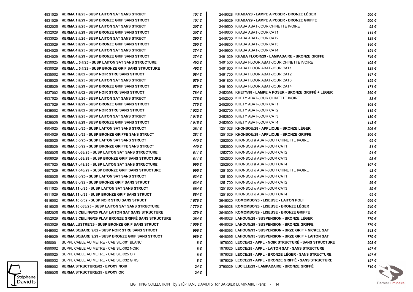| 4931025 | <b>KERMA 1 #/25 - SUSP LAITON SAT SANS STRUCT</b>           | 101€    | 2449028 KHABA/28 - LAMPE A POSER - BRONZE LEGER           | 500 € |
|---------|-------------------------------------------------------------|---------|-----------------------------------------------------------|-------|
| 4931029 | <b>KERMA 1 #/29 - SUSP BRONZE GRIF SANS STRUCT</b>          | 101 €   | 2449029 KHABA/29 - LAMPE A POSER - BRONZE GRIFFE          | 500€  |
| 4932025 | <b>KERMA 2 #/25 - SUSP LAITON SAT SANS STRUCT</b>           | 207 €   | 2449500 KHABA ABAT-JOUR CHINETTE IVOIRE                   | 92€   |
| 4932029 | <b>KERMA 2 #/29 - SUSP BRONZE GRIF SANS STRUCT</b>          | 207 €   | 2449600 KHABA ABAT-JOUR CAT1                              | 114€  |
| 4933025 | <b>KERMA 3 #/25 - SUSP LAITON SAT SANS STRUCT</b>           | 290€    | 2449700 KHABA ABAT-JOUR CAT2                              | 129€  |
| 4933029 | <b>KERMA 3 #/29 - SUSP BRONZE GRIF SANS STRUCT</b>          | 290€    | 2449800 KHABA ABAT-JOUR CAT3                              | 140€  |
| 4934025 | <b>KERMA 4 #/25 - SUSP LAITON SAT SANS STRUCT</b>           | 374€    | 2449900 KHABA ABAT-JOUR CAT4                              | 154€  |
| 4934029 | <b>KERMA 4 #/29 - SUSP BRONZE GRIF SANS STRUCT</b>          | 374€    | 3491029 KHABA FLOOR/29 - LAMPADAIRE - BRONZE GRIFFE       | 746 € |
| 4930025 | <b>KERMA L 5 #/25 - SUSP LAITON SAT SANS STRUCTURE</b>      | 492€    | 3491500 KHABA FLOOR ABAT-JOUR CHINETTE IVOIRE             | 105€  |
| 4930029 | <b>KERMA L 5 #/29 - SUSP BRONZE GRIF SANS STRUCTURE</b>     | 492€    | 3491600 KHABA FLOOR ABAT-JOUR CAT1                        | 129€  |
| 4935002 | <b>KERMA 5 #/02 - SUSP NOIR STRU SANS STRUCT</b>            | 584€    | 3491700 KHABA FLOOR ABAT-JOUR CAT2                        | 147€  |
| 4935025 | <b>KERMA 5 #/25 - SUSP LAITON SAT SANS STRUCT</b>           | 579€    | 3491800 KHABA FLOOR ABAT-JOUR CAT3                        | 155€  |
| 4935029 | <b>KERMA 5 #/29 - SUSP BRONZE GRIF SANS STRUCT</b>          | 579€    | 3491900 KHABA FLOOR ABAT-JOUR CAT4                        | 171€  |
| 4937002 | KERMA 7 #/02 - SUSP NOIR STRU SANS STRUCT                   | 784 €   | 2452098 KHETY/98 - LAMPE A POSER - BRONZE GRIFFÉ + LÉGER  | 360€  |
| 4937025 | KERMA 7 #/25 - SUSP LAITON SAT SANS STRUCT                  | 775€    | 2452500 KHETY ABAT-JOUR CHINETTE IVOIRE                   | 88€   |
| 4937029 | <b>KERMA 7 #/29 - SUSP BRONZE GRIF SANS STRUCT</b>          | 775€    | 2452600 KHETY ABAT-JOUR CAT1                              | 108€  |
| 4939002 | <b>KERMA 9 #/02 - SUSP NOIR STRU SANS STRUCT</b>            | 1 022 € | 2452700 KHETY ABAT-JOUR CAT2                              | 119€  |
| 4939025 | <b>KERMA 9 #/25 - SUSP LAITON SAT SANS STRUCT</b>           | 1 015 € | 2452800 KHETY ABAT-JOUR CAT3                              | 130€  |
| 4939029 | <b>KERMA 9 #/29 - SUSP BRONZE GRIF SANS STRUCT</b>          | 1 015 € | 2452900 KHETY ABAT-JOUR CAT4                              | 143€  |
| 4904025 | <b>KERMA 3 o/25 - SUSP LAITON SAT SANS STRUCT</b>           | 281€    | 1251028 KHONSOU/28 - APPLIQUE - BRONZE LÉGER              | 306€  |
| 4904029 | <b>KERMA 3 o/29 - SUSP BRONZE GRIFFE SANS STRUCT</b>        | 281€    | 1251029 KHONSOU/29 - APPLIQUE - BRONZE GRIFFE             | 306 € |
| 4905025 | <b>KERMA 5 o/25 - SUSP LAITON SAT SANS STRUCT</b>           | 440 €   | 1252500 KHONSOU # ABAT-JOUR CHINETTE IVOIRE               | 65€   |
| 4905029 | <b>KERMA 5 o/29 - SUSP BRONZE GRIFFE SANS STRUCT</b>        | 440 €   | 1252600 KHONSOU # ABAT-JOUR CAT1                          | 81€   |
| 4906025 | <b>KERMA 6 o38/25 - SUSP LAITON SAT SANS STRUCTURE</b>      | 611€    | 1252700 KHONSOU # ABAT-JOUR CAT2                          | 91€   |
| 4906029 | <b>KERMA 6 038/29 - SUSP BRONZE GRIF SANS STRUCTURE</b>     | 611€    | 1252800 KHONSOU # ABAT-JOUR CAT3                          | 98€   |
| 4907025 | <b>KERMA 7 048/25 - SUSP LAITON SAT SANS STRUCTURE</b>      | 995€    | 1252900 KHONSOU # ABAT-JOUR CAT4                          | 107 € |
| 4907029 | <b>KERMA 7 048/29 - SUSP BRONZE GRIF SANS STRUCTURE</b>     | 995€    | 1251500 KHONSOU o ABAT-JOUR CHINETTE IVOIRE               | 42€   |
| 4908025 | <b>KERMA 8 o/25 - SUSP LAITON SAT SANS STRUCT</b>           | 634€    | 1251600 KHONSOU o ABAT-JOUR CAT1                          | 50€   |
| 4908029 | <b>KERMA 8 o/29 - SUSP BRONZE GRIF SANS STRUCT</b>          | 634€    | 1251700 KHONSOU o ABAT-JOUR CAT2                          | 56€   |
| 4911025 | <b>KERMA 11 o/25 - SUSP LAITON SAT SANS STRUCT</b>          | 884 €   | 1251800 KHONSOU o ABAT-JOUR CAT3                          | 59€   |
| 4911029 | <b>KERMA 11 o/29 - SUSP BRONZE GRIF SANS STRUCT</b>         | 884 €   | 1251900 KHONSOU o ABAT-JOUR CAT4                          | 65€   |
| 4916002 | <b>KERMA 16 o/02 - SUSP NOIR STRU SANS STRUCT</b>           | 1 676 € | 3646020 KOMOMBO/20 - LISEUSE - LAITON POLI                | 666 € |
| 4916025 | <b>KERMA 16 o83/25 - SUSP LAITON SAT SANS STRUCTURE</b>     | 1 770 € | 3646028 KOMOMBO/28 - LISEUSE - BRONZE LEGER               | 540 € |
| 4952025 | <b>KERMA 3 CEILING/25 PLAF LAITON SAT SANS STRUCTURE</b>    | 279€    | 3646029 KOMOMBO/29 - LISEUSE - BRONZE GRIFFE              | 540 € |
| 4952029 | <b>KERMA 3 CEILING/29 PLAF BRONZE GRIFFE SANS STRUCTURE</b> | 284€    | 4648028 LAHOUN/28 - SUSPENSION - BRONZE LEGER             | 770€  |
| 4953029 | <b>KERMA LUSTRE/29 - SUSP BRONZE GRIF SANS STRUCT</b>       | 1 059 € | 4648029 LAHOUN/29 - SUSPENSION - BRONZE GRIFFE            | 770€  |
| 4949002 | <b>KERMA SQUARE 9/02 - SUSP NOIR STRU SANS STRUCT</b>       | 996€    | 4648093 LAHOUN/93 - SUSPENSION - BRZE GRIF + NICKEL SAT   | 843€  |
| 4949029 | <b>KERMA SQUARE 9/29 - SUSP BRONZE GRIF SANS STRUCT</b>     | 989€    | 4648095 LAHOUN/95 - SUSPENSION - BRZE GRIF + LAITON SAT   | 770€  |
| 4990001 | SUPPL CABLE AU METRE - CAB SILK/01 BLANC                    | 8€      | 1976002 LECCE/02 - APPL - NOIR STRUCTURE - SANS STRUCTURE | 208€  |
| 4990002 | SUPPL CABLE AU METRE - CAB SILK/02 NOIR                     | 8€      | 1976025 LECCE/25 - APPL - LAITON SAT - SANS STRUCTURE     | 197 € |
| 4990025 | SUPPL CABLE AU METRE - CAB SILK/25 OR                       | 8€      | 1976028 LECCE/28 - APPL - BRONZE LEGER - SANS STRUCTURE   | 197 € |
| 4990032 | SUPPL CABLE AU METRE - CAB SILK/32 GRIS                     | 8€      | 1976029 LECCE/29 - APPL - BRONZE GRIFFE - SANS STRUCTURE  | 197 € |
| 4999002 | <b>KERMA STRUCTURE/02 - EPOXY NOIR</b>                      | 24€     | 3790029 LUCILLE/29 - LAMPADAIRE - BRONZE GRIFFE           | 710€  |
| 4999025 | <b>KERMA STRUCTURE/25 - EPOXY OR</b>                        | 24€     |                                                           |       |
|         |                                                             |         |                                                           |       |

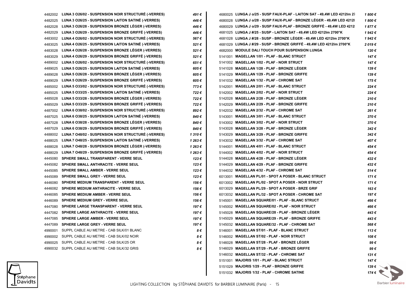| 4482002 | LUNA 3 O26/02 - SUSPENSION NOIR STRUCTURE (-VERRES) | 491 €   | 4680025 LUNGA J o/25 - SUSP FAUX-PLAF - LAITON SAT - 49,4W LED 4212Im 27 | 1 800 €              |
|---------|-----------------------------------------------------|---------|--------------------------------------------------------------------------|----------------------|
| 4482025 | LUNA 3 026/25 - SUSPENSION LAITON SATINE (-VERRES)  | 446 €   | 4680028 LUNGA J o/28 - SUSP FAUX-PLAF - BRONZE LEGER - 49.4W LED 4212    | 1800€                |
| 4482028 | LUNA 3 026/28 - SUSPENSION BRONZE LEGER (-VERRES)   | 446 €   | 4680029 LUNGA J o/29 - SUSP FAUX-PLAF - BRONZE GRIFFE - 49,4W LED 4212   | 1877€                |
| 4482029 | LUNA 3 026/29 - SUSPENSION BRONZE GRIFFE (-VERRES)  | 446 €   | 4681025 LUNGA J #/25 - SUSP - LAITON SAT - 49,4W LED 4212Im 2700°K       | 1942€                |
| 4483002 | LUNA 4 026/02 - SUSPENSION NOIR STRUCTURE (-VERRES) | 567€    | 4681028 LUNGA J #/28 - SUSP - BRONZE LÉGER - 49.4W LED 4212lm 2700°K     | 1942€                |
| 4483025 | LUNA 4 026/25 - SUSPENSION LAITON SATINE (-VERRES)  | 521€    | 4681029 LUNGA J #/29 - SUSP - BRONZE GRIFFE - 49,4W LED 4212Im 2700°K    | 2019€                |
| 4483028 | LUNA 4 026/28 - SUSPENSION BRONZE LEGER (-VERRES)   | 521€    | 4682000 MODULE DALI TOUCH POUR SUSPENSION LUNGA                          | 120€                 |
| 4483029 | LUNA 4 026/29 - SUSPENSION BRONZE GRIFFE (-VERRES)  | 521 €   | 5141001 MAGELLAN 1/01 - PLAF - BLANC STRUCT                              | 147€                 |
| 4489002 | LUNA 5 026/02 - SUSPENSION NOIR STRUCTURÉ (-VERRES) | 651€    | 5141002 MAGELLAN 1/02 - PLAF - NOIR STRUCT                               | 147€                 |
| 4489025 | LUNA 5 026/25 - SUSPENSION LAITON SATINE (-VERRES)  | 605 €   | 5141028 MAGELLAN 1/28 - PLAF - BRONZE LÉGER                              | 139€                 |
| 4489028 | LUNA 5 026/28 - SUSPENSION BRONZE LEGER (-VERRES)   | 605€    | 5141029 MAGELLAN 1/29 - PLAF - BRONZE GRIFFE                             | 139€                 |
| 4489029 | LUNA 5 026/29 - SUSPENSION BRONZE GRIFFE (-VERRES)  | 605€    | 5141032 MAGELLAN 1/32 - PLAF - CHROME SAT                                | 175€                 |
| 4485002 | LUNA 5 033/02 - SUSPENSION NOIR STRUCTURE (-VERRES) | 773€    | 5142001 MAGELLAN 2/01 - PLAF - BLANC STRUCT                              | 224€                 |
| 4485025 | LUNA 5 033/25 - SUSPENSION LAITON SATINE (-VERRES)  | 722€    | 5142002 MAGELLAN 2/02 - PLAF - NOIR STRUCT                               | 224€                 |
| 4485028 | LUNA 5 033/28 - SUSPENSION BRONZE LEGER (-VERRES)   | 722€    | 5142028 MAGELLAN 2/28 - PLAF - BRONZE LEGER                              | 210€                 |
| 4485029 | LUNA 5 033/29 - SUSPENSION BRONZE GRIFFE (-VERRES)  | 722€    | 5142029 MAGELLAN 2/29 - PLAF - BRONZE GRIFFE                             | 210€                 |
| 4487002 | LUNA 6 038/02 - SUSPENSION NOIR STRUCTURE (-VERRES) | 892€    | 5142032 MAGELLAN 2/32 - PLAF - CHROME SAT                                | 261€                 |
| 4487025 | LUNA 6 038/25 - SUSPENSION LAITON SATINE (-VERRES)  | 840 €   | 5143001 MAGELLAN 3/01 - PLAF - BLANC STRUCT                              | 370€                 |
| 4487028 | LUNA 6 038/28 - SUSPENSION BRONZE LEGER (-VERRES)   | 840 €   | 5143002 MAGELLAN 3/02 - PLAF - NOIR STRUCT                               | 370€                 |
| 4487029 | LUNA 6 038/29 - SUSPENSION BRONZE GRIFFÉ (-VERRES)  | 840 €   | 5143028 MAGELLAN 3/28 - PLAF - BRONZE LEGER                              | 342€                 |
| 4488002 | LUNA 7 048/02 - SUSPENSION NOIR STRUCTURE (-VERRES) | 1 310 € | 5143029 MAGELLAN 3/29 - PLAF - BRONZE GRIFFE                             | 342€                 |
| 4488025 | LUNA 7 048/25 - SUSPENSION LAITON SATINE (-VERRES)  | 1 263 € | 5143032 MAGELLAN 3/32 - PLAF - CHROME SAT                                | 407€                 |
| 4488028 | LUNA 7 048/28 - SUSPENSION BRONZE LEGER (-VERRES)   | 1 263 € | 5144001 MAGELLAN 4/01 - PLAF - BLANC STRUCT                              | 454€                 |
| 4488029 | LUNA 7 048/29 - SUSPENSION BRONZE GRIFFE (-VERRES)  | 1 263 € | 5144002 MAGELLAN 4/02 - PLAF - NOIR STRUCT                               | 454€                 |
| 4445080 | SPHERE SMALL TRANSPARENT - VERRE SEUL               | 123€    | 5144028 MAGELLAN 4/28 - PLAF - BRONZE LEGER                              | 432€                 |
| 4445082 | SPHERE SMALL ANTHRACITE - VERRE SEUL                | 123€    | 5144029 MAGELLAN 4/29 - PLAF - BRONZE GRIFFE                             | 432€                 |
| 4445085 | SPHERE SMALL AMBER - VERRE SEUL                     | 123 €   | 5144032 MAGELLAN 4/32 - PLAF - CHROME SAT                                | 514€                 |
| 4445089 | SPHERE SMALL GREY - VERRE SEUL                      | 123€    | 6013001 MAGELLAN PL/01 - SPOT A POSER - BLANC STRUCT                     | 171€                 |
| 4446080 | SPHERE MEDIUM TRANSPARENT - VERRE SEUL              | 156 €   | 6013002 MAGELLAN PL/02 - SPOT A POSER - NOIR STRUCT                      | 171€                 |
| 4446082 | SPHERE MEDIUM ANTHRACITE - VERRE SEUL               | 156 €   | 6013029 MAGELLAN PL/29 - SPOT A POSER - BRZE GRIF                        | 163€                 |
| 4446085 | <b>SPHERE MEDIUM AMBER - VERRE SEUL</b>             | 156 €   | 6013032 MAGELLAN PL/32 - SPOT A POSER - CHROME SAT                       | 197€                 |
| 4446089 | SPHERE MEDIUM GREY - VERRE SEUL                     | 156 €   | <b>MAGELLAN SQUARE/01 - PLAF - BLANC STRUCT</b><br>5145001               | 466€                 |
| 4447080 | SPHERE LARGE TRANSPARENT - VERRE SEUL               | 197 €   | 5145002 MAGELLAN SQUARE/02 - PLAF - NOIR STRUCT                          | 466 €                |
| 4447082 | SPHERE LARGE ANTHRACITE - VERRE SEUL                | 197€    | 5145028 MAGELLAN SQUARE/28 - PLAF - BRONZE LEGER                         | 443€                 |
| 4447085 | SPHERE LARGE AMBER - VERRE SEUL                     | 197€    | 5145029 MAGELLAN SQUARE/29 - PLAF - BRONZE GRIFFE                        | 443€                 |
| 4447089 | SPHERE LARGE GREY - VERRE SEUL                      | 197€    | 5145032 MAGELLAN SQUARE/32 - PLAF - CHROME SAT                           | 568€                 |
| 4990001 | SUPPL CABLE AU METRE - CAB SILK/01 BLANC            | 8€      | 5146001 MAGELLAN ST/01 - PLAF - BLANC STRUCT                             | 113€                 |
|         | 4990002 SUPPL CABLE AU METRE - CAB SILK/02 NOIR     | 8€      | 5146002 MAGELLAN ST/02 - PLAF - NOIR STRUCT                              | 108 €                |
|         | 4990025 SUPPL CABLE AU METRE - CAB SILK/25 OR       | 8€      | 5146028 MAGELLAN ST/28 - PLAF - BRONZE LEGER                             | 99€                  |
|         | 4990032 SUPPL CABLE AU METRE - CAB SILK/32 GRIS     | 8€      | 5146029 MAGELLAN ST/29 - PLAF - BRONZE GRIFFE                            | 99€                  |
|         |                                                     |         | 5146032 MAGELLAN ST/32 - PLAF - CHROME SAT                               | 131 €                |
|         |                                                     |         | 5151001 MAJORIS 1/01 - PLAF - BLANC STRUCT                               | 147 €                |
|         |                                                     |         | 5151029 MAJORIS 1/29 - PLAF - BRONZE GRIFFE                              | 139 € $\sim$         |
|         |                                                     |         | 5151032 MAJORIS 1/32 - PLAF - CHROME SATINE                              | $174 \in \mathbb{R}$ |

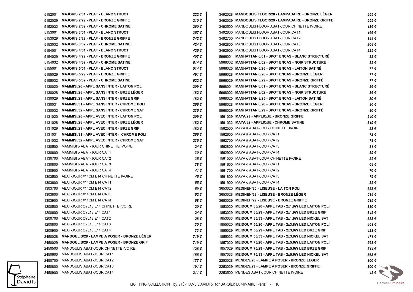| 5152001 | <b>MAJORIS 2/01 - PLAF - BLANC STRUCT</b>          | 222€     | 3492028 MANDOULIS FLOOR/28 - LAMPADAIRE - BRONZE LEGER    | 955€           |
|---------|----------------------------------------------------|----------|-----------------------------------------------------------|----------------|
| 5152029 | <b>MAJORIS 2/29 - PLAF - BRONZE GRIFFE</b>         | 210€     | 3492029 MANDOULIS FLOOR/29 - LAMPADAIRE - BRONZE GRIFFE   | 955€           |
| 5152032 | <b>MAJORIS 2/32 - PLAF - CHROME SATINE</b>         | 260€     | 3492500 MANDOULIS FLOOR ABAT-JOUR CHINETTE IVOIRE         | 136€           |
| 5153001 | <b>MAJORIS 3/01 - PLAF - BLANC STRUCT</b>          | 357€     | 3492600 MANDOULIS FLOOR ABAT-JOUR CAT1                    | 166€           |
| 5153029 | <b>MAJORIS 3/29 - PLAF - BRONZE GRIFFE</b>         | 342€     | 3492700 MANDOULIS FLOOR ABAT-JOUR CAT2                    | 189€           |
| 5153032 | <b>MAJORIS 3/32 - PLAF - CHROME SATINE</b>         | 424€     | 3492800 MANDOULIS FLOOR ABAT-JOUR CAT3                    | 204€           |
| 5154001 | <b>MAJORIS 4/01 - PLAF - BLANC STRUCT</b>          | 425€     | 3492900 MANDOULIS FLOOR ABAT-JOUR CAT4                    | 225€           |
| 5154029 | <b>MAJORIS 4/29 - PLAF - BRONZE GRIFFE</b>         | 407€     | 5966001 MANHATTAN 6/01 - SPOT ENCAS - BLANC STRUCTURE     | 82€            |
| 5154032 | <b>MAJORIS 4/32 - PLAF - CHROME SATINE</b>         | 514€     | 5966002 MANHATTAN 6/02 - SPOT ENCAS - NOIR STRUCTURE      | 82€            |
| 5155001 | <b>MAJORIS 5/01 - PLAF - BLANC STRUCT</b>          | 514 €    | 5966025 MANHATTAN 6/25 - SPOT ENCAS - LAITON SATINÉ       | 77€            |
| 5155029 | <b>MAJORIS 5/29 - PLAF - BRONZE GRIFFE</b>         | 491 €    | 5966028 MANHATTAN 6/28 - SPOT ENCAS - BRONZE LEGER        | 77€            |
| 5155032 | <b>MAJORIS 5/32 - PLAF - CHROME SATINE</b>         | 622€     | 5966029 MANHATTAN 6/29 - SPOT ENCAS - BRONZE GRIFFE       | 77€            |
| 1130020 | <b>MAMMISI/20 - APPL SANS INTER - LAITON POLI</b>  | 209€     | 5968001 MANHATTAN 8/01 - SPOT ENCAS - BLANC STRUCTURE     | 86€            |
| 1130028 | <b>MAMMISI/28 - APPL SANS INTER - BRZE LEGER</b>   | 182€     | 5968002 MANHATTAN 8/02 - SPOT ENCAS - NOIR STRUCTURE      | 86€            |
| 1130029 | <b>MAMMISI/29 - APPL SANS INTER - BRZE GRIF</b>    | 182€     | 5968025 MANHATTAN 8/25 - SPOT ENCAS - LAITON SATINE       | 80€            |
| 1130031 | <b>MAMMISI/31 - APPL SANS INTER - CHROME POLI</b>  | 266€     | 5968028 MANHATTAN 8/28 - SPOT ENCAS - BRONZE LEGER        | 80€            |
| 1130032 | <b>MAMMISI/32 - APPL SANS INTER - CHROME SAT</b>   | 235€     | 5968029 MANHATTAN 8/29 - SPOT ENCAS - BRONZE GRIFFE       | 80€            |
| 1131020 | <b>MAMMISI/20 - APPL AVEC INTER - LAITON POLI</b>  | 209€     | 1561029 MAYA/29 - APPLIQUE - BRONZE GRIFFE                | 240€           |
| 1131028 | <b>MAMMISI/28 - APPL AVEC INTER - BRZE LEGER</b>   | 182€     | 1561032 MAYA/32 - APPLIQUE - CHROME SATINE                | 319€           |
| 1131029 | <b>MAMMISI/29 - APPL AVEC INTER - BRZE GRIF</b>    | 182€     | 1562500 MAYA # ABAT-JOUR CHINETTE IVOIRE                  | 58€            |
| 1131031 | <b>MAMMISI/31 - APPL AVEC INTER - CHROME POLI</b>  | 266€     | 1562600 MAYA # ABAT-JOUR CAT1                             | 72€            |
| 1131032 | <b>MAMMISI/32 - APPL AVEC INTER - CHROME SAT</b>   | 235€     | 1562700 MAYA # ABAT-JOUR CAT2                             | 78€            |
| 1130500 | MAMMISI o ABAT-JOUR CHINETTE IVOIRE                | 24 €     | 1562800 MAYA # ABAT-JOUR CAT3                             | 81€            |
| 1130600 | MAMMISI o ABAT-JOUR CAT1                           | 30 €     | 1562900 MAYA # ABAT-JOUR CAT4                             | 89€            |
| 1130700 | MAMMISI o ABAT-JOUR CAT2                           | 35 €     | 1561500 MAYA o ABAT-JOUR CHINETTE IVOIRE                  | 52€            |
| 1130800 | MAMMISI o ABAT-JOUR CAT3                           | 38€      | 1561600 MAYA o ABAT-JOUR CAT1                             | 64 €           |
| 1130900 | MAMMISI o ABAT-JOUR CAT4                           | 41 €     | 1561700 MAYA o ABAT-JOUR CAT2                             | 70€            |
| 1303500 | ABAT-JOUR #14CM E14 CHINETTE IVOIRE                | 45 €     | 1561800 MAYA o ABAT-JOUR CAT3                             | 75€            |
| 1303600 | ABAT-JOUR #14CM E14 CAT1                           | 55 €     | 1561900 MAYA o ABAT-JOUR CAT4                             | 82€            |
| 1303700 | ABAT-JOUR #14CM E14 CAT2                           | 59€      | 3653020 MEDINEH/20 - LISEUSE - LAITON POLI                | 655€           |
| 1303800 | ABAT-JOUR #14CM E14 CAT3                           | 62€      | 3653028 MEDINEH/28 - LISEUSE - BRONZE LEGER               | 519€           |
| 1303900 | ABAT-JOUR #14CM E14 CAT4                           | 68 €     | 3653029 MEDINEH/29 - LISEUSE - BRONZE GRIFFE              | 519€           |
| 1200500 | ABAT-JOUR CYL13 E14 CHINETTE IVOIRE                | 20€      | 1853020 MEIDOUM 35/20 - APPL TAB - 2x1,9W LED LAITON POLI | 380€           |
| 1200600 | ABAT-JOUR CYL13 E14 CAT1                           | 24 €     | 1853029 MEIDOUM 35/29 - APPL TAB - 2x1,9W LED BRZE GRIF   | 345€           |
| 1200700 | ABAT-JOUR CYL13 E14 CAT2                           | 28€      | 1853033 MEIDOUM 35/33 - APPL TAB - 2x1,9W LED NICKEL SAT  | 388€           |
|         | 1200800 ABAT-JOUR CYL13 E14 CAT3                   | 30 €     | 1855020 MEIDOUM 55/20 - APPL TAB - 2x3,8W LED LAITON POLI | 463€           |
| 1200900 | ABAT-JOUR CYL13 E14 CAT4                           | $33 \in$ | 1855029 MEIDOUM 55/29 - APPL TAB - 2x3,8W LED BRZE GRIF   | 423€           |
| 2450028 | <b>MANDOULIS/28 - LAMPE A POSER - BRONZE LEGER</b> | 719€     | 1855033 MEIDOUM 55/33 - APPL TAB - 2x3,8W LED NICKEL SAT  | 471€           |
| 2450029 | <b>MANDOULIS/29 - LAMPE A POSER - BRONZE GRIF</b>  | 719€     | 1857020 MEIDOUM 75/20 - APPL TAB - 2x5,6W LED LAITON POLI | 568€           |
| 2450500 | MANDOULIS ABAT-JOUR CHINETTE IVOIRE                | 126 €    | 1857029 MEIDOUM 75/29 - APPL TAB - 2x5,6W LED BRZE GRIF   | 514€           |
| 2450600 | MANDOULIS ABAT-JOUR CAT1                           | 155 €    | 1857033 MEIDOUM 75/33 - APPL TAB - 2x5,6W LED NICKEL SAT  | 563€           |
| 2450700 | MANDOULIS ABAT-JOUR CAT2                           | 177€     | 2253028 MENDES/28 - LAMPE A POSER - BRONZE LEGER          | 300 €          |
| 2450800 | MANDOULIS ABAT-JOUR CAT3                           | 191€     | 2253029 MENDES/29 - LAMPE A POSER - BRONZE GRIFFE         | 300 $\epsilon$ |
| 2450900 | <b>MANDOULIS ABAT-JOUR CAT4</b>                    | 211€     | 2253500 MENDES ABAT-JOUR CHINETTE IVOIRE                  | 42€ \          |
|         |                                                    |          |                                                           |                |

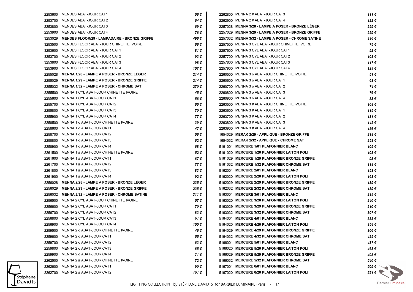|         | 2253600 MENDES ABAT-JOUR CAT1                       | 56€   |                                                    | 111€      |
|---------|-----------------------------------------------------|-------|----------------------------------------------------|-----------|
| 2253700 | MENDES ABAT-JOUR CAT2                               | 64€   | 2262900 MENNA 2 # ABAT-JOUR CAT4                   | 122€      |
|         | 2253800 MENDES ABAT-JOUR CAT3                       | 69€   | 2257028 MENNA 3/28 - LAMPE A POSER - BRONZE LEGER  | 259€      |
| 2253900 | MENDES ABAT-JOUR CAT4                               | 76 €  | 2257029 MENNA 3/29 - LAMPE A POSER - BRONZE GRIFFE | 259€      |
| 3253029 | <b>MENDES FLOOR/29 - LAMPADAIRE - BRONZE GRIFFE</b> | 496 € | 2257032 MENNA 3/32 - LAMPE A POSER - CHROME SATINE | 336€      |
| 3253500 | MENDES FLOOR ABAT-JOUR CHINETTE IVOIRE              | 66 €  | 2257500 MENNA 3 CYL ABAT-JOUR CHINETTE IVOIRE      | 75€       |
| 3253600 | MENDES FLOOR ABAT-JOUR CAT1                         | 81 €  | 2257600 MENNA 3 CYL ABAT-JOUR CAT1                 | 92€       |
| 3253700 | MENDES FLOOR ABAT-JOUR CAT2                         | 93€   | 2257700 MENNA 3 CYL ABAT-JOUR CAT2                 | 108€      |
| 3253800 | MENDES FLOOR ABAT-JOUR CAT3                         | 98€   | 2257800 MENNA 3 CYL ABAT-JOUR CAT3                 | 117€      |
| 3253900 | MENDES FLOOR ABAT-JOUR CAT4                         | 107 € | 2257900 MENNA 3 CYL ABAT-JOUR CAT4                 | 129 €     |
| 2255028 | <b>MENNA 1/28 - LAMPE A POSER - BRONZE LEGER</b>    | 214€  | 2260500 MENNA 3 o ABAT-JOUR CHINETTE IVOIRE        | 51€       |
| 2255029 | <b>MENNA 1/29 - LAMPE A POSER - BRONZE GRIFFE</b>   | 214€  | 2260600 MENNA 3 o ABAT-JOUR CAT1                   | 63€       |
| 2255032 | MENNA 1/32 - LAMPE A POSER - CHROME SAT             | 270€  | 2260700 MENNA 3 o ABAT-JOUR CAT2                   | 74€       |
| 2255500 | MENNA 1 CYL ABAT-JOUR CHINETTE IVOIRE               | 45 €  | 2260800 MENNA 3 o ABAT-JOUR CAT3                   | 76€       |
| 2255600 | MENNA 1 CYL ABAT-JOUR CAT1                          | 56 €  | 2260900 MENNA 3 o ABAT-JOUR CAT4                   | 83€       |
| 2255700 | MENNA 1 CYL ABAT-JOUR CAT2                          | 65 €  | 2263500 MENNA 3 # ABAT-JOUR CHINETTE IVOIRE        | 108€      |
| 2255800 | MENNA 1 CYL ABAT-JOUR CAT3                          | 70€   | 2263600 MENNA 3 # ABAT-JOUR CAT1                   | 115€      |
| 2255900 | MENNA 1 CYL ABAT-JOUR CAT4                          | 77 €  | 2263700 MENNA 3 # ABAT-JOUR CAT2                   | 131 €     |
| 2258500 | MENNA 1 o ABAT-JOUR CHINETTE IVOIRE                 | 39€   | 2263800 MENNA 3 # ABAT-JOUR CAT3                   | 142€      |
| 2258600 | MENNA 1 o ABAT-JOUR CAT1                            | 47 €  | 2263900 MENNA 3 # ABAT-JOUR CAT4                   | 156 €     |
| 2258700 | MENNA 1 o ABAT-JOUR CAT2                            | 56 €  | 1654029 MERAK 2/29 - APPLIQUE - BRONZE GRIFFE      | 218€      |
| 2258800 | MENNA 1 o ABAT-JOUR CAT3                            | 62€   | 1654032 MERAK 2/32 - APPLIQUE - CHROME SAT         | 258€      |
| 2258900 | MENNA 1 o ABAT-JOUR CAT4                            | 68€   | 5161001 MERCURE 1/01 PLAFONNIER BLANC              | 105 €     |
| 2261500 | MENNA 1 # ABAT-JOUR CHINETTE IVOIRE                 | 52€   | 5161020 MERCURE 1/20 PLAFONNIER LAITON POLI        | 108€      |
| 2261600 | MENNA 1 # ABAT-JOUR CAT1                            | 67€   | 5161029 MERCURE 1/29 PLAFONNIER BRONZE GRIFFE      | 93€       |
|         | 2261700 MENNA 1 # ABAT-JOUR CAT2                    | 77 €  | 5161032 MERCURE 1/32 PLAFONNIER CHROME SAT         | 118€      |
| 2261800 | MENNA 1 # ABAT-JOUR CAT3                            | 83€   | 5162001 MERCURE 2/01 PLAFONNIER BLANC              | 153€      |
| 2261900 | MENNA 1 # ABAT-JOUR CAT4                            | 92€   | 5162020 MERCURE 2/20 PLAFONNIER LAITON POLI        | 163€      |
| 2256028 | <b>MENNA 2/28 - LAMPE A POSER - BRONZE LEGER</b>    | 235€  | 5162029 MERCURE 2/29 PLAFONNIER BRONZE GRIFFE      | 139€      |
| 2256029 | <b>MENNA 2/29 - LAMPE A POSER - BRONZE GRIFFE</b>   | 235€  | 5162032 MERCURE 2/32 PLAFONNIER CHROME SAT         | 189€      |
| 2256032 | <b>MENNA 2/32 - LAMPE A POSER - CHROME SATINE</b>   | 311 € | 5163001 MERCURE 3/01 PLAFONNIER BLANC              | 239€      |
| 2256500 | MENNA 2 CYL ABAT-JOUR CHINETTE IVOIRE               | 57€   | 5163020 MERCURE 3/20 PLAFONNIER LAITON POLI        | 240€      |
| 2256600 | MENNA 2 CYL ABAT-JOUR CAT1                          | 70 €  | 5163029 MERCURE 3/29 PLAFONNIER BRONZE GRIFFE      | 210€      |
| 2256700 | MENNA 2 CYL ABAT-JOUR CAT2                          | 83€   | 5163032 MERCURE 3/32 PLAFONNIER CHROME SAT         | 307€      |
| 2256800 | MENNA 2 CYL ABAT-JOUR CAT3                          | 91€   | 5164001 MERCURE 4/01 PLAFONNIER BLANC              | $335 \in$ |
|         | 2256900 MENNA 2 CYL ABAT-JOUR CAT4                  | 100 € | 5164020 MERCURE 4/20 PLAFONNIER LAITON POLI        | 354€      |
|         | 2259500 MENNA 2 o ABAT-JOUR CHINETTE IVOIRE         | 46€   | 5164029 MERCURE 4/29 PLAFONNIER BRONZE GRIFFE      | 306€      |
|         | 2259600 MENNA 2 o ABAT-JOUR CAT1                    | 55€   | 5164032 MERCURE 4/32 PLAFONNIER CHROME SAT         | 425€      |
|         | 2259700 MENNA 2 o ABAT-JOUR CAT2                    | 63€   | 5166001 MERCURE 5/01 PLAFONNIER BLANC              | 437€      |
|         | 2259800 MENNA 2 o ABAT-JOUR CAT3                    | 65 €  | 5166020 MERCURE 5/20 PLAFONNIER LAITON POLI        | 468 €     |
|         | 2259900 MENNA 2 o ABAT-JOUR CAT4                    | 71 €  | 5166029 MERCURE 5/29 PLAFONNIER BRONZE GRIFFE      | 408 €     |
|         | 2262500 MENNA 2 # ABAT-JOUR CHINETTE IVOIRE         | 72€   | 5166032 MERCURE 5/32 PLAFONNIER CHROME SAT         | 540 €     |
| 2262600 | MENNA 2 # ABAT-JOUR CAT1                            | 90€   | 5167001 MERCURE 6/01 PLAFONNIER BLANC              | 509€      |
|         | 2262700 MENNA 2 # ABAT-JOUR CAT2                    | 101 € | 5167020 MERCURE 6/20 PLAFONNIER LAITON POLI        | $551 \in$ |

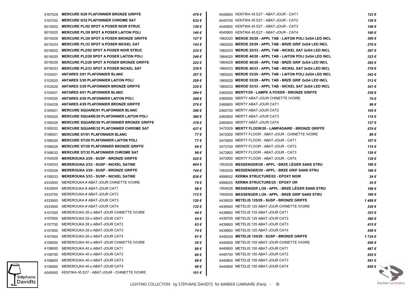|         | 5167029 MERCURE 6/29 PLAFONNIER BRONZE GRIFFE        | 479 € | 4545600 KENTIKA 45 E27 - ABAT-JOUR - CAT1                  | 123€    |
|---------|------------------------------------------------------|-------|------------------------------------------------------------|---------|
|         | 5167032 MERCURE 6/32 PLAFONNIER CHROME SAT           | 632€  | 4545700 KENTIKA 45 E27 - ABAT-JOUR - CAT2                  | 138€    |
|         | 6015002 MERCURE PL/02 SPOT A POSER NOIR STRUC        | 139€  | 4545800 KENTIKA 45 E27 - ABAT-JOUR - CAT3                  | 146 €   |
|         | 6015020 MERCURE PL/20 SPOT A POSER LAITON POLI       | 140 € | 4545900 KENTIKA 45 E27 - ABAT-JOUR - CAT4                  | 160€    |
| 6015029 | <b>MERCURE PL/29 SPOT A POSER BRONZE GRIFFE</b>      | 127 € | 1862020 MEROE 25/20 - APPL TAB - LAITON POLI 2xG4 LED INCL | 306€    |
| 6015033 | MERCURE PL/33 SPOT A POSER NICKEL SAT                | 143 € | 1862029 MEROE 25/29 - APPL TAB - BRZE GRIF 2xG4 LED INCL   | 276€    |
|         | 6016002 MERCURE PL2/02 SPOT A POSER NOIR STRUC       | 232€  | 1862033 MEROE 25/33 - APPL TAB - NICKEL SAT 2xG4 LED INCL  | 297€    |
|         | 6016020 MERCURE PL2/20 SPOT A POSER LAITON POLI      | 246 € | 1864020 MEROE 40/20 - APPL TAB - LAITON POLI 2xG4 LED INCL | 323€    |
|         | 6016029 MERCURE PL2/29 SPOT A POSER BRONZE GRIFFE    | 222€  | 1864029 MEROE 40/29 - APPL TAB - BRZE GRIF 2xG4 LED INCL   | 295€    |
|         | 6016033 MERCURE PL2/33 SPOT A POSER NICKEL SAT       | 239€  | 1864033 MEROE 40/33 - APPL TAB - NICKEL SAT 2xG4 LED INCL  | 319€    |
|         | 5103001 ANTARES 3/01 PLAFONNIER BLANC                | 257 € | 1865020 MEROE 53/20 - APPL TAB - LAITON POLI 2xG4 LED INCL | 342€    |
|         | 5103020 ANTARES 3/20 PLAFONNIER LAITON POLI          | 259€  | 1865029 MEROE 53/29 - APPL TAB - BRZE GRIF 2xG4 LED INCL   | 312€    |
|         | 5103029 ANTARES 3/29 PLAFONNIER BRONZE GRIFFE        | 235€  | 1865033 MEROE 53/33 - APPL TAB - NICKEL SAT 2xG4 LED INCL  | 341 €   |
|         | 5104001 ANTARES 4/01 PLAFONNIER BLANC                | 294 € | 2460029 MERTY/29 - LAMPE A POSER - BRONZE GRIFFE           | 339€    |
|         | 5104020 ANTARES 4/20 PLAFONNIER LAITON POLI          | 298€  | 2460500 MERTY ABAT-JOUR CHINETTE IVOIRE                    | 79€     |
|         | 5104029 ANTARES 4/29 PLAFONNIER BRONZE GRIFFE        | 270€  | 2460600 MERTY ABAT-JOUR CAT1                               | 96€     |
|         | 5165001 MERCURE SQUARE/01 PLAFONNIER BLANC           | 340 € | 2460700 MERTY ABAT-JOUR CAT2                               | 105€    |
| 5165020 | <b>MERCURE SQUARE/20 PLAFONNIER LAITON POLI</b>      | 366 € | 2460800 MERTY ABAT-JOUR CAT3                               | 115€    |
| 5165029 | <b>MERCURE SQUARE/29 PLAFONNIER BRONZE GRIFFE</b>    | 318€  | 2460900 MERTY ABAT-JOUR CAT4                               | 127 €   |
|         | 5165032 MERCURE SQUARE/32 PLAFONNIER CHROME SAT      | 437 € | 3472029 MERTY FLOOR/29 - LAMPADAIRE - BRONZE GRIFFE        | 570€    |
|         | 5168001 MERCURE ST/01 PLAFONNIER BLANC               | 77 €  | 3472500 MERTY FLOOR - ABAT-JOUR - CHINETTE IVOIRE          | 86 €    |
| 5168020 | <b>MERCURE ST/20 PLAFONNIER LAITON POLI</b>          | 77€   | 3472600 MERTY FLOOR - ABAT-JOUR - CAT1                     | 107€    |
| 5168029 | <b>MERCURE ST/29 PLAFONNIER BRONZE GRIFFE</b>        | 69€   | 3472700 MERTY FLOOR - ABAT-JOUR - CAT2                     | 115€    |
|         | 5168032 MERCURE ST/32 PLAFONNIER CHROME SAT          | 88 €  | 3472800 MERTY FLOOR - ABAT-JOUR - CAT3                     | 126 €   |
| 4154029 | <b>MEREROUKA 2/29 - SUSP - BRONZE GRIFFE</b>         | 525€  | 3472900 MERTY FLOOR - ABAT-JOUR - CAT4                     | 139€    |
| 4154033 | <b>MEREROUKA 2/33 - SUSP - NICKEL SATINE</b>         | 604 € | 1953028 MESSENGER/28 - APPL - BRZE LEGER SANS STRU         | 186€    |
| 4155029 | <b>MEREROUKA 3/29 - SUSP - BRONZE GRIFFE</b>         | 744 € | 1953029 MESSENGER/29 - APPL - BRZE GRIF SANS STRU          | 186€    |
|         | 4155033 MEREROUKA 3/33 - SUSP - NICKEL SATINE        | 836€  | 4999002 KERMA STRUCTURE/02 - EPOXY NOIR                    | 24€     |
| 4333500 | MEREROUKA # ABAT-JOUR CHINETTE IVOIRE                | 79€   | 4999025 KERMA STRUCTURE/25 - EPOXY OR                      | 24€     |
| 4333600 | MEREROUKA # ABAT-JOUR CAT1                           | 98 €  | 1954028 MESSENGER L/28 - APPL - BRZE LEGER SANS STRU       | 186€    |
| 4333700 | MEREROUKA # ABAT-JOUR CAT2                           | 112€  | 1954029 MESSENGER L/29 - APPL - BRZE GRIF SANS STRU        | 186€    |
| 4333800 | MEREROUKA # ABAT-JOUR CAT3                           | 120 € | 4439029 METELIS 125/29 - SUSP - BRONZE GRIFFE              | 1468€   |
| 4333900 | MEREROUKA # ABAT-JOUR CAT4                           | 132€  | 4439500 METELIS 125 ABAT-JOUR CHINETTE IVOIRE              | 329€    |
| 4157500 | MEREROUKA 28 o ABAT-JOUR CHINETTE IVOIRE             | 44 €  | 4439600 METELIS 125 ABAT-JOUR CAT1                         | 353€    |
|         | 4157600 MEREROUKA 28 o ABAT-JOUR CAT1                | 54 €  | 4439700 METELIS 125 ABAT-JOUR CAT2                         | 390€    |
|         | 4157700 MEREROUKA 28 o ABAT-JOUR CAT2                | 63 €  | 4439800 METELIS 125 ABAT-JOUR CAT3                         | 415€    |
|         | 4157800 MEREROUKA 28 o ABAT-JOUR CAT3                | 74 €  | 4439900 METELIS 125 ABAT-JOUR CAT4                         | 456 €   |
|         | 4157900 MEREROUKA 28 o ABAT-JOUR CAT4                | 81 €  | 4440029 METELIS 155/29 - SUSP - BRONZE GRIFFE              | 1 724 € |
| 4158500 | MEREROUKA 40 o ABAT-JOUR CHINETTE IVOIRE             | 55 €  | 4440500 METELIS 155 ABAT-JOUR CHINETTE IVOIRE              | 456€    |
|         | 4158600 MEREROUKA 40 o ABAT-JOUR CAT1                | 66 €  | 4440600 METELIS 155 ABAT-JOUR CAT1                         | 487€    |
|         | 4158700 MEREROUKA 40 o ABAT-JOUR CAT2                | 80€   | 4440700 METELIS 155 ABAT-JOUR CAT2                         | 555€    |
| 4158800 | MEREROUKA 40 o ABAT-JOUR CAT3                        | 89€   | 4440800 METELIS 155 ABAT-JOUR CAT3                         | 591€    |
| 4158900 | MEREROUKA 40 o ABAT-JOUR CAT4                        | 98€   | 4440900 METELIS 155 ABAT-JOUR CAT4                         | 650 €   |
|         | 4545500 KENTIKA 45 E27 - ABAT-JOUR - CHINETTE IVOIRE | 101 € |                                                            |         |

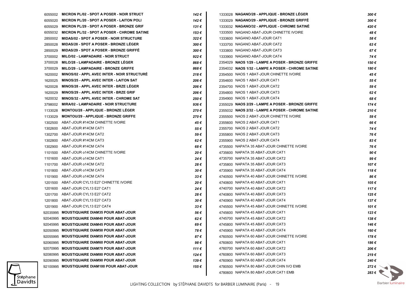|         | 6055002 MICRON PL/02 - SPOT A POSER - NOIR STRUCT  | 142€  | 1333028 NAGANO/28 - APPLIQUE - BRONZE LEGER       | 300€           |
|---------|----------------------------------------------------|-------|---------------------------------------------------|----------------|
| 6055020 | <b>MICRON PL/20 - SPOT A POSER - LAITON POLI</b>   | 142 € | 1333029 NAGANO/29 - APPLIQUE - BRONZE GRIFFÉ      | 300€           |
| 6055029 | <b>MICRON PL/29 - SPOT A POSER - BRONZE GRIF</b>   | 131 € | 1333032 NAGANO/32 - APPLIQUE - CHROME SATINÉ      | 420€           |
| 6055032 | <b>MICRON PL/32 - SPOT A POSER - CHROME SATINE</b> | 153€  | 1333500 NAGANO ABAT-JOUR CHINETTE IVOIRE          | 48€            |
| 2850002 | <b>MIDAS/02 - SPOT A POSER - NOIR STRUCTURE</b>    | 322€  | 1333600 NAGANO ABAT-JOUR CAT1                     | 58€            |
| 2850028 | <b>MIDAS/28 - SPOT A POSER - BRONZE LEGER</b>      | 300€  | 1333700 NAGANO ABAT-JOUR CAT2                     | 63€            |
| 2850029 | <b>MIDAS/29 - SPOT A POSER - BRONZE GRIFFE</b>     | 300€  | 1333800 NAGANO ABAT-JOUR CAT3                     | 67€            |
| 3700002 | <b>MILO/02 - LAMPADAIRE - NOIR STRUCT</b>          | 922€  | 1333900 NAGANO ABAT-JOUR CAT4                     | 74€            |
| 3700028 | MILO/28 - LAMPADAIRE - BRONZE LEGER                | 868€  | 2354029 NAOS 1/29 - LAMPE A POSER - BRONZE GRIFFE | 150€           |
| 3700029 | <b>MILO/29 - LAMPADAIRE - BRONZE GRIFFE</b>        | 868€  | 2354032 NAOS 1/32 - LAMPE A POSER - CHROME SATINE | 180€           |
| 1620002 | MINOS/02 - APPL AVEC INTER - NOIR STRUCTURE        | 218€  | 2354500 NAOS 1 ABAT-JOUR CHINETTE IVOIRE          | 45€            |
| 1620025 | MINOS/25 - APPL AVEC INTER - LAITON SAT            | 206 € | 2354600 NAOS 1 ABAT-JOUR CAT1                     | 55€            |
| 1620028 | MINOS/28 - APPL AVEC INTER - BRZE LEGER            | 206 € | 2354700 NAOS 1 ABAT-JOUR CAT2                     | 59€            |
| 1620029 | <b>MINOS/29 - APPL AVEC INTER - BRZE GRIF</b>      | 206 € | 2354800 NAOS 1 ABAT-JOUR CAT3                     | 62€            |
| 1620032 | <b>MINOS/32 - APPL AVEC INTER - CHROME SAT</b>     | 250 € | 2354900 NAOS 1 ABAT-JOUR CAT4                     | 68€            |
| 3798002 | <b>MIRA/02 - LAMPADAIRE - NOIR STRUCTURE</b>       | 936€  | 2355029 NAOS 2/29 - LAMPE A POSER - BRONZE GRIFFE | 174€           |
| 1133028 | <b>MONTOU/28 - APPLIQUE - BRONZE LEGER</b>         | 270€  | 2355032 NAOS 2/32 - LAMPE A POSER - CHROME SATINE | 210€           |
| 1133029 | <b>MONTOU/29 - APPLIQUE - BRONZE GRIFFE</b>        | 270€  | 2355500 NAOS 2 ABAT-JOUR CHINETTE IVOIRE          | 59€            |
| 1302500 | ABAT-JOUR #14CM CHINETTE IVOIRE                    | 45€   | 2355600 NAOS 2 ABAT-JOUR CAT1                     | 66€            |
| 1302600 | ABAT-JOUR #14CM CAT1                               | 55€   | 2355700 NAOS 2 ABAT-JOUR CAT2                     | 74€            |
| 1302700 | ABAT-JOUR #14CM CAT2                               | 59€   | 2355800 NAOS 2 ABAT-JOUR CAT3                     | 76€            |
| 1302800 | ABAT-JOUR #14CM CAT3                               | 62€   | 2355900 NAOS 2 ABAT-JOUR CAT4                     | 83€            |
| 1302900 | ABAT-JOUR #14CM CAT4                               | 68€   | 4735500 NAPATA 35 ABAT-JOUR CHINETTE IVOIRE       | 76€            |
|         | 1101500 ABAT-JOUR o14CM CHINETTE IVOIRE            | 20€   | 4735600 NAPATA 35 ABAT-JOUR CAT1                  | 90€            |
| 1101600 | ABAT-JOUR o14CM CAT1                               | 24€   | 4735700 NAPATA 35 ABAT-JOUR CAT2                  | 99€            |
|         | 1101700 ABAT-JOUR o14CM CAT2                       | 28€   | 4735800 NAPATA 35 ABAT-JOUR CAT3                  | 107€           |
| 1101800 | ABAT-JOUR o14CM CAT3                               | 30€   | 4735900 NAPATA 35 ABAT-JOUR CAT4                  | 118€           |
| 1101900 | ABAT-JOUR o14CM CAT4                               | 33€   | 4740500 NAPATA 40 ABAT-JOUR CHINETTE IVOIRE       | 86€            |
| 1201500 | ABAT-JOUR CYL13 E27 CHINETTE IVOIRE                | 20€   | 4740600 NAPATA 40 ABAT-JOUR CAT1                  | 105€           |
| 1201600 | ABAT-JOUR CYL13 E27 CAT1                           | 24€   | 4740700 NAPATA 40 ABAT-JOUR CAT2                  | 117€           |
|         | 1201700 ABAT-JOUR CYL13 E27 CAT2                   | 28€   | 4740800 NAPATA 40 ABAT-JOUR CAT3                  | 125€           |
|         | 1201800 ABAT-JOUR CYL13 E27 CAT3                   | 30€   | 4740900 NAPATA 40 ABAT-JOUR CAT4                  | 137€           |
|         | 1201900 ABAT-JOUR CYL13 E27 CAT4                   | 33€   | 4745500 NAPATA 45 ABAT-JOUR CHINETTE IVOIRE       | 101€           |
|         | 92035995 MOUSTIQUAIRE DIAM35 POUR ABAT-JOUR        | 56€   | 4745600 NAPATA 45 ABAT-JOUR CAT1                  | 123€           |
|         | 92040995 MOUSTIQUAIRE DIAM40 POUR ABAT-JOUR        | 62€   | 4745700 NAPATA 45 ABAT-JOUR CAT2                  | 138€           |
|         | 92045995 MOUSTIQUAIRE DIAM45 POUR ABAT-JOUR        | 69€   | 4745800 NAPATA 45 ABAT-JOUR CAT3                  | 146 €          |
|         | 92050995 MOUSTIQUAIRE DIAM50 POUR ABAT-JOUR        | 78€   | 4745900 NAPATA 45 ABAT-JOUR CAT4                  | 160 €          |
|         | 92055995 MOUSTIQUAIRE DIAM55 POUR ABAT-JOUR        | 87€   | 4760500 NAPATA 60 ABAT-JOUR CHINETTE IVOIRE       | 178€           |
|         | 92060995 MOUSTIQUAIRE DIAM60 POUR ABAT-JOUR        | 98€   | 4760600 NAPATA 60 ABAT-JOUR CAT1                  | 186€           |
|         | 92070995 MOUSTIQUAIRE DIAM70 POUR ABAT-JOUR        | 111€  | 4760700 NAPATA 60 ABAT-JOUR CAT2                  | 206€           |
|         | 92080995 MOUSTIQUAIRE DIAM80 POUR ABAT-JOUR        | 124 € | 4760800 NAPATA 60 ABAT-JOUR CAT3                  | 219€           |
|         | 92090995 MOUSTIQUAIRE DIAM90 POUR ABAT-JOUR        | 139€  | 4760900 NAPATA 60 ABAT-JOUR CAT4                  | 240€           |
|         | 92100995 MOUSTIQUAIRE DIAM100 POUR ABAT-JOUR       | 155€  | 4780500 NAPATA 80 ABAT-JOUR CHIN IVO EMB          | 272 $\epsilon$ |
|         |                                                    |       | 4780600 NAPATA 80 ABAT-JOUR CAT1 EMB              | 283 $\epsilon$ |
|         |                                                    |       |                                                   |                |

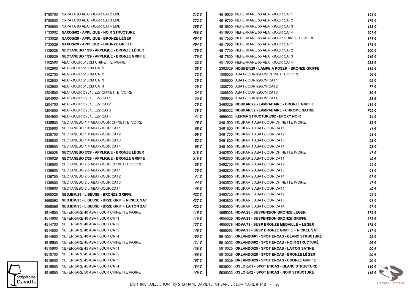|         | 4780700 NAPATA 80 ABAT-JOUR CAT2 EMB                | 312€  | 4516600 NEFERKARE 50 ABAT-JOUR CAT1               | 154 € |
|---------|-----------------------------------------------------|-------|---------------------------------------------------|-------|
| 4780800 | NAPATA 80 ABAT-JOUR CAT3 EMB                        | 332€  | 4516700 NEFERKARE 50 ABAT-JOUR CAT2               | 176€  |
|         | 4780900 NAPATA 80 ABAT-JOUR CAT4 EMB                | 365€  | 4516800 NEFERKARE 50 ABAT-JOUR CAT3               | 188€  |
|         | 1733002 NAXOS/02 - APPLIQUE - NOIR STRUCTURE        | 486 € | 4516900 NEFERKARE 50 ABAT-JOUR CAT4               | 207€  |
| 1733028 | NAXOS/28 - APPLIQUE - BRONZE LEGER                  | 464 € | 4517500 NEFERKARE 55 ABAT-JOUR CHINETTE IVOIRE    | 171€  |
| 1733029 | NAXOS/29 - APPLIQUE - BRONZE GRIFFÉ                 | 464 € | 4517600 NEFERKARE 55 ABAT-JOUR CAT1               | 178€  |
| 1135028 | <b>NECTANEBO 1/28 - APPLIQUE - BRONZE LEGER</b>     | 179 € | 4517700 NEFERKARE 55 ABAT-JOUR CAT2               | 200€  |
| 1135029 | <b>NECTANEBO 1/29 - APPLIQUE - BRONZE GRIFFE</b>    | 179 € | 4517800 NEFERKARE 55 ABAT-JOUR CAT3               | 216€  |
|         | 1102500 ABAT-JOUR o16CM CHINETTE IVOIRE             | 22€   | 4517900 NEFERKARE 55 ABAT-JOUR CAT4               | 238€  |
|         | 1102600 ABAT-JOUR o16CM CAT1                        | 28€   | 2362029 NOUBET/29 - LAMPE A POSER - BRONZE GRIFFE | 218€  |
|         | 1102700 ABAT-JOUR o16CM CAT2                        | 32€   | 1308500 ABAT-JOUR #20CM CHINETTE IVOIRE           | 56 €  |
|         | 1102800 ABAT-JOUR o16CM CAT3                        | 35 €  | 1308600 ABAT-JOUR #20CM CAT1                      | 69€   |
|         | 1102900 ABAT-JOUR o16CM CAT4                        | 39€   | 1308700 ABAT-JOUR #20CM CAT2                      | 77€   |
|         | 1204500 ABAT-JOUR CYL15 E27 CHINETTE IVOIRE         | 24 €  | 1308800 ABAT-JOUR #20CM CAT3                      | 80€   |
|         | 1204600 ABAT-JOUR CYL15 E27 CAT1                    | 30 €  | 1308900 ABAT-JOUR #20CM CAT4                      | 88€   |
|         | 1204700 ABAT-JOUR CYL15 E27 CAT2                    | 35 €  | 3460029 NOUKAR/29 - LAMPADAIRE - BRONZE GRIFFE    | 419€  |
| 1204800 | ABAT-JOUR CYL15 E27 CAT3                            | 38 €  | 3460032 NOUKAR/32 - LAMPADAIRE - CHROME SATINE    | 755€  |
|         | 1204900 ABAT-JOUR CYL15 E27 CAT4                    | 41 €  | 4999002 KERMA STRUCTURE/02 - EPOXY NOIR           | 24€   |
| 1335500 | NECTANEBO 1 # ABAT-JOUR CHINETTE IVOIRE             | 45 €  | 3461500 NOUKAR 1 ABAT-JOUR CHINETTE IVOIRE        | 35€   |
|         | 1335600 NECTANEBO 1 # ABAT-JOUR CAT1                | 55€   | 3461600 NOUKAR 1 ABAT-JOUR CAT1                   | 41€   |
|         | 1335700 NECTANEBO 1 # ABAT-JOUR CAT2                | 59€   | 3461700 NOUKAR 1 ABAT-JOUR CAT2                   | 48€   |
| 1335800 | NECTANEBO 1 # ABAT-JOUR CAT3                        | 62€   | 3461800 NOUKAR 1 ABAT-JOUR CAT3                   | 52€   |
|         | 1335900 NECTANEBO 1 # ABAT-JOUR CAT4                | 68 €  | 3461900 NOUKAR 1 ABAT-JOUR CAT4                   | 58€   |
| 1136028 | NECTANEBO 2/28 - APPLIQUE - BRONZE LEGER            | 218€  | 3462500 NOUKAR 2 ABAT-JOUR CHINETTE IVOIRE        | 47€   |
| 1136029 | <b>NECTANEBO 2/29 - APPLIQUE - BRONZE GRIFFE</b>    | 218€  | 3462600 NOUKAR 2 ABAT-JOUR CAT1                   | 49€   |
| 1136500 | NECTANEBO 2 o ABAT-JOUR CHINETTE IVOIRE             | 28 €  | 3462700 NOUKAR 2 ABAT-JOUR CAT2                   | 55€   |
| 1136600 | NECTANEBO 2 o ABAT-JOUR CAT1                        | 35 €  | 3462800 NOUKAR 2 ABAT-JOUR CAT3                   | 61€   |
| 1136700 | NECTANEBO 2 o ABAT-JOUR CAT2                        | 41 €  | 3462900 NOUKAR 2 ABAT-JOUR CAT4                   | 67€   |
| 1136800 | NECTANEBO 2 o ABAT-JOUR CAT3                        | 44 €  | 3463500 NOUKAR 3 ABAT-JOUR CHINETTE IVOIRE        | 47€   |
| 1136900 | NECTANEBO 2 o ABAT-JOUR CAT4                        | 48 €  | 3463600 NOUKAR 3 ABAT-JOUR CAT1                   | 49€   |
| 3665029 | <b>NEDJEM/29 - LISEUSE - BRONZE GRIFFE</b>          | 422 € | 3463700 NOUKAR 3 ABAT-JOUR CAT2                   | 55€   |
| 3665093 | NEDJEM/93 - LISEUSE - BRZE GRIF + NICKEL SAT        | 437 € | 3463800 NOUKAR 3 ABAT-JOUR CAT3                   | 61€   |
| 3665095 | <b>NEDJEM/95 - LISEUSE - BRZE GRIF + LAITON SAT</b> | 422€  | 3463900 NOUKAR 3 ABAT-JOUR CAT4                   | 67€   |
|         | 4514500 NEFERKARE 40 ABAT-JOUR CHINETTE IVOIRE      | 115€  | 4655028 NOVA/28 - SUSPENSION BRONZE LEGER         | 372€  |
|         | 4514600 NEFERKARE 40 ABAT-JOUR CAT1                 | 119€  | 4655029 NOVA/29 - SUSPENSION BRONZE GRIFFE        | 372€  |
|         | 4514700 NEFERKARE 40 ABAT-JOUR CAT2                 | 137 € | 4655078 NOVA/78 - SUSP BRONZE MEDAILLE + LEGER    | 372€  |
|         | 4514800 NEFERKARE 40 ABAT-JOUR CAT3                 | 146 € | 4655093 NOVA/93 - SUSP BRONZE GRIFFE + NICKEL SAT | 417€  |
|         | 4514900 NEFERKARE 40 ABAT-JOUR CAT4                 | 160 € | 5910001 ORLANDO/01 - SPOT ENCAS - BLANC STRUCTURE | 99€   |
| 4515500 | NEFERKARE 45 ABAT-JOUR CHINETTE IVOIRE              | 131 € | 5910002 ORLANDO/02 - SPOT ENCAS - NOIR STRUCTURE  | 96€   |
| 4515600 | NEFERKARE 45 ABAT-JOUR CAT1                         | 138€  | 5910025 ORLANDO/25 - SPOT ENCAS - LAITON SATINE   | 90€   |
| 4515700 | NEFERKARE 45 ABAT-JOUR CAT2                         | 155 € | 5910028 ORLANDO/28 - SPOT ENCAS - BRONZE LEGER    | 90€   |
| 4515800 | NEFERKARE 45 ABAT-JOUR CAT3                         | 167 € | 5910029 ORLANDO/29 - SPOT ENCAS - BRONZE GRIFFE   | 90€   |
| 4515900 | NEFERKARE 45 ABAT-JOUR CAT4                         | 184 € | 5936001 OSLO 6/01 - SPOT ENCAS - BLANC STRUCTURE  | 116€  |
| 4516500 | NEFERKARE 50 ABAT-JOUR CHINETTE IVOIRE              | 149 € | 5936002 OSLO 6/02 - SPOT ENCAS - NOIR STRUCTURE   | 116€  |
|         |                                                     |       |                                                   |       |

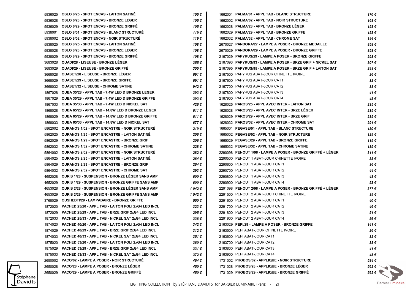|         | 5936025 OSLO 6/25 - SPOT ENCAS - LAITON SATINE              | 105€    | 1662001 PALMA/01 - APPL TAB - BLANC STRUCTURE               | 170€              |
|---------|-------------------------------------------------------------|---------|-------------------------------------------------------------|-------------------|
| 5936028 | <b>OSLO 6/28 - SPOT ENCAS - BRONZE LEGER</b>                | 105€    | 1662002 PALMA/02 - APPL TAB - NOIR STRUCTURE                | 168€              |
| 5936029 | <b>OSLO 6/29 - SPOT ENCAS - BRONZE GRIFFE</b>               | 105 €   | 1662028 PALMA/28 - APPL TAB - BRONZE LEGER                  | 158€              |
| 5938001 | <b>OSLO 8/01 - SPOT ENCAS - BLANC STRUCTURE</b>             | 119€    | 1662029 PALMA/29 - APPL TAB - BRONZE GRIFFE                 | 158€              |
| 5938002 | <b>OSLO 8/02 - SPOT ENCAS - NOIR STRUCTURE</b>              | 119€    | 1662032 PALMA/32 - APPL TAB - CHROME SAT                    | 194€              |
| 5938025 | <b>OSLO 8/25 - SPOT ENCAS - LAITON SATINE</b>               | 108 €   | 2670027 PANDORA/27 - LAMPE A POSER - BRONZE MEDAILLE        | 858€              |
| 5938028 | <b>OSLO 8/28 - SPOT ENCAS - BRONZE LEGER</b>                | 108€    | 2670029 PANDORA/29 - LAMPE A POSER - BRONZE GRIFFE          | 858€              |
| 5938029 | <b>OSLO 8/29 - SPOT ENCAS - BRONZE GRIFFE</b>               | 108 €   | 2167029 PAPYRUS/29 - LAMPE A POSER - BRONZE GRIFFE          | 293€              |
| 3683028 | <b>OUADI/28 - LISEUSE - BRONZE LEGER</b>                    | 355€    | 2167093 PAPYRUS/93 - LAMPE A POSER - BRZE GRIF + NICKEL SAT | 307€              |
| 3683029 | <b>OUADI/29 - LISEUSE - BRONZE GRIFFE</b>                   | 355€    | 2167095 PAPYRUS/95 - LAMPE A POSER - BRZE GRIF + LAITON SAT | 293€              |
| 3668028 | <b>OUASET/28 - LISEUSE - BRONZE LEGER</b>                   | 691€    | 2167500 PAPYRUS ABAT-JOUR CHINETTE IVOIRE                   | 26€               |
| 3668029 | <b>OUASET/29 - LISEUSE - BRONZE GRIFFE</b>                  | 691€    | 2167600 PAPYRUS ABAT-JOUR CAT1                              | 32€               |
| 3668032 | <b>OUASET/32 - LISEUSE - CHROME SATINE</b>                  | 942€    | 2167700 PAPYRUS ABAT-JOUR CAT2                              | 38€               |
| 1867028 | OUBA 35/28 - APPL TAB - 7,4W LED D BRONZE LEGER             | 393€    | 2167800 PAPYRUS ABAT-JOUR CAT3                              | 41 €              |
| 1867029 | OUBA 35/29 - APPL TAB - 7,4W LED D BRONZE GRIFFE            | 393€    | 2167900 PAPYRUS ABAT-JOUR CAT4                              | 45€               |
| 1867033 | OUBA 35/33 - APPL TAB - 7,4W LED D NICKEL SAT               | 426 €   | 1628025 PAROS/25 - APPL AVEC INTER - LAITON SAT             | 235€              |
| 1868028 | OUBA 65/28 - APPL TAB - 14,8W LED D BRONZE LEGER            | 611€    | 1628028 PAROS/28 - APPL AVEC INTER - BRZE LÉGER             | 235€              |
| 1868029 | OUBA 65/29 - APPL TAB - 14,8W LED D BRONZE GRIFFE           | 611€    | 1628029 PAROS/29 - APPL AVEC INTER - BRZE GRIF              | 235€              |
| 1868033 | OUBA 65/33 - APPL TAB - 14,8W LED D NICKEL SAT              | 677€    | 1628032 PAROS/32 - APPL AVEC INTER - CHROME SAT             | 291€              |
| 5862002 | <b>OURANOS 1/02 - SPOT ENCASTRE - NOIR STRUCTURE</b>        | 219€    | 1665001 PEGASE/01 - APPL TAB - BLANC STRUCTURE              | 130€              |
| 5862025 | <b>OURANOS 1/25 - SPOT ENCASTRE - LAITON SATINE</b>         | 206 €   | 1665002 PEGASE/02 - APPL TAB - NOIR STRUCTURE               | 129 €             |
| 5862029 | <b>OURANOS 1/29 - SPOT ENCASTRE - BRONZE GRIF</b>           | 206 €   | 1665029 PEGASE/29 - APPL TAB - BRONZE GRIFFE                | 119€              |
| 5862032 | <b>OURANOS 1/32 - SPOT ENCASTRE - CHROME SATINE</b>         | 228€    | 1665032 PEGASE/32 - APPL TAB - CHROME SATINE                | 139€              |
| 5864002 | <b>OURANOS 2/02 - SPOT ENCASTRE - NOIR STRUCTURE</b>        | 282€    | 2290098 PENOUT 1/98 - LAMPE A POSER - BRONZE GRIFFE + LEGER | $311 \in$         |
| 5864025 | <b>OURANOS 2/25 - SPOT ENCASTRE - LAITON SATINE</b>         | 264 €   | 2290500 PENOUT 1 ABAT-JOUR CHINETTE IVOIRE                  | 35€               |
| 5864029 | <b>OURANOS 2/29 - SPOT ENCASTRE - BRONZE GRIF</b>           | 264 €   | 2290600 PENOUT 1 ABAT-JOUR CAT1                             | 36 €              |
| 5864032 | <b>OURANOS 2/32 - SPOT ENCASTRE - CHROME SAT</b>            | 293€    | 2290700 PENOUT 1 ABAT-JOUR CAT2                             | 44 €              |
| 4652028 | <b>OURIS 1/28 - SUSPENSION - BRONZE LEGER SANS AMP</b>      | 600 €   | 2290800 PENOUT 1 ABAT-JOUR CAT3                             | 48 €              |
| 4652029 | <b>OURIS 1/29 - SUSPENSION - BRONZE GRIFFE SANS AMP</b>     | 600 €   | 2290900 PENOUT 1 ABAT-JOUR CAT4                             | 53€               |
| 4653028 | <b>OURIS 2/28 - SUSPENSION - BRONZE LEGER SANS AMP</b>      | 1 042 € | 2291098 PENOUT 2/98 - LAMPE A POSER - BRONZE GRIFFE + LEGER | 377€              |
| 4653029 | <b>OURIS 2/29 - SUSPENSION - BRONZE GRIFFE SANS AMP</b>     | 1 042 € | 2291500 PENOUT 2 ABAT-JOUR CHINETTE IVOIRE                  | 39€               |
| 3768029 | <b>OUSHEBTI/29 - LAMPADAIRE - BRONZE GRIFFE</b>             | 550€    | 2291600 PENOUT 2 ABAT-JOUR CAT1                             | 40€               |
| 1872020 | <b>PACHED 25/20 - APPL TAB - LAITON POLI 2xG4 LED INCL</b>  | 323€    | 2291700 PENOUT 2 ABAT-JOUR CAT2                             | 46 €              |
| 1872029 | <b>PACHED 25/29 - APPL TAB - BRZE GRIF 2xG4 LED INCL</b>    | 295€    | 2291800 PENOUT 2 ABAT-JOUR CAT3                             | 51€               |
| 1872033 | PACHED 25/33 - APPL TAB - NICKEL SAT 2xG4 LED INCL          | 336€    | 2291900 PENOUT 2 ABAT-JOUR CAT4                             | 56€               |
|         | 1874020 PACHED 40/20 - APPL TAB - LAITON POLI 2xG4 LED INCL | 342€    | 2163029 PEPI/29 - LAMPE A POSER - BRONZE GRIFFE             | 141€              |
| 1874029 | PACHED 40/29 - APPL TAB - BRZE GRIF 2xG4 LED INCL           | 312€    | 2163500 PEPI ABAT-JOUR CHINETTE IVOIRE                      | 26€               |
|         | 1874033 PACHED 40/33 - APPL TAB - NICKEL SAT 2xG4 LED INCL  | 351€    | 2163600 PEPI ABAT-JOUR CAT1                                 | 32€               |
| 1875020 | <b>PACHED 53/20 - APPL TAB - LAITON POLI 2xG4 LED INCL</b>  | 360€    | 2163700 PEPI ABAT-JOUR CAT2                                 | 38€               |
| 1875029 | PACHED 53/29 - APPL TAB - BRZE GRIF 2xG4 LED INCL           | 331€    | 2163800 PEPI ABAT-JOUR CAT3                                 | 41€               |
| 1875033 | PACHED 53/33 - APPL TAB - NICKEL SAT 2xG4 LED INCL          | 372€    | 2163900 PEPI ABAT-JOUR CAT4                                 | 45€               |
| 2650002 | PACO/02 - LAMPE A POSER - NOIR STRUCTURE                    | 464 €   | 1731002 PHOBOS/02 - APPLIQUE - NOIR STRUCTURE               | 584€              |
| 2650028 | PACO/28 - LAMPE A POSER - BRONZE LEGER                      | 450 €   | 1731028 PHOBOS/28 - APPLIQUE - BRONZE LEGER                 | 562 €             |
| 2650029 | <b>PACO/29 - LAMPE A POSER - BRONZE GRIFFE</b>              | 450€    | 1731029 PHOBOS/29 - APPLIQUE - BRONZE GRIFFE                | $562 \in \bullet$ |
|         |                                                             |         |                                                             |                   |

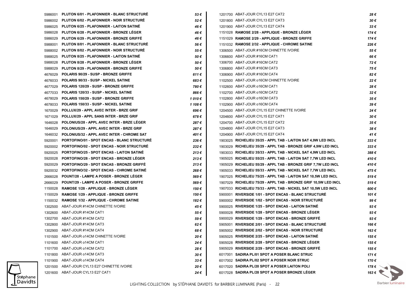|         | 5986001 PLUTON 6/01 - PLAFONNIER - BLANC STRUCTURE | 53€           | 1201700 ABAT-JOUR CYL13 E27 CAT2                                | 28€                  |
|---------|----------------------------------------------------|---------------|-----------------------------------------------------------------|----------------------|
|         | 5986002 PLUTON 6/02 - PLAFONNIER - NOIR STRUCTURE  | 52€           | 1201800 ABAT-JOUR CYL13 E27 CAT3                                | 30€                  |
| 5986025 | <b>PLUTON 6/25 - PLAFONNIER - LAITON SATINE</b>    | 46 €          | 1201900 ABAT-JOUR CYL13 E27 CAT4                                | $33 \in$             |
| 5986028 | PLUTON 6/28 - PLAFONNIER - BRONZE LEGER            | 46 €          | 1151028 RAMOSE 2/28 - APPLIQUE - BRONZE LEGER                   | 174€                 |
| 5986029 | <b>PLUTON 6/29 - PLAFONNIER - BRONZE GRIFFE</b>    | 46 €          | 1151029 RAMOSE 2/29 - APPLIQUE - BRONZE GRIFFE                  | 174€                 |
| 5988001 | PLUTON 8/01 - PLAFONNIER - BLANC STRUCTURE         | 56 €          | 1151032 RAMOSE 2/32 - APPLIQUE - CHROME SATINE                  | 226€                 |
| 5988002 | <b>PLUTON 8/02 - PLAFONNIER - NOIR STRUCTURE</b>   | 55€           | 1306500 ABAT-JOUR #16CM CHINETTE IVOIRE                         | 55€                  |
| 5988025 | <b>PLUTON 8/25 - PLAFONNIER - LAITON SATINE</b>    | 50 €          | 1306600 ABAT-JOUR #16CM CAT1                                    | 66€                  |
| 5988028 | PLUTON 8/28 - PLAFONNIER - BRONZE LEGER            | 50€           | 1306700 ABAT-JOUR #16CM CAT2                                    | 72€                  |
| 5988029 | PLUTON 8/29 - PLAFONNIER - BRONZE GRIFFE           | 50€           | 1306800 ABAT-JOUR #16CM CAT3                                    | 75€                  |
| 4676029 | POLARIS 90/29 - SUSP - BRONZE GRIFFE               | 611€          | 1306900 ABAT-JOUR #16CM CAT4                                    | 82€                  |
| 4676033 | POLARIS 90/33 - SUSP - NICKEL SATINE               | 683€          | 1102500 ABAT-JOUR o16CM CHINETTE IVOIRE                         | 22€                  |
| 4677029 | POLARIS 120/29 - SUSP - BRONZE GRIFFE              | 780€          | 1102600 ABAT-JOUR o16CM CAT1                                    | 28€                  |
| 4677033 | POLARIS 120/33 - SUSP - NICKEL SATINE              | 866€          | 1102700 ABAT-JOUR o16CM CAT2                                    | 32€                  |
| 4678029 | POLARIS 150/29 - SUSP - BRONZE GRIFFE              | 1010€         | 1102800 ABAT-JOUR o16CM CAT3                                    | 35€                  |
| 4678033 | POLARIS 150/33 - SUSP - NICKEL SATINE              | 1 108 €       | 1102900 ABAT-JOUR o16CM CAT4                                    | 39€                  |
| 1670029 | POLLUX/29 - APPL AVEC INTER - BRZE GRIF            | 696 €         | 1204500 ABAT-JOUR CYL15 E27 CHINETTE IVOIRE                     | 24€                  |
| 1671029 | POLLUX/29 - APPL SANS INTER - BRZE GRIF            | 678€          | 1204600 ABAT-JOUR CYL15 E27 CAT1                                | 30 €                 |
| 1646028 | POLONIUS/28 - APPL AVEC INTER - BRZE LEGER         | 287 €         | 1204700 ABAT-JOUR CYL15 E27 CAT2                                | 35€                  |
| 1646029 | POLONIUS/29 - APPL AVEC INTER - BRZE GRIF          | 287€          | 1204800 ABAT-JOUR CYL15 E27 CAT3                                | 38€                  |
| 1646032 | POLONIUS/32 - APPL AVEC INTER - CHROME SAT         | 401 €         | 1204900 ABAT-JOUR CYL15 E27 CAT4                                | 41 €                 |
| 5920001 | <b>PORTOFINO/01 - SPOT ENCAS - BLANC STRUCTURE</b> | 236€          | 1903025 RICHELIEU 35/25 - APPL TAB - LAITON SAT 4,9W LED INCL   | $333 \in$            |
| 5920002 | <b>PORTOFINO/02 - SPOT ENCAS - NOIR STRUCTURE</b>  | 232€          | 1903029 RICHELIEU 35/29 - APPL TAB - BRONZE GRIF 4,9W LED INCL  | $333 \in$            |
| 5920025 | <b>PORTOFINO/25 - SPOT ENCAS - LAITON SATINE</b>   | 213€          | 1903033 RICHELIEU 35/33 - APPL TAB - NICKEL SAT 4,9W LED INCL   | 388€                 |
| 5920028 | <b>PORTOFINO/28 - SPOT ENCAS - BRONZE LEGER</b>    | 213€          | 1905025 RICHELIEU 55/25 - APPL TAB - LAITON SAT 7,7W LED INCL   | 410€                 |
| 5920029 | <b>PORTOFINO/29 - SPOT ENCAS - BRONZE GRIFFE</b>   | 213€          | 1905029 RICHELIEU 55/29 - APPL TAB - BRONZE GRIF 7,7W LED INCL  | 410€                 |
| 5920032 | <b>PORTOFINO/32 - SPOT ENCAS - CHROME SATINE</b>   | 268€          | 1905033 RICHELIEU 55/33 - APPL TAB - NICKEL SAT 7,7W LED INCL   | 475€                 |
| 2666028 | <b>POUNT/28 - LAMPE A POSER - BRONZE LEGER</b>     | 569€          | 1907025 RICHELIEU 75/25 - APPL TAB - LAITON SAT 10,5W LED INCL  | 519€                 |
| 2666029 | <b>POUNT/29 - LAMPE A POSER - BRONZE GRIFFE</b>    | 569€          | 1907029 RICHELIEU 75/29 - APPL TAB - BRONZE GRIF 10,5W LED INCL | 519€                 |
| 1150028 | <b>RAMOSE 1/28 - APPLIQUE - BRONZE LEGER</b>       | 150 €         | 1907033 RICHELIEU 75/33 - APPL TAB - NICKEL SAT 10,5W LED INCL  | 600€                 |
| 1150029 | <b>RAMOSE 1/29 - APPLIQUE - BRONZE GRIFFE</b>      | 150 €         | 5900001 RIVERSIDE 1/01 - SPOT ENCAS - BLANC STRUCTURE           | 101 €                |
| 1150032 | <b>RAMOSE 1/32 - APPLIQUE - CHROME SATINE</b>      | 182€          | 5900002 RIVERSIDE 1/02 - SPOT ENCAS - NOIR STRUCTURÉ            | 99€                  |
| 1302500 | ABAT-JOUR #14CM CHINETTE IVOIRE                    | 45 €          | 5900025 RIVERSIDE 1/25 - SPOT ENCAS - LAITON SATINE             | 93€                  |
| 1302600 | ABAT-JOUR #14CM CAT1                               | 55€           | 5900028 RIVERSIDE 1/28 - SPOT ENCAS - BRONZE LEGER              | 93€                  |
| 1302700 | ABAT-JOUR #14CM CAT2                               | 59€           | 5900029 RIVERSIDE 1/29 - SPOT ENCAS - BRONZE GRIFFE             | 93€                  |
| 1302800 | ABAT-JOUR #14CM CAT3                               | 62€           | 5905001 RIVERSIDE 2/01 - SPOT ENCAS - BLANC STRUCTURE           | 166€                 |
| 1302900 | ABAT-JOUR #14CM CAT4                               | 68€           | 5905002 RIVERSIDE 2/02 - SPOT ENCAS - NOIR STRUCTURÉ            | 163€                 |
| 1101500 | ABAT-JOUR 014CM CHINETTE IVOIRE                    | 20€           | 5905025 RIVERSIDE 2/25 - SPOT ENCAS - LAITON SATINE             | 155 €                |
|         | 1101600 ABAT-JOUR o14CM CAT1                       | 24€           | 5905028 RIVERSIDE 2/28 - SPOT ENCAS - BRONZE LEGER              | 155 €                |
|         | 1101700 ABAT-JOUR o14CM CAT2                       | 28€           | 5905029 RIVERSIDE 2/29 - SPOT ENCAS - BRONZE GRIFFE             | 155 €                |
| 1101800 | ABAT-JOUR o14CM CAT3                               | 30€           | 6017001 SADIRA PL/01 SPOT A POSER BLANC STRUC                   | 171 €                |
| 1101900 | ABAT-JOUR o14CM CAT4                               | $33 \epsilon$ | 6017002 SADIRA PL/02 SPOT A POSER NOIR STRUC                    | 170 €                |
| 1201500 | ABAT-JOUR CYL13 E27 CHINETTE IVOIRE                | 20€           | 6017020 SADIRA PL/20 SPOT A POSER LAITON POLI                   | 178 € $\sim$         |
|         | 1201600 ABAT-JOUR CYL13 E27 CAT1                   | 24 €          | 6017028 SADIRA PL/28 SPOT A POSER BRONZE LÉGER                  | $163 \in \mathbb{R}$ |
|         |                                                    |               |                                                                 |                      |

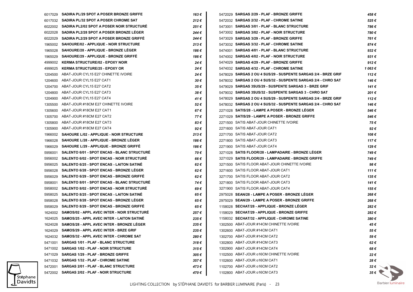|         | 6017029 SADIRA PL/29 SPOT A POSER BRONZE GRIFFE     | 163€  | 5472029 SARGAS 2/29 - PLAF - BRONZE GRIFFE                     | 458 €               |
|---------|-----------------------------------------------------|-------|----------------------------------------------------------------|---------------------|
|         | 6017032 SADIRA PL/32 SPOT A POSER CHROME SAT        | 212€  | 5472032 SARGAS 2/32 - PLAF - CHROME SATINE                     | 525€                |
| 6022002 | SADIRA PL2/02 SPOT A POSER NOIR STRUCTURE           | 251€  | 5473001 SARGAS 3/01 - PLAF - BLANC STRUCTURE                   | 786€                |
| 6022028 | SADIRA PL2/28 SPOT A POSER BRONZE LEGER             | 244 € | 5473002 SARGAS 3/02 - PLAF - NOIR STRUCTURE                    | 780€                |
| 6022029 | SADIRA PL2/29 SPOT A POSER BRONZE GRIFFE            | 244 € | 5473029 SARGAS 3/29 - PLAF - BRONZE GRIFFE                     | 761€                |
| 1965002 | SAHOURE/02 - APPLIQUE - NOIR STRUCTURE              | 213€  | 5473032 SARGAS 3/32 - PLAF - CHROME SATINE                     | 874€                |
| 1965028 | SAHOURE/28 - APPLIQUE - BRONZE LEGER                | 186 € | 5474001 SARGAS 4/01 - PLAF - BLANC STRUCTURE                   | 932€                |
| 1965029 | <b>SAHOURE/29 - APPLIQUE - BRONZE GRIFFE</b>        | 186 € | 5474002 SARGAS 4/02 - PLAF - NOIR STRUCTURE                    | 931 $\epsilon$      |
| 4999002 | <b>KERMA STRUCTURE/02 - EPOXY NOIR</b>              | 24 €  | 5474029 SARGAS 4/29 - PLAF - BRONZE GRIFFE                     | 912€                |
| 4999025 | <b>KERMA STRUCTURE/25 - EPOXY OR</b>                | 24 €  | 5474032 SARGAS 4/32 - PLAF - CHROME SATINE                     | 1 063 €             |
| 1204500 | ABAT-JOUR CYL15 E27 CHINETTE IVOIRE                 | 24 €  | 5478029 SARGAS 2 OU 4 SUS/29 - SUSPENTE SARGAS 2/4 - BRZE GRIF | 112€                |
| 1204600 | ABAT-JOUR CYL15 E27 CAT1                            | 30 €  | 5478032 SARGAS 2 OU 4 SUS/32 - SUSPENTE SARGAS 2/4 - CHRO SAT  | 146 €               |
| 1204700 | ABAT-JOUR CYL15 E27 CAT2                            | 35€   | 5479029 SARGAS 3SUS/29 - SUSPENTE SARGAS 3 - BRZE GRIF         | 141 €               |
| 1204800 | ABAT-JOUR CYL15 E27 CAT3                            | 38€   | 5479032 SARGAS 3SUS/32 - SUSPENTE SARGAS 3 - CHRO SAT          | 201€                |
| 1204900 | ABAT-JOUR CYL15 E27 CAT4                            | 41 €  | 5478029 SARGAS 2 OU 4 SUS/29 - SUSPENTE SARGAS 2/4 - BRZE GRIF | 112€                |
| 1305500 | ABAT-JOUR #18CM E27 CHINETTE IVOIRE                 | 52€   | 5478032 SARGAS 2 OU 4 SUS/32 - SUSPENTE SARGAS 2/4 - CHRO SAT  | 146€                |
| 1305600 | ABAT-JOUR #18CM E27 CAT1                            | 67€   | 2271028 SATIS/28 - LAMPE A POSER - BRONZE LEGER                | 546 €               |
| 1305700 | ABAT-JOUR #18CM E27 CAT2                            | 77 €  | 2271029 SATIS/29 - LAMPE A POSER - BRONZE GRIFFE               | 546 €               |
| 1305800 | ABAT-JOUR #18CM E27 CAT3                            | 83€   | 2271500 SATIS ABAT-JOUR CHINETTE IVOIRE                        | 75€                 |
| 1305900 | ABAT-JOUR #18CM E27 CAT4                            | 92€   | 2271600 SATIS ABAT-JOUR CAT1                                   | 92€                 |
| 1966002 | SAHOURE L/02 - APPLIQUE - NOIR STRUCTURE            | 213€  | 2271700 SATIS ABAT-JOUR CAT2                                   | 108€                |
| 1966028 | SAHOURE L/28 - APPLIQUE - BRONZE LEGER              | 186 € | 2271800 SATIS ABAT-JOUR CAT3                                   | 117€                |
| 1966029 | SAHOURE L/29 - APPLIQUE - BRONZE GRIFFE             | 186 € | 2271900 SATIS ABAT-JOUR CAT4                                   | 129€                |
| 5956001 | <b>SALENTO 6/01 - SPOT ENCAS - BLANC STRUCTURE</b>  | 70€   | 3271028 SATIS FLOOR/28 - LAMPADAIRE - BRONZE LEGER             | 749€                |
| 5956002 | <b>SALENTO 6/02 - SPOT ENCAS - NOIR STRUCTURE</b>   | 66 €  | 3271029 SATIS FLOOR/29 - LAMPADAIRE - BRONZE GRIFFE            | 749€                |
| 5956025 | <b>SALENTO 6/25 - SPOT ENCAS - LAITON SATINE</b>    | 62€   | 3271500 SATIS FLOOR ABAT-JOUR CHINETTE IVOIRE                  | 98€                 |
| 5956028 | <b>SALENTO 6/28 - SPOT ENCAS - BRONZE LEGER</b>     | 62€   | 3271600 SATIS FLOOR ABAT-JOUR CAT1                             | 111€                |
| 5956029 | <b>SALENTO 6/29 - SPOT ENCAS - BRONZE GRIFFE</b>    | 62€   | 3271700 SATIS FLOOR ABAT-JOUR CAT2                             | 135€                |
| 5958001 | <b>SALENTO 8/01 - SPOT ENCAS - BLANC STRUCTURE</b>  | 74 €  | 3271800 SATIS FLOOR ABAT-JOUR CAT3                             | 141€                |
| 5958002 | <b>SALENTO 8/02 - SPOT ENCAS - NOIR STRUCTURE</b>   | 69€   | 3271900 SATIS FLOOR ABAT-JOUR CAT4                             | 155€                |
| 5958025 | <b>SALENTO 8/25 - SPOT ENCAS - LAITON SATINE</b>    | 65€   | 2975028 SEAN/28 - LAMPE A POSER - BRONZE LEGER                 | 268€                |
| 5958028 | SALENTO 8/28 - SPOT ENCAS - BRONZE LEGER            | 65€   | 2975029 SEAN/29 - LAMPE A POSER - BRONZE GRIFFE                | 268€                |
| 5958029 | <b>SALENTO 8/29 - SPOT ENCAS - BRONZE GRIFFE</b>    | 65 €  | 1158028 SECHAT/28 - APPLIQUE - BRONZE LEGER                    | 282€                |
|         | 1624002 SAMOS/02 - APPL AVEC INTER - NOIR STRUCTURÉ | 257€  | 1158029 SECHAT/29 - APPLIQUE - BRONZE GRIFFE                   | 282€                |
| 1624025 | <b>SAMOS/25 - APPL AVEC INTER - LAITON SATINE</b>   | 235€  | 1158032 SECHAT/32 - APPLIQUE - CHROME SATINE                   | 380 €               |
|         | 1624028 SAMOS/28 - APPL AVEC INTER - BRONZE LEGER   | 235€  | 1302500 ABAT-JOUR #14CM CHINETTE IVOIRE                        | 45€                 |
| 1624029 | SAMOS/29 - APPL AVEC INTER - BRZE GRIF              | 235€  | 1302600 ABAT-JOUR #14CM CAT1                                   | 55€                 |
|         | 1624032 SAMOS/32 - APPL AVEC INTER - CHROME SAT     | 280€  | 1302700 ABAT-JOUR #14CM CAT2                                   | 59€                 |
| 5471001 | <b>SARGAS 1/01 - PLAF - BLANC STRUCTURE</b>         | 318€  | 1302800 ABAT-JOUR #14CM CAT3                                   | 62€                 |
| 5471002 | <b>SARGAS 1/02 - PLAF - NOIR STRUCTURE</b>          | 315€  | 1302900 ABAT-JOUR #14CM CAT4                                   | 68€                 |
| 5471029 | SARGAS 1/29 - PLAF - BRONZE GRIFFE                  | 305€  | 1102500 ABAT-JOUR o16CM CHINETTE IVOIRE                        | 22€                 |
| 5471032 | SARGAS 1/32 - PLAF - CHROME SATINE                  | 357€  | 1102600 ABAT-JOUR o16CM CAT1                                   | 28€                 |
| 5472001 | <b>SARGAS 2/01 - PLAF - BLANC STRUCTURE</b>         | 473€  | 1102700 ABAT-JOUR o16CM CAT2                                   | 32 $\epsilon$       |
|         | 5472002 SARGAS 2/02 - PLAF - NOIR STRUCTURE         | 470€  | 1102800 ABAT-JOUR o16CM CAT3                                   | $35 \in \mathbb{R}$ |

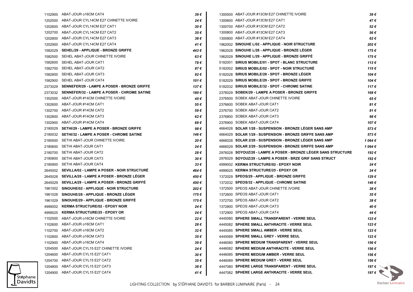|         | 1102900 ABAT-JOUR o16CM CAT4                       | 39 €     | 1300500 ABAT-JOUR #13CM E27 CHINETTE IVOIRE                     | 39€     |
|---------|----------------------------------------------------|----------|-----------------------------------------------------------------|---------|
| 1202500 | ABAT-JOUR CYL14CM E27 CHINETTE IVOIRE              | 24 €     | 1300600 ABAT-JOUR #13CM E27 CAT1                                | 47€     |
| 1202600 | ABAT-JOUR CYL14CM E27 CAT1                         | 30€      | 1300700 ABAT-JOUR #13CM E27 CAT2                                | 52€     |
|         | 1202700 ABAT-JOUR CYL14CM E27 CAT2                 | 35€      | 1300800 ABAT-JOUR #13CM E27 CAT3                                | 56€     |
| 1202800 | ABAT-JOUR CYL14CM E27 CAT3                         | 38€      | 1300900 ABAT-JOUR #13CM E27 CAT4                                | 62€     |
|         | 1202900 ABAT-JOUR CYL14CM E27 CAT4                 | 41€      | 1962002 SINOUHE L/02 - APPLIQUE - NOIR STRUCTURE                | 202€    |
| 1582029 | SEHEL/29 - APPLIQUE - BRONZE GRIFFE                | 443 €    | 1962028 SINOUHE L/28 - APPLIQUE - BRONZE LEGER                  | 175€    |
| 1582500 | SEHEL ABAT-JOUR CHINETTE IVOIRE                    | 63€      | 1962029 SINOUHE L/29 - APPLIQUE - BRONZE GRIFFÉ                 | 175€    |
|         | 1582600 SEHEL ABAT-JOUR CAT1                       | 78€      | 5182001 SIRIUS MOBILE/01 - SPOT - BLANC STRUCTURE               | 113€    |
|         | 1582700 SEHEL ABAT-JOUR CAT2                       | 87€      | 5182002 SIRIUS MOBILE/02 - SPOT - NOIR STRUCTURE                | 115€    |
| 1582800 | SEHEL ABAT-JOUR CAT3                               | 92€      | 5182028 SIRIUS MOBILE/28 - SPOT - BRONZE LEGER                  | 104€    |
| 1582900 | SEHEL ABAT-JOUR CAT4                               | 101 €    | 5182029 SIRIUS MOBILE/29 - SPOT - BRONZE GRIFFE                 | 104€    |
| 2373029 | SENNEFER/29 - LAMPE A POSER - BRONZE GRIFFE        | 137 €    | 5182032 SIRIUS MOBILE/32 - SPOT - CHROME SATINE                 | 117€    |
| 2373032 | <b>SENNEFER/32 - LAMPE A POSER - CHROME SATINE</b> | 180 €    | 2376029 SOBEK/29 - LAMPE A POSER - BRONZE GRIFFE                | 168€    |
| 1302500 | ABAT-JOUR #14CM CHINETTE IVOIRE                    | 45€      | 2376500 SOBEK ABAT-JOUR CHINETTE IVOIRE                         | 65€     |
| 1302600 | ABAT-JOUR #14CM CAT1                               | 55€      | 2376600 SOBEK ABAT-JOUR CAT1                                    | 81€     |
| 1302700 | ABAT-JOUR #14CM CAT2                               | 59€      | 2376700 SOBEK ABAT-JOUR CAT2                                    | 91€     |
| 1302800 | ABAT-JOUR #14CM CAT3                               | 62€      | 2376800 SOBEK ABAT-JOUR CAT3                                    | 98€     |
| 1302900 | ABAT-JOUR #14CM CAT4                               | 68€      | 2376900 SOBEK ABAT-JOUR CAT4                                    | 107€    |
| 2180029 | <b>SETHI/29 - LAMPE A POSER - BRONZE GRIFFE</b>    | 98€      | 4664028 SOLAR 1/28 - SUSPENSION - BRONZE LEGER SANS AMP         | 573€    |
|         | 2180032 SETHI/32 - LAMPE A POSER - CHROME SATINE   | 146 €    | 4664029 SOLAR 1/29 - SUSPENSION - BRONZE GRIFFE SANS AMP        | 573€    |
| 2180500 | SETHI ABAT-JOUR CHINETTE IVOIRE                    | 20€      | 4666028 SOLAR 2/28 - SUSPENSION - BRONZE LEGER SANS AMP         | 1 064 € |
| 2180600 | SETHI ABAT-JOUR CAT1                               | 24€      | 4666029 SOLAR 2/29 - SUSPENSION - BRONZE GRIFFE SANS AMP        | 1 064 € |
| 2180700 | SETHI ABAT-JOUR CAT2                               | 28€      | 2976028 SOYOUZ/28 - LAMPE A POSER - BRONZE LEGER SANS STRUCTURE | 192€    |
| 2180800 | SETHI ABAT-JOUR CAT3                               | 30€      | 2976029 SOYOUZ/29 - LAMPE A POSER - BRZE GRIF SANS STRUCT       | 192€    |
| 2180900 | SETHI ABAT-JOUR CAT4                               | 33 €     | 4999002 KERMA STRUCTURE/02 - EPOXY NOIR                         | 24€     |
| 2645002 | <b>SEVILLA/02 - LAMPE A POSER - NOIR STRUCTURE</b> | 464 €    | 4999025 KERMA STRUCTURE/25 - EPOXY OR                           | 24€     |
| 2645028 | <b>SEVILLA/28 - LAMPE A POSER - BRONZE LEGER</b>   | 450 €    | 1372029 SPEOS/29 - APPLIQUE - BRONZE GRIFFE                     | 129€    |
| 2645029 | <b>SEVILLA/29 - LAMPE A POSER - BRONZE GRIFFE</b>  | 450 €    | 1372032 SPEOS/32 - APPLIQUE - CHROME SATINE                     | 146 €   |
|         | 1961002 SINOUHE/02 - APPLIQUE - NOIR STRUCTURE     | 202€     | 1372500 SPEOS ABAT-JOUR CHINETTE IVOIRE                         | 28€     |
| 1961028 | SINOUHE/28 - APPLIQUE - BRONZE LEGER               | 175€     | 1372600 SPEOS ABAT-JOUR CAT1                                    | 35€     |
| 1961029 | SINOUHE/29 - APPLIQUE - BRONZE GRIFFE              | 175 €    | 1372700 SPEOS ABAT-JOUR CAT2                                    | 38€     |
|         | 4999002 KERMA STRUCTURE/02 - EPOXY NOIR            | 24 €     | 1372800 SPEOS ABAT-JOUR CAT3                                    | 40€     |
|         | 4999025 KERMA STRUCTURE/25 - EPOXY OR              | 24 €     | 1372900 SPEOS ABAT-JOUR CAT4                                    | 44€     |
| 1102500 | ABAT-JOUR o16CM CHINETTE IVOIRE                    | 22 €     | 4445080 SPHERE SMALL TRANSPARENT - VERRE SEUL                   | 123€    |
|         | 1102600 ABAT-JOUR o16CM CAT1                       | 28€      | 4445082 SPHERE SMALL ANTHRACITE - VERRE SEUL                    | 123€    |
|         | 1102700 ABAT-JOUR o16CM CAT2                       | $32 \in$ | 4445085 SPHERE SMALL AMBER - VERRE SEUL                         | 123€    |
|         | 1102800 ABAT-JOUR o16CM CAT3                       | 35€      | 4445089 SPHERE SMALL GREY - VERRE SEUL                          | 123€    |
|         | 1102900 ABAT-JOUR o16CM CAT4                       | 39€      | 4446080 SPHERE MEDIUM TRANSPARENT - VERRE SEUL                  | 156€    |
|         | 1204500 ABAT-JOUR CYL15 E27 CHINETTE IVOIRE        | 24 €     | 4446082 SPHERE MEDIUM ANTHRACITE - VERRE SEUL                   | 156€    |
|         | 1204600 ABAT-JOUR CYL15 E27 CAT1                   | 30€      | 4446085 SPHERE MEDIUM AMBER - VERRE SEUL                        | 156 €   |
| 1204700 | ABAT-JOUR CYL15 E27 CAT2                           | 35€      | 4446089 SPHERE MEDIUM GREY - VERRE SEUL                         | 156 €   |
| 1204800 | ABAT-JOUR CYL15 E27 CAT3                           | 38€      | 4447080 SPHERE LARGE TRANSPARENT - VERRE SEUL                   | 197€ े  |
|         | 1204900 ABAT-JOUR CYL15 E27 CAT4                   | 41 €     | 4447082 SPHERE LARGE ANTHRACITE - VERRE SEUL                    | 197€ \  |

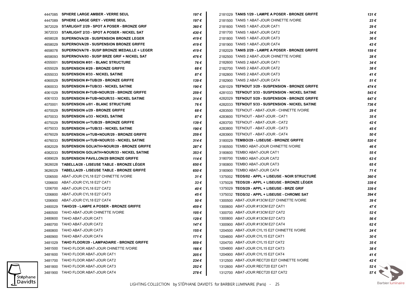|         | 4447085 SPHERE LARGE AMBER - VERRE SEUL           | 197 €     | 2181029 TANIS 1/29 - LAMPE A POSER - BRONZE GRIFFE | 131 €         |
|---------|---------------------------------------------------|-----------|----------------------------------------------------|---------------|
| 4447089 | <b>SPHERE LARGE GREY - VERRE SEUL</b>             | 197€      | 2181500 TANIS 1 ABAT-JOUR CHINETTE IVOIRE          | 23€           |
| 3672029 | STARLIGHT 2/29 - SPOT A POSER - BRONZE GRIF       | 360€      | 2181600 TANIS 1 ABAT-JOUR CAT1                     | 29€           |
| 3672033 | STARLIGHT 2/33 - SPOT A POSER - NICKEL SAT        | 430€      | 2181700 TANIS 1 ABAT-JOUR CAT2                     | 34€           |
| 4658028 | <b>SUPERNOVA/28 - SUSPENSION BRONZE LEGER</b>     | 419€      | 2181800 TANIS 1 ABAT-JOUR CAT3                     | 36€           |
| 4658029 | <b>SUPERNOVA/29 - SUSPENSION BRONZE GRIFFE</b>    | 419€      | 2181900 TANIS 1 ABAT-JOUR CAT4                     | 43€           |
| 4658078 | SUPERNOVA/78 - SUSP BRONZE MEDAILLE + LEGER       | 419€      | 2182029 TANIS 2/29 - LAMPE A POSER - BRONZE GRIFFÉ | 159€          |
| 4658093 | SUPERNOVA/93 - SUSP BRZE GRIF + NICKEL SAT        | 476 €     | 2182500 TANIS 2 ABAT-JOUR CHINETTE IVOIRE          | 28€           |
| 4055001 | <b>SUSPENSION #/01 - BLANC STRUCTURE</b>          | 76€       | 2182600 TANIS 2 ABAT-JOUR CAT1                     | 34€           |
| 4055029 | <b>SUSPENSION #/29 - BRONZE GRIFFE</b>            | 68€       | 2182700 TANIS 2 ABAT-JOUR CAT2                     | 38€           |
| 4055033 | <b>SUSPENSION #/33 - NICKEL SATINE</b>            | 87€       | 2182800 TANIS 2 ABAT-JOUR CAT3                     | 41€           |
| 4060029 | SUSPENSION #+TUB/29 - BRONZE GRIFFE               | 139€      | 2182900 TANIS 2 ABAT-JOUR CAT4                     | 51€           |
| 4060033 | SUSPENSION #+TUB/33 - NICKEL SATINE               | 190 €     | 4281029 TEFNOUT 3/29 - SUSPENSION - BRONZE GRIFFE  | 474€          |
| 4061029 | SUSPENSION #+TUB+NOUR/29 - BRONZE GRIFFE          | 259€      | 4281033 TEFNOUT 3/33 - SUSPENSION - NICKEL SATINE  | 543 €         |
| 4061033 | SUSPENSION #+TUB+NOUR/33 - NICKEL SATINE          | 314€      | 4282029 TEFNOUT 5/29 - SUSPENSION - BRONZE GRIFFE  | 647€          |
| 4070001 | <b>SUSPENSION o/01 - BLANC STRUCTURE</b>          | 76€       | 4282033 TEFNOUT 5/33 - SUSPENSION - NICKEL SATINE  | 736€          |
| 4070029 | SUSPENSION o/29 - BRONZE GRIFFE                   | 68€       | 4283500 TEFNOUT - ABAT-JOUR - CHINETTE IVOIRE      | 29€           |
| 4070033 | <b>SUSPENSION o/33 - NICKEL SATINE</b>            | 87€       | 4283600 TEFNOUT - ABAT-JOUR - CAT1                 | 35€           |
| 4075029 | <b>SUSPENSION o+TUB/29 - BRONZE GRIFFE</b>        | 139€      | 4283700 TEFNOUT - ABAT-JOUR - CAT2                 | 42€           |
| 4075033 | <b>SUSPENSION o+TUB/33 - NICKEL SATINE</b>        | 190 €     | 4283800 TEFNOUT - ABAT-JOUR - CAT3                 | 45€           |
| 4076029 | SUSPENSION o+TUB+NOUR/29 - BRONZE GRIFFE          | 259€      | 4283900 TEFNOUT - ABAT-JOUR - CAT4                 | 50€           |
| 4076033 | SUSPENSION o+TUB+NOUR/33 - NICKEL SATINE          | 314€      | 3180029 TEMBO/29 - LISEUSE - BRONZE GRIFFE         | 520€          |
| 4082029 | SUSPENSION GOLIATH+NOUR/29 - BRONZE GRIFFE        | 287€      | 3180500 TEMBO ABAT-JOUR CHINETTE IVOIRE            | 46€           |
| 4082033 | <b>SUSPENSION GOLIATH+NOUR/33 - NICKEL SATINE</b> | $353 \in$ | 3180600 TEMBO ABAT-JOUR CAT1                       | 55€           |
| 4089029 | <b>SUSPENSION PAVILLON/29 BRONZE GRIFFE</b>       | 114 €     | 3180700 TEMBO ABAT-JOUR CAT2                       | 63€           |
| 3626028 | TABELLA/28 - LISEUSE TABLE - BRONZE LEGER         | 650 €     | 3180800 TEMBO ABAT-JOUR CAT3                       | 65€           |
| 3626029 | TABELLA/29 - LISEUSE TABLE - BRONZE GRIFFE        | 650 €     | 3180900 TEMBO ABAT-JOUR CAT4                       | 71€           |
| 1206500 | ABAT-JOUR CYL18 E27 CHINETTE IVOIRE               | 31 €      | 1375002 TEOS/02 - APPL + LISEUSE - NOIR STRUCTURE  | 360 €         |
| 1206600 | ABAT-JOUR CYL18 E27 CAT1                          | 33 €      | 1375028 TEOS/28 - APPL + LISEUSE - BRONZE LEGER    | 339€          |
| 1206700 | ABAT-JOUR CYL18 E27 CAT2                          | 40 €      | 1375029 TEOS/29 - APPL + LISEUSE - BRZE GRIF       | 339€          |
| 1206800 | ABAT-JOUR CYL18 E27 CAT3                          | 45 €      | 1375032 TEOS/32 - APPL + LISEUSE - CHROME SAT      | 394 €         |
| 1206900 | ABAT-JOUR CYL18 E27 CAT4                          | 50€       | 1300500 ABAT-JOUR #13CM E27 CHINETTE IVOIRE        | 39€           |
| 2480029 | <b>TAHO/29 - LAMPE A POSER - BRONZE GRIFFE</b>    | 459€      | 1300600 ABAT-JOUR #13CM E27 CAT1                   | 47€           |
| 2480500 | TAHO ABAT-JOUR CHINETTE IVOIRE                    | 105 €     | 1300700 ABAT-JOUR #13CM E27 CAT2                   | 52€           |
| 2480600 | TAHO ABAT-JOUR CAT1                               | 129 €     | 1300800 ABAT-JOUR #13CM E27 CAT3                   | 56€           |
|         | 2480700 TAHO ABAT-JOUR CAT2                       | 147 €     | 1300900 ABAT-JOUR #13CM E27 CAT4                   | 62€           |
| 2480800 | TAHO ABAT-JOUR CAT3                               | 155 €     | 1204500 ABAT-JOUR CYL15 E27 CHINETTE IVOIRE        | 24 €          |
| 2480900 | TAHO ABAT-JOUR CAT4                               | 171 €     | 1204600 ABAT-JOUR CYL15 E27 CAT1                   | 30€           |
| 3481029 | TAHO FLOOR/29 - LAMPADAIRE - BRONZE GRIFFE        | 959€      | 1204700 ABAT-JOUR CYL15 E27 CAT2                   | 35€           |
| 3481500 | TAHO FLOOR ABAT-JOUR CHINETTE IVOIRE              | 166€      | 1204800 ABAT-JOUR CYL15 E27 CAT3                   | 38€           |
| 3481600 | TAHO FLOOR ABAT-JOUR CAT1                         | 205€      | 1204900 ABAT-JOUR CYL15 E27 CAT4                   | 41 €          |
| 3481700 | TAHO FLOOR ABAT-JOUR CAT2                         | 234€      | 1312500 ABAT-JOUR RECT20 E27 CHINETTE IVOIRE       | 42 €          |
| 3481800 | TAHO FLOOR ABAT-JOUR CAT3                         | 252€      | 1312600 ABAT-JOUR RECT20 E27 CAT1                  | 52 $\epsilon$ |
|         | 3481900 TAHO FLOOR ABAT-JOUR CAT4                 | 278€      | 1312700 ABAT-JOUR RECT20 E27 CAT2                  | 57€ \         |

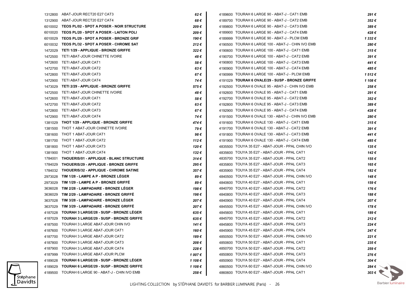|         | 1312800 ABAT-JOUR RECT20 E27 CAT3                  | 62€     | 4189600 TOURAH 6 LARGE 90 - ABAT-J - CAT1 EMB      | 291€                 |  |
|---------|----------------------------------------------------|---------|----------------------------------------------------|----------------------|--|
| 1312900 | ABAT-JOUR RECT20 E27 CAT4                          | 68 €    | 4189700 TOURAH 6 LARGE 90 - ABAT-J - CAT2 EMB      |                      |  |
|         | 6010002 TEOS PL/02 - SPOT A POSER - NOIR STRUCTURE | 209€    | 4189800 TOURAH 6 LARGE 90 - ABAT-J - CAT3 EMB      | 389€                 |  |
|         | 6010020 TEOS PL/20 - SPOT A POSER - LAITON POLI    | 209€    | 4189900 TOURAH 6 LARGE 90 - ABAT-J - CAT4 EMB      | 428€                 |  |
| 6010029 | TEOS PL/29 - SPOT A POSER - BRONZE GRIF            | 190 €   | 4189999 TOURAH 6 LARGE 90 - ABAT-J - PLCM EMB      | 1 332 €              |  |
|         | 6010032 TEOS PL/32 - SPOT A POSER - CHROME SAT     | 212€    | 4190500 TOURAH 6 LARGE 100 - ABAT-J - CHIN IVO EMB | 280€                 |  |
| 1472029 | TETI 1/29 - APPLIQUE - BRONZE GRIFFE               | 322€    | 4190600 TOURAH 6 LARGE 100 - ABAT-J - CAT1 EMB     | 315€                 |  |
| 1472500 | TETI ABAT-JOUR CHINETTE IVOIRE                     | 48 €    | 4190700 TOURAH 6 LARGE 100 - ABAT-J - CAT2 EMB     | 391€                 |  |
|         | 1472600 TETI ABAT-JOUR CAT1                        | 58€     | 4190800 TOURAH 6 LARGE 100 - ABAT-J - CAT3 EMB     | 441€                 |  |
|         | 1472700 TETI ABAT-JOUR CAT2                        | 63€     | 4190900 TOURAH 6 LARGE 100 - ABAT-J - CAT4 EMB     | 485€                 |  |
| 1472800 | TETI ABAT-JOUR CAT3                                | 67€     | 4190999 TOURAH 6 LARGE 100 - ABAT-J - PLCM EMB     | 1512€                |  |
| 1472900 | TETI ABAT-JOUR CAT4                                | 74 €    | 4191029 TOURAH 6 OVALE/29 - SUSP - BRONZE GRIFFE   | 1 108 €              |  |
| 1473029 | <b>TETI 2/29 - APPLIQUE - BRONZE GRIFFE</b>        | 575€    | 4192500 TOURAH 6 OVALE 95 - ABAT-J - CHIN IVO EMB  | 258€                 |  |
| 1472500 | TETI ABAT-JOUR CHINETTE IVOIRE                     | 48 €    | 4192600 TOURAH 6 OVALE 95 - ABAT-J - CAT1 EMB      | 291€                 |  |
|         | 1472600 TETI ABAT-JOUR CAT1                        | 58 €    | 4192700 TOURAH 6 OVALE 95 - ABAT-J - CAT2 EMB      | 352€                 |  |
|         | 1472700 TETI ABAT-JOUR CAT2                        | 63€     | 4192800 TOURAH 6 OVALE 95 - ABAT-J - CAT3 EMB      | 389€                 |  |
| 1472800 | TETI ABAT-JOUR CAT3                                | 67 €    | 4192900 TOURAH 6 OVALE 95 - ABAT-J - CAT4 EMB      | 428€                 |  |
|         | 1472900 TETI ABAT-JOUR CAT4                        | 74 €    | 4191500 TOURAH 6 OVALE 130 - ABAT-J - CHIN IVO EMB | 280€                 |  |
| 1381029 | THOT 1/29 - APPLIQUE - BRONZE GRIFFE               | 474 €   | 4191600 TOURAH 6 OVALE 130 - ABAT-J - CAT1 EMB     | 315€                 |  |
|         | 1381500 THOT 1 ABAT-JOUR CHINETTE IVOIRE           | 79€     | 4191700 TOURAH 6 OVALE 130 - ABAT-J - CAT2 EMB     | 391€                 |  |
|         | 1381600 THOT 1 ABAT-JOUR CAT1                      | 98€     | 4191800 TOURAH 6 OVALE 130 - ABAT-J - CAT3 EMB     | 441€                 |  |
|         | 1381700 THOT 1 ABAT-JOUR CAT2                      | 112€    | 4191900 TOURAH 6 OVALE 130 - ABAT-J - CAT4 EMB     | 485€                 |  |
|         | 1381800 THOT 1 ABAT-JOUR CAT3                      | 120 €   | 4835500 TOUYA 35 E27 - ABAT-JOUR - PPAL CHIN IVO   | 135€                 |  |
|         | 1381900 THOT 1 ABAT-JOUR CAT4                      | 132 €   | 4835600 TOUYA 35 E27 - ABAT-JOUR - PPAL CAT1       | 142€                 |  |
| 1784001 | THOUERIS/01 - APPLIQUE - BLANC STRUCTURE           | 314€    | 4835700 TOUYA 35 E27 - ABAT-JOUR - PPAL CAT2       | 155 €                |  |
| 1784029 | THOUERIS/29 - APPLIQUE - BRONZE GRIFFE             | 295€    | 4835800 TOUYA 35 E27 - ABAT-JOUR - PPAL CAT3       | 165 €                |  |
|         | 1784032 THOUERIS/32 - APPLIQUE - CHROME SATINE     | 357€    | 4835900 TOUYA 35 E27 - ABAT-JOUR - PPAL CAT4       | 182€                 |  |
| 2973028 | TIM 1/28 - LAMPE A P - BRONZE LEGER                | 89€     | 4840500 TOUYA 40 E27 - ABAT-JOUR - PPAL CHIN IVO   |                      |  |
| 2973029 | TIM 1/29 - LAMPE A P - BRONZE GRIFFE               | 89€     | 4840600 TOUYA 40 E27 - ABAT-JOUR - PPAL CAT1       | 159€                 |  |
| 3636028 | TIM 2/28 - LAMPADAIRE - BRONZE LEGER               | 198 €   | 4840700 TOUYA 40 E27 - ABAT-JOUR - PPAL CAT2       | 176€                 |  |
| 3636029 | TIM 2/29 - LAMPADAIRE - BRONZE GRIFFE              | 198 €   | 4840800 TOUYA 40 E27 - ABAT-JOUR - PPAL CAT3       | 188€                 |  |
| 3637028 | TIM 3/28 - LAMPADAIRE - BRONZE LEGER               | 207€    | 4840900 TOUYA 40 E27 - ABAT-JOUR - PPAL CAT4       | 207€                 |  |
| 3637029 | TIM 3/29 - LAMPADAIRE - BRONZE GRIFFE              | 207€    | 4845500 TOUYA 45 E27 - ABAT-JOUR - PPAL CHIN IVO   | 178€                 |  |
|         | 4187028 TOURAH 3 LARGE/28 - SUSP - BRONZE LEGER    | 635€    | 4845600 TOUYA 45 E27 - ABAT-JOUR - PPAL CAT1       | 189€                 |  |
|         | 4187029 TOURAH 3 LARGE/29 - SUSP - BRONZE GRIFFE   | 635€    | 4845700 TOUYA 45 E27 - ABAT-JOUR - PPAL CAT2       | 212€                 |  |
|         | 4187500 TOURAH 3 LARGE ABAT-JOUR CHIN IVO          | 141 €   | 4845800 TOUYA 45 E27 - ABAT-JOUR - PPAL CAT3       | 224€                 |  |
|         | 4187600 TOURAH 3 LARGE ABAT-JOUR CAT1              | 160€    | 4845900 TOUYA 45 E27 - ABAT-JOUR - PPAL CAT4       | 247€                 |  |
|         | 4187700 TOURAH 3 LARGE ABAT-JOUR CAT2              | 189 €   | 4850500 TOUYA 50 E27 - ABAT-JOUR - PPAL CHIN IVO   | 221€                 |  |
| 4187800 | TOURAH 3 LARGE ABAT-JOUR CAT3                      | 208€    | 4850600 TOUYA 50 E27 - ABAT-JOUR - PPAL CAT1       | 235€                 |  |
| 4187900 | TOURAH 3 LARGE ABAT-JOUR CAT4                      | 228€    | 4850700 TOUYA 50 E27 - ABAT-JOUR - PPAL CAT2       | 259€                 |  |
| 4187999 | TOURAH 3 LARGE ABAT-JOUR PLCM                      | 1 007 € | 4850800 TOUYA 50 E27 - ABAT-JOUR - PPAL CAT3       | 276€                 |  |
| 4189028 | TOURAH 6 LARGE/28 - SUSP - BRONZE LEGER            | 1 108 € | 4850900 TOUYA 50 E27 - ABAT-JOUR - PPAL CAT4       | 304 €                |  |
| 4189029 | <b>TOURAH 6 LARGE/29 - SUSP - BRONZE GRIFFE</b>    | 1 108 € | 4860500 TOUYA 60 E27 - ABAT-JOUR - PPAL CHIN IVO   | 284 $\epsilon$       |  |
| 4189500 | TOURAH 6 LARGE 90 - ABAT-J - CHIN IVO EMB          | 258€    | 4860600 TOUYA 60 E27 - ABAT-JOUR - PPAL CAT1       | $303 \in \mathbb{R}$ |  |
|         |                                                    |         |                                                    |                      |  |

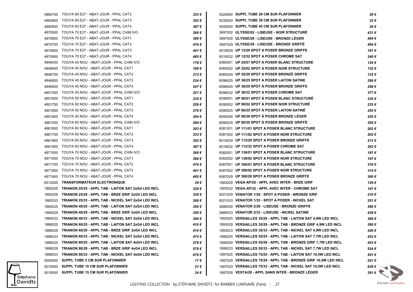|         | 4860700 TOUYA 60 E27 - ABAT-JOUR - PPAL CAT2        | 333€           | 5020000 SUPPL TUBE 20 CM SUR PLAFONNIER                          | 28€            |
|---------|-----------------------------------------------------|----------------|------------------------------------------------------------------|----------------|
| 4860800 | TOUYA 60 E27 - ABAT-JOUR - PPAL CAT3                | 352€           | 5030000 SUPPL TUBE 30 CM SUR PLAFONNIER                          | 32€            |
| 4860900 | TOUYA 60 E27 - ABAT-JOUR - PPAL CAT4                | 387€           | 5045000 SUPPL TUBE 45 CM SUR PLAFONNIER                          | 36€            |
| 4870500 | TOUYA 70 E27 - ABAT-JOUR - PPAL CHIN IVO            | 366€           | 3697002 ULYSSE/02 - LISEUSE - NOIR STRUCTURE                     | 431 €          |
| 4870600 | TOUYA 70 E27 - ABAT-JOUR - PPAL CAT1                | 389€           | 3697028 ULYSSE/28 - LISEUSE - BRONZE LEGER                       | 404 €          |
| 4870700 | TOUYA 70 E27 - ABAT-JOUR - PPAL CAT2                | 416€           | 3697029 ULYSSE/29 - LISEUSE - BRONZE GRIFFE                      | 404 €          |
| 4870800 | TOUYA 70 E27 - ABAT-JOUR - PPAL CAT3                | 441€           | 6018029 UP 12/29 SPOT A POSER BRONZE GRIFFE                      | 191€           |
| 4870900 | TOUYA 70 E27 - ABAT-JOUR - PPAL CAT4                | 485€           | 6018032 UP 12/32 SPOT A POSER CHROME SAT                         | 240€           |
| 4846500 | TOUYA 45 NOU - ABAT-JOUR - PPAL CHIN IVO            | 178€           | 6085001 UP 25/01 SPOT A POSER BLANC STRUCTURE                    | 134 €          |
| 4846600 | TOUYA 45 NOU - ABAT-JOUR - PPAL CAT1                | 189€           | 6085002 UP 25/02 SPOT A POSER NOIR STRUCTURE                     | 132€           |
| 4846700 | TOUYA 45 NOU - ABAT-JOUR - PPAL CAT2                | 212€           | 6085029 UP 25/29 SPOT A POSER BRONZE GRIFFE                      | 122€           |
| 4846800 | TOUYA 45 NOU - ABAT-JOUR - PPAL CAT3                | 224€           | 6098025 UP 38/25 SPOT A POSER LAITON SATINE                      | 298€           |
| 4846900 | TOUYA 45 NOU - ABAT-JOUR - PPAL CAT4                | 247€           | 6098029 UP 38/29 SPOT A POSER BRONZE GRIFFE                      | 298€           |
| 4851500 | TOUYA 50 NOU - ABAT-JOUR - PPAL CHIN IVO            | 221€           | 6098032 UP 38/32 SPOT A POSER CHROME SAT                         | 377€           |
| 4851600 | TOUYA 50 NOU - ABAT-JOUR - PPAL CAT1                | 235€           | 6090001 UP 90/01 SPOT A POSER BLANC STRUCTURE                    | 235€           |
| 4851700 | TOUYA 50 NOU - ABAT-JOUR - PPAL CAT2                | 259€           | 6090002 UP 90/02 SPOT A POSER NOIR STRUCTURÉ                     | 235€           |
| 4851800 | TOUYA 50 NOU - ABAT-JOUR - PPAL CAT3                | 276€           | 6090025 UP 90/25 SPOT A POSER LAITON SATINE                      | 255€           |
| 4851900 | TOUYA 50 NOU - ABAT-JOUR - PPAL CAT4                | 304 €          | 6090028 UP 90/28 SPOT A POSER BRONZE LEGER                       | 255€           |
| 4861500 | TOUYA 60 NOU - ABAT-JOUR - PPAL CHIN IVO            | 284€           | 6090029 UP 90/29 SPOT A POSER BRONZE GRIFFE                      | 255€           |
| 4861600 | TOUYA 60 NOU - ABAT-JOUR - PPAL CAT1                | $303 \epsilon$ | 6081001 UP 111/01 SPOT A POSER BLANC STRUCTURE                   | 202€           |
| 4861700 | TOUYA 60 NOU - ABAT-JOUR - PPAL CAT2                | 333 €          | 6081002 UP 111/02 SPOT A POSER NOIR STRUCTURE                    | 202€           |
| 4861800 | TOUYA 60 NOU - ABAT-JOUR - PPAL CAT3                | 352€           | 6019029 UP 112/29 SPOT A POSER BRONZE GRIFFE                     | 213€           |
| 4861900 | TOUYA 60 NOU - ABAT-JOUR - PPAL CAT4                | 387€           | 6019032 UP 112/32 SPOT A POSER CHROME SAT                        | 262€           |
| 4871500 | TOUYA 70 NOU - ABAT-JOUR - PPAL CHIN IVO            | 366 €          | 6082001 UP 138/01 SPOT A POSER BLANC STRUCTURE                   | 197€           |
| 4871600 | TOUYA 70 NOU - ABAT-JOUR - PPAL CAT1                | 389€           | 6082002 UP 138/02 SPOT A POSER NOIR STRUCTURE                    | 197€           |
| 4871700 | TOUYA 70 NOU - ABAT-JOUR - PPAL CAT2                | 416€           | 6087001 UP 300/01 SPOT A POSER BLANC STRUCTURE                   | 316€           |
| 4871800 | TOUYA 70 NOU - ABAT-JOUR - PPAL CAT3                | 441€           | 6087002 UP 300/02 SPOT A POSER NOIR STRUCTURE                    | 314€           |
| 4871900 | TOUYA 70 NOU - ABAT-JOUR - PPAL CAT4                | 485 €          | 6087029 UP 300/29 SPOT A POSER BRONZE GRIFFE                     | 300€           |
| 6512000 | <b>TRANSFORMATEUR ELECTRONIQUE</b>                  | 39€            | 1683029 VEGA AP/29 - APPL AVEC INTER - BRZE GRIF                 | 129€           |
| 1882025 | TRIANON 25/25 - APPL TAB - LAITON SAT 2xG4 LED INCL | 329€           | 1683032 VEGA AP/32 - APPL AVEC INTER - CHROME SAT                | 147 €          |
| 1882029 | TRIANON 25/29 - APPL TAB - BRZE GRIF 2xG4 LED INCL  | 329€           | 6021029 VENATOR 1/29 - SPOT A POSER - BRONZE GRIF                | 210€           |
| 1882033 | TRIANON 25/33 - APPL TAB - NICKEL SAT 2xG4 LED INCL | 368€           | 6021033 VENATOR 1/33 - SPOT A POSER - NICKEL SAT                 | 251€           |
| 1884025 | TRIANON 40/25 - APPL TAB - LAITON SAT 2xG4 LED INCL | 350 €          | 3686029 VENATOR 2/29 - LISEUSE - BRONZE GRIFFE                   | 366€           |
| 1884029 | TRIANON 40/29 - APPL TAB - BRZE GRIF 2xG4 LED INCL  | 350 €          | 3686033 VENATOR 2/33 - LISEUSE - NICKEL SATINE                   | 428€           |
| 1884033 | TRIANON 40/33 - APPL TAB - NICKEL SAT 2xG4 LED INCL | 399€           | 1893025 VERSAILLES 35/25 - APPL TAB - LAITON SAT 4,9W LED INCL   | 366€           |
| 1886025 | TRIANON 60/25 - APPL TAB - LAITON SAT 2xG4 LED INCL | 410€           | 1893029 VERSAILLES 35/29 - APPL TAB - BRONZE GRIF 4,9W LED INCL  | 366€           |
| 1886029 | TRIANON 60/29 - APPL TAB - BRZE GRIF 2xG4 LED INCL  | 410€           | 1893033 VERSAILLES 35/33 - APPL TAB - NICKEL SAT 4,9W LED INCL   | 426 €          |
| 1886033 | TRIANON 60/33 - APPL TAB - NICKEL SAT 2xG4 LED INCL | 475€           | 1895025 VERSAILLES 55/25 - APPL TAB - LAITON SAT 7,7W LED INCL   | 453€           |
| 1888025 | TRIANON 80/25 - APPL TAB - LAITON SAT 4xG4 LED INCL | 578€           | 1895029 VERSAILLES 55/29 - APPL TAB - BRONZE GRIF 7,7W LED INCL  | 453€           |
| 1888029 | TRIANON 80/29 - APPL TAB - BRZE GRIF 4xG4 LED INCL  | 578€           | 1895033 VERSAILLES 55/33 - APPL TAB - NICKEL SAT 7,7W LED INCL   | 524€           |
| 1888033 | TRIANON 80/33 - APPL TAB - NICKEL SAT 4xG4 LED INCL | 676 €          | 1897025 VERSAILLES 75/25 - APPL TAB - LAITON SAT 10,5W LED INCL  | 551€           |
| 5005000 | <b>SUPPL TUBE 5 CM SUR PLAFONNIER</b>               | 17€            | 1897029 VERSAILLES 75/29 - APPL TAB - BRONZE GRIF 10,5W LED INCL | 551€           |
| 5010000 | SUPPL TUBE 10 CM SUR PLAFONNIER                     | 21 €           | 1897033 VERSAILLES 75/33 - APPL TAB - NICKEL SAT 10,5W LED INCL  | 639 $\epsilon$ |
| 5015000 | SUPPL TUBE 15 CM SUR PLAFONNIER                     | 24 €           | 1687028 VESTA/28 - APPL SANS INTER - BRONZE LEGER                | 391 $\epsilon$ |

Stéphane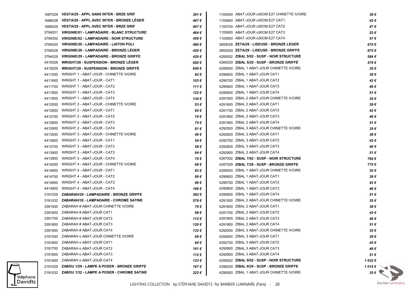|         | 1687029 VESTA/29 - APPL SANS INTER - BRZE GRIF     | 391€  | 1105500 ABAT-JOUR 030CM E27 CHINETTE IVOIRE | 38€                    |
|---------|----------------------------------------------------|-------|---------------------------------------------|------------------------|
| 1688028 | <b>VESTA/28 - APPL AVEC INTER - BRONZE LEGER</b>   | 407€  | 1105600 ABAT-JOUR o30CM E27 CAT1            | 42€                    |
| 1688029 | <b>VESTA/29 - APPL AVEC INTER - BRZE GRIF</b>      | 407 € | 1105700 ABAT-JOUR o30CM E27 CAT2            | 47 €                   |
| 3794001 | <b>VIRGINIE/01 - LAMPADAIRE - BLANC STRUCTURE</b>  | 464 € | 1105800 ABAT-JOUR o30CM E27 CAT3            | 52€                    |
| 3794002 | <b>VIRGINIE/02 - LAMPADAIRE - NOIR STRUCTURE</b>   | 459€  | 1105900 ABAT-JOUR o30CM E27 CAT4            | 57€                    |
| 3794020 | <b>VIRGINIE/20 - LAMPADAIRE - LAITON POLI</b>      | 480€  | 3693028 ZETA/28 - LISEUSE - BRONZE LEGER    | 675€                   |
| 3794028 | <b>VIRGINIE/28 - LAMPADAIRE - BRONZE LEGER</b>     | 420€  | 3693029 ZETA/29 - LISEUSE - BRONZE GRIFFE   | 675€                   |
| 3794029 | <b>VIRGINIE/29 - LAMPADAIRE - BRONZE GRIFFE</b>    | 420€  | 4285002 ZIBAL 5/02 - SUSP - NOIR STRUCTURE  | 584€                   |
| 4410028 | <b>WRIGHT/28 - SUSPENSION - BRONZE LEGER</b>       | 650€  | 4285029 ZIBAL 5/29 - SUSP - BRONZE GRIFFE   | 579€                   |
| 4410029 | <b>WRIGHT/29 - SUSPENSION - BRONZE GRIFFE</b>      | 650 € | 4290500 ZIBAL 1 ABAT-JOUR CHINETTE IVOIRE   | 35€                    |
| 4411500 | WRIGHT 1 - ABAT-JOUR - CHINETTE IVOIRE             | 82€   | 4290600 ZIBAL 1 ABAT-JOUR CAT1              | 38€                    |
| 4411600 | WRIGHT 1 - ABAT-JOUR - CAT1                        | 103€  | 4290700 ZIBAL 1 ABAT-JOUR CAT2              | 42€                    |
| 4411700 | WRIGHT 1 - ABAT-JOUR - CAT2                        | 111€  | 4290800 ZIBAL 1 ABAT-JOUR CAT3              | 46 €                   |
| 4411800 | WRIGHT 1 - ABAT-JOUR - CAT3                        | 122€  | 4290900 ZIBAL 1 ABAT-JOUR CAT4              | 51€                    |
| 4411900 | WRIGHT 1 - ABAT-JOUR - CAT4                        | 134 € | 4291500 ZIBAL 2 ABAT-JOUR CHINETTE IVOIRE   | 35€                    |
| 4412500 | WRIGHT 2 - ABAT-JOUR - CHINETTE IVOIRE             | 53€   | 4291600 ZIBAL 2 ABAT-JOUR CAT1              | 38€                    |
| 4412600 | WRIGHT 2 - ABAT-JOUR - CAT1                        | 65€   | 4291700 ZIBAL 2 ABAT-JOUR CAT2              | 42€                    |
| 4412700 | WRIGHT 2 - ABAT-JOUR - CAT2                        | 70€   | 4291800 ZIBAL 2 ABAT-JOUR CAT3              | 46 €                   |
| 4412800 | WRIGHT 2 - ABAT-JOUR - CAT3                        | 74 €  | 4291900 ZIBAL 2 ABAT-JOUR CAT4              | 51€                    |
| 4412900 | WRIGHT 2 - ABAT-JOUR - CAT4                        | 81 €  | 4292500 ZIBAL 3 ABAT-JOUR CHINETTE IVOIRE   | 35€                    |
| 4413500 | WRIGHT 3 - ABAT-JOUR - CHINETTE IVOIRE             | 46 €  | 4292600 ZIBAL 3 ABAT-JOUR CAT1              | 38€                    |
| 4413600 | WRIGHT 3 - ABAT-JOUR - CAT1                        | 54 €  | 4292700 ZIBAL 3 ABAT-JOUR CAT2              | 42€                    |
| 4413700 | WRIGHT 3 - ABAT-JOUR - CAT2                        | 58€   | 4292800 ZIBAL 3 ABAT-JOUR CAT3              | 46 €                   |
| 4413800 | WRIGHT 3 - ABAT-JOUR - CAT3                        | 64 €  | 4292900 ZIBAL 3 ABAT-JOUR CAT4              | 51 €                   |
| 4413900 | WRIGHT 3 - ABAT-JOUR - CAT4                        | 70€   | 4287002 ZIBAL 7/02 - SUSP - NOIR STRUCTURE  | 784€                   |
| 4414500 | WRIGHT 4 - ABAT-JOUR - CHINETTE IVOIRE             | 68€   | 4287029 ZIBAL 7/29 - SUSP - BRONZE GRIFFE   | 775€                   |
| 4414600 | WRIGHT 4 - ABAT-JOUR - CAT1                        | 82€   | 4290500 ZIBAL 1 ABAT-JOUR CHINETTE IVOIRE   | 35€                    |
| 4414700 | WRIGHT 4 - ABAT-JOUR - CAT2                        | 89€   | 4290600 ZIBAL 1 ABAT-JOUR CAT1              | 38€                    |
| 4414800 | WRIGHT 4 - ABAT-JOUR - CAT3                        | 96€   | 4290700 ZIBAL 1 ABAT-JOUR CAT2              | 42€                    |
| 4414900 | WRIGHT 4 - ABAT-JOUR - CAT4                        | 106 € | 4290800 ZIBAL 1 ABAT-JOUR CAT3              | 46 €                   |
|         | 3191029 ZABARAH/29 - LAMPADAIRE - BRONZE GRIFFE    | 382 € | 4290900 ZIBAL 1 ABAT-JOUR CAT4              | 51 €                   |
|         | 3191032 ZABARAH/32 - LAMPADAIRE - CHROME SATINE    | 578€  | 4291500 ZIBAL 2 ABAT-JOUR CHINETTE IVOIRE   | 35€                    |
|         | 3391500 ZABARAH # ABAT-JOUR CHINETTE IVOIRE        | 79€   | 4291600 ZIBAL 2 ABAT-JOUR CAT1              | 38€                    |
|         | 3391600 ZABARAH # ABAT-JOUR CAT1                   | 98€   | 4291700 ZIBAL 2 ABAT-JOUR CAT2              | 42€                    |
|         | 3391700 ZABARAH # ABAT-JOUR CAT2                   | 112€  | 4291800 ZIBAL 2 ABAT-JOUR CAT3              | 46 €                   |
|         | 3391800 ZABARAH # ABAT-JOUR CAT3                   | 120€  | 4291900 ZIBAL 2 ABAT-JOUR CAT4              | 51 €                   |
|         | 3391900 ZABARAH # ABAT-JOUR CAT4                   | 132€  | 4292500 ZIBAL 3 ABAT-JOUR CHINETTE IVOIRE   | 35€                    |
|         | 3191500 ZABARAH o ABAT-JOUR CHINETTE IVOIRE        | 69€   | 4292600 ZIBAL 3 ABAT-JOUR CAT1              | 38€                    |
|         | 3191600 ZABARAH o ABAT-JOUR CAT1                   | 84 €  | 4292700 ZIBAL 3 ABAT-JOUR CAT2              | 42€                    |
|         | 3191700 ZABARAH o ABAT-JOUR CAT2                   | 101 € | 4292800 ZIBAL 3 ABAT-JOUR CAT3              | 46 €                   |
|         | 3191800 ZABARAH o ABAT-JOUR CAT3                   | 112€  | 4292900 ZIBAL 3 ABAT-JOUR CAT4              | 51 €                   |
|         | 3191900 ZABARAH o ABAT-JOUR CAT4                   | 123€  | 4290002 ZIBAL 9/02 - SUSP - NOIR STRUCTURE  | 1 022 €                |
|         | 2191029 ZABOU 1/29 - LAMPE A POSER - BRONZE GRIFFE | 167 € | 4290029 ZIBAL 9/29 - SUSP - BRONZE GRIFFE   | 1015 $\epsilon$ $\sim$ |
|         | 2191032 ZABOU 1/32 - LAMPE A POSER - CHROME SATINE | 222€  | 4290500 ZIBAL 1 ABAT-JOUR CHINETTE IVOIRE   | 35 $\epsilon$          |